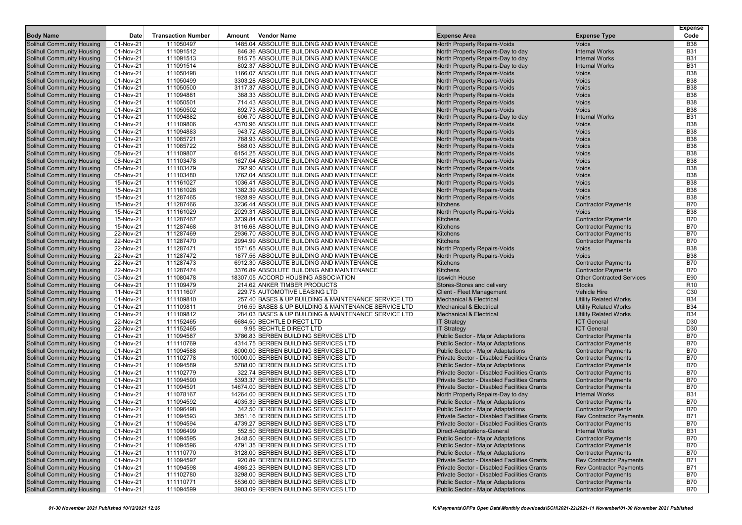|                                                                        |                        |                           |        |                                                                                        |                                                                            |                                     | <b>Expense</b>           |
|------------------------------------------------------------------------|------------------------|---------------------------|--------|----------------------------------------------------------------------------------------|----------------------------------------------------------------------------|-------------------------------------|--------------------------|
| <b>Body Name</b>                                                       | Date                   | <b>Transaction Number</b> | Amount | <b>Vendor Name</b>                                                                     | <b>Expense Area</b>                                                        | <b>Expense Type</b>                 | Code                     |
| Solihull Community Housing                                             | 01-Nov-21              | 111050497                 |        | 1485.04 ABSOLUTE BUILDING AND MAINTENANCE                                              | North Property Repairs-Voids                                               | <b>Voids</b>                        | <b>B38</b>               |
| Solihull Community Housing                                             | 01-Nov-21              | 111091512                 |        | 846.36 ABSOLUTE BUILDING AND MAINTENANCE                                               | North Property Repairs-Day to day                                          | <b>Internal Works</b>               | <b>B31</b>               |
| <b>Solihull Community Housing</b>                                      | 01-Nov-21              | 111091513                 |        | 815.75 ABSOLUTE BUILDING AND MAINTENANCE                                               | North Property Repairs-Day to day                                          | <b>Internal Works</b>               | <b>B31</b>               |
| <b>Solihull Community Housing</b>                                      | 01-Nov-21              | 111091514                 |        | 802.37 ABSOLUTE BUILDING AND MAINTENANCE                                               | North Property Repairs-Day to day                                          | <b>Internal Works</b>               | <b>B31</b>               |
| <b>Solihull Community Housing</b>                                      | 01-Nov-21              | 111050498                 |        | 1166.07 ABSOLUTE BUILDING AND MAINTENANCE                                              | <b>North Property Repairs-Voids</b>                                        | Voids                               | <b>B38</b><br><b>B38</b> |
| <b>Solihull Community Housing</b><br>Solihull Community Housing        | 01-Nov-21              | 111050499                 |        | 3303.28 ABSOLUTE BUILDING AND MAINTENANCE<br>3117.37 ABSOLUTE BUILDING AND MAINTENANCE | <b>North Property Repairs-Voids</b><br><b>North Property Repairs-Voids</b> | Voids                               | <b>B38</b>               |
|                                                                        | 01-Nov-21              | 111050500                 |        |                                                                                        |                                                                            | Voids<br>Voids                      | <b>B38</b>               |
| Solihull Community Housing                                             | 01-Nov-21              | 111094881                 |        | 388.33 ABSOLUTE BUILDING AND MAINTENANCE                                               | North Property Repairs-Voids                                               |                                     |                          |
| <b>Solihull Community Housing</b>                                      | 01-Nov-21              | 111050501                 |        | 714.43 ABSOLUTE BUILDING AND MAINTENANCE                                               | North Property Repairs-Voids                                               | <b>Voids</b>                        | <b>B38</b>               |
| Solihull Community Housing                                             | 01-Nov-21              | 111050502                 |        | 892.73 ABSOLUTE BUILDING AND MAINTENANCE                                               | <b>North Property Repairs-Voids</b>                                        | Voids                               | <b>B38</b>               |
| <b>Solihull Community Housing</b>                                      | 01-Nov-21              | 111094882                 |        | 606.70 ABSOLUTE BUILDING AND MAINTENANCE<br>4370.96 ABSOLUTE BUILDING AND MAINTENANCE  | North Property Repairs-Day to day                                          | <b>Internal Works</b>               | <b>B31</b>               |
| <b>Solihull Community Housing</b>                                      | 01-Nov-21              | 111109806                 |        |                                                                                        | <b>North Property Repairs-Voids</b>                                        | Voids                               | <b>B38</b><br><b>B38</b> |
| <b>Solihull Community Housing</b>                                      | 01-Nov-21              | 111094883                 |        | 943.72 ABSOLUTE BUILDING AND MAINTENANCE                                               | North Property Repairs-Voids                                               | Voids                               |                          |
| <b>Solihull Community Housing</b><br>Solihull Community Housing        | 01-Nov-21              | 111085721<br>111085722    |        | 788.93 ABSOLUTE BUILDING AND MAINTENANCE<br>568.03 ABSOLUTE BUILDING AND MAINTENANCE   | North Property Repairs-Voids                                               | Voids                               | <b>B38</b><br><b>B38</b> |
|                                                                        | 01-Nov-21              |                           |        |                                                                                        | North Property Repairs-Voids                                               | Voids<br>Voids                      | <b>B38</b>               |
| <b>Solihull Community Housing</b>                                      | 08-Nov-21<br>08-Nov-21 | 111109807<br>111103478    |        | 6154.25 ABSOLUTE BUILDING AND MAINTENANCE<br>1627.04 ABSOLUTE BUILDING AND MAINTENANCE | <b>North Property Repairs-Voids</b>                                        | Voids                               | <b>B38</b>               |
| <b>Solihull Community Housing</b><br><b>Solihull Community Housing</b> | 08-Nov-21              | 111103479                 |        | 792.90 ABSOLUTE BUILDING AND MAINTENANCE                                               | North Property Repairs-Voids<br>North Property Repairs-Voids               | Voids                               | <b>B38</b>               |
| <b>Solihull Community Housing</b>                                      |                        | 111103480                 |        |                                                                                        |                                                                            | Voids                               | <b>B38</b>               |
|                                                                        | 08-Nov-21              |                           |        | 1762.04 ABSOLUTE BUILDING AND MAINTENANCE                                              | <b>North Property Repairs-Voids</b>                                        |                                     | <b>B38</b>               |
| <b>Solihull Community Housing</b>                                      | 15-Nov-21              | 111161027                 |        | 1036.41 ABSOLUTE BUILDING AND MAINTENANCE                                              | <b>North Property Repairs-Voids</b>                                        | Voids                               |                          |
| <b>Solihull Community Housing</b>                                      | 15-Nov-21<br>15-Nov-21 | 111161028                 |        | 1382.39 ABSOLUTE BUILDING AND MAINTENANCE<br>1928.99 ABSOLUTE BUILDING AND MAINTENANCE | North Property Repairs-Voids                                               | Voids<br>Voids                      | <b>B38</b><br><b>B38</b> |
| <b>Solihull Community Housing</b>                                      |                        | 111287465                 |        | 3236.44 ABSOLUTE BUILDING AND MAINTENANCE                                              | North Property Repairs-Voids<br>Kitchens                                   |                                     | <b>B70</b>               |
| <b>Solihull Community Housing</b><br><b>Solihull Community Housing</b> | 15-Nov-21<br>15-Nov-21 | 111287466<br>111161029    |        | 2029.31 ABSOLUTE BUILDING AND MAINTENANCE                                              |                                                                            | <b>Contractor Payments</b><br>Voids | <b>B38</b>               |
| Solihull Community Housing                                             | 15-Nov-21              | 111287467                 |        | 3739.84 ABSOLUTE BUILDING AND MAINTENANCE                                              | North Property Repairs-Voids<br>Kitchens                                   | <b>Contractor Payments</b>          | <b>B70</b>               |
| <b>Solihull Community Housing</b>                                      | 15-Nov-21              | 111287468                 |        | 3116.68 ABSOLUTE BUILDING AND MAINTENANCE                                              | Kitchens                                                                   | <b>Contractor Payments</b>          | <b>B70</b>               |
| <b>Solihull Community Housing</b>                                      | 22-Nov-21              | 111287469                 |        | 2936.70 ABSOLUTE BUILDING AND MAINTENANCE                                              | Kitchens                                                                   | <b>Contractor Payments</b>          | <b>B70</b>               |
| <b>Solihull Community Housing</b>                                      | 22-Nov-21              | 111287470                 |        | 2994.99 ABSOLUTE BUILDING AND MAINTENANCE                                              | Kitchens                                                                   | <b>Contractor Payments</b>          | <b>B70</b>               |
| <b>Solihull Community Housing</b>                                      | 22-Nov-21              | 111287471                 |        | 1571.65 ABSOLUTE BUILDING AND MAINTENANCE                                              | North Property Repairs-Voids                                               | Voids                               | <b>B38</b>               |
| <b>Solihull Community Housing</b>                                      | 22-Nov-21              | 111287472                 |        | 1877.56 ABSOLUTE BUILDING AND MAINTENANCE                                              | <b>North Property Repairs-Voids</b>                                        | Voids                               | <b>B38</b>               |
| <b>Solihull Community Housing</b>                                      | 22-Nov-21              | 111287473                 |        | 6912.30 ABSOLUTE BUILDING AND MAINTENANCE                                              | Kitchens                                                                   | <b>Contractor Payments</b>          | <b>B70</b>               |
| <b>Solihull Community Housing</b>                                      | 22-Nov-21              | 111287474                 |        | 3376.89 ABSOLUTE BUILDING AND MAINTENANCE                                              | <b>Kitchens</b>                                                            | <b>Contractor Payments</b>          | <b>B70</b>               |
| Solihull Community Housing                                             | 03-Nov-21              | 111080478                 |        | 18307.05 ACCORD HOUSING ASSOCIATION                                                    | Ipswich House                                                              | <b>Other Contracted Services</b>    | E90                      |
| <b>Solihull Community Housing</b>                                      | 04-Nov-21              | 111109479                 |        | 214.62 ANKER TIMBER PRODUCTS                                                           | Stores-Stores and delivery                                                 | <b>Stocks</b>                       | R <sub>10</sub>          |
| <b>Solihull Community Housing</b>                                      | 11-Nov-21              | 111111607                 |        | 229.75 AUTOMOTIVE LEASING LTD                                                          | <b>Client - Fleet Management</b>                                           | Vehicle Hire                        | C <sub>30</sub>          |
| <b>Solihull Community Housing</b>                                      | 01-Nov-21              | 111109810                 |        | 257.40 BASES & UP BUILDING & MAINTENANCE SERVICE LTD                                   | <b>Mechanical &amp; Electrical</b>                                         | <b>Utility Related Works</b>        | <b>B34</b>               |
| <b>Solihull Community Housing</b>                                      | 01-Nov-21              | 111109811                 |        | 916.59 BASES & UP BUILDING & MAINTENANCE SERVICE LTD                                   | <b>Mechanical &amp; Electrical</b>                                         | <b>Utility Related Works</b>        | <b>B34</b>               |
| <b>Solihull Community Housing</b>                                      | 01-Nov-21              | 111109812                 |        | 284.03 BASES & UP BUILDING & MAINTENANCE SERVICE LTD                                   | <b>Mechanical &amp; Electrical</b>                                         | <b>Utility Related Works</b>        | <b>B34</b>               |
| <b>Solihull Community Housing</b>                                      | 22-Nov-21              | 111152465                 |        | 6684.50 BECHTLE DIRECT LTD                                                             | <b>IT Strategy</b>                                                         | <b>ICT General</b>                  | D <sub>30</sub>          |
| <b>Solihull Community Housing</b>                                      | 22-Nov-21              | 111152465                 |        | 9.95 BECHTLE DIRECT LTD                                                                | <b>IT Strategy</b>                                                         | <b>ICT General</b>                  | D30                      |
| <b>Solihull Community Housing</b>                                      | 01-Nov-21              | 111094587                 |        | 3786.83 BERBEN BUILDING SERVICES LTD                                                   | <b>Public Sector - Major Adaptations</b>                                   | <b>Contractor Payments</b>          | <b>B70</b>               |
| Solihull Community Housing                                             | 01-Nov-21              | 111110769                 |        | 4314.75 BERBEN BUILDING SERVICES LTD                                                   | <b>Public Sector - Major Adaptations</b>                                   | <b>Contractor Payments</b>          | <b>B70</b>               |
| <b>Solihull Community Housing</b>                                      | 01-Nov-21              | 111094588                 |        | 8000.00 BERBEN BUILDING SERVICES LTD                                                   | <b>Public Sector - Major Adaptations</b>                                   | <b>Contractor Payments</b>          | <b>B70</b>               |
| <b>Solihull Community Housing</b>                                      | 01-Nov-21              | 111102778                 |        | 10000.00 BERBEN BUILDING SERVICES LTD                                                  | Private Sector - Disabled Facilities Grants                                | <b>Contractor Payments</b>          | <b>B70</b>               |
| <b>Solihull Community Housing</b>                                      | 01-Nov-21              | 111094589                 |        | 5788.00 BERBEN BUILDING SERVICES LTD                                                   | <b>Public Sector - Major Adaptations</b>                                   | <b>Contractor Payments</b>          | <b>B70</b>               |
| Solihull Community Housing                                             | 01-Nov-21              | 111102779                 |        | 322.74 BERBEN BUILDING SERVICES LTD                                                    | Private Sector - Disabled Facilities Grants                                | <b>Contractor Payments</b>          | <b>B70</b>               |
| Solihull Community Housing                                             | 01-Nov-21              | 111094590                 |        | 5393.37 BERBEN BUILDING SERVICES LTD                                                   | <b>Private Sector - Disabled Facilities Grants</b>                         | <b>Contractor Payments</b>          | <b>B70</b>               |
| <b>Solihull Community Housing</b>                                      | 01-Nov-21              | 111094591                 |        | 14674.00 BERBEN BUILDING SERVICES LTD                                                  | Private Sector - Disabled Facilities Grants                                | <b>Contractor Payments</b>          | <b>B70</b>               |
| <b>Solihull Community Housing</b>                                      | 01-Nov-21              | 111078167                 |        | 14264.00 BERBEN BUILDING SERVICES LTD                                                  | North Property Repairs-Day to day                                          | <b>Internal Works</b>               | <b>B31</b>               |
| Solihull Community Housing                                             | 01-Nov-21              | 111094592                 |        | 4035.39 BERBEN BUILDING SERVICES LTD                                                   | <b>Public Sector - Major Adaptations</b>                                   | <b>Contractor Payments</b>          | <b>B70</b>               |
| <b>Solihull Community Housing</b>                                      | 01-Nov-21              | 111096498                 |        | 342.50 BERBEN BUILDING SERVICES LTD                                                    | <b>Public Sector - Major Adaptations</b>                                   | <b>Contractor Payments</b>          | <b>B70</b>               |
| Solihull Community Housing                                             | 01-Nov-21              | 111094593                 |        | 3851.16 BERBEN BUILDING SERVICES LTD                                                   | Private Sector - Disabled Facilities Grants                                | <b>Rev Contractor Payments</b>      | <b>B71</b>               |
| <b>Solihull Community Housing</b>                                      | 01-Nov-21              | 111094594                 |        | 4739.27 BERBEN BUILDING SERVICES LTD                                                   | Private Sector - Disabled Facilities Grants                                | <b>Contractor Payments</b>          | <b>B70</b>               |
| <b>Solihull Community Housing</b>                                      | $01-Nov-21$            | 111096499                 |        | 552.50 BERBEN BUILDING SERVICES LTD                                                    | Direct-Adaptations-General                                                 | <b>Internal Works</b>               | <b>B31</b>               |
| <b>Solihull Community Housing</b>                                      | 01-Nov-21              | 111094595                 |        | 2448.50 BERBEN BUILDING SERVICES LTD                                                   | <b>Public Sector - Major Adaptations</b>                                   | <b>Contractor Payments</b>          | <b>B70</b>               |
| <b>Solihull Community Housing</b>                                      | 01-Nov-21              | 111094596                 |        | 4791.35 BERBEN BUILDING SERVICES LTD                                                   | <b>Public Sector - Major Adaptations</b>                                   | <b>Contractor Payments</b>          | <b>B70</b>               |
| <b>Solihull Community Housing</b>                                      | 01-Nov-21              | 111110770                 |        | 3128.00 BERBEN BUILDING SERVICES LTD                                                   | <b>Public Sector - Major Adaptations</b>                                   | <b>Contractor Payments</b>          | <b>B70</b>               |
| <b>Solihull Community Housing</b>                                      | 01-Nov-21              | 111094597                 |        | 920.89 BERBEN BUILDING SERVICES LTD                                                    | Private Sector - Disabled Facilities Grants                                | <b>Rev Contractor Payments</b>      | <b>B71</b>               |
| <b>Solihull Community Housing</b>                                      | 01-Nov-21              | 111094598                 |        | 4985.23 BERBEN BUILDING SERVICES LTD                                                   | Private Sector - Disabled Facilities Grants                                | <b>Rev Contractor Payments</b>      | <b>B71</b>               |
| <b>Solihull Community Housing</b>                                      | 01-Nov-21              | 111102780                 |        | 3298.00 BERBEN BUILDING SERVICES LTD                                                   | Private Sector - Disabled Facilities Grants                                | <b>Contractor Payments</b>          | <b>B70</b>               |
| <b>Solihull Community Housing</b>                                      | 01-Nov-21              | 111110771                 |        | 5536.00 BERBEN BUILDING SERVICES LTD                                                   | <b>Public Sector - Major Adaptations</b>                                   | <b>Contractor Payments</b>          | <b>B70</b>               |
| <b>Solihull Community Housing</b>                                      | 01-Nov-21              | 111094599                 |        | 3903.09 BERBEN BUILDING SERVICES LTD                                                   | <b>Public Sector - Major Adaptations</b>                                   | <b>Contractor Payments</b>          | <b>B70</b>               |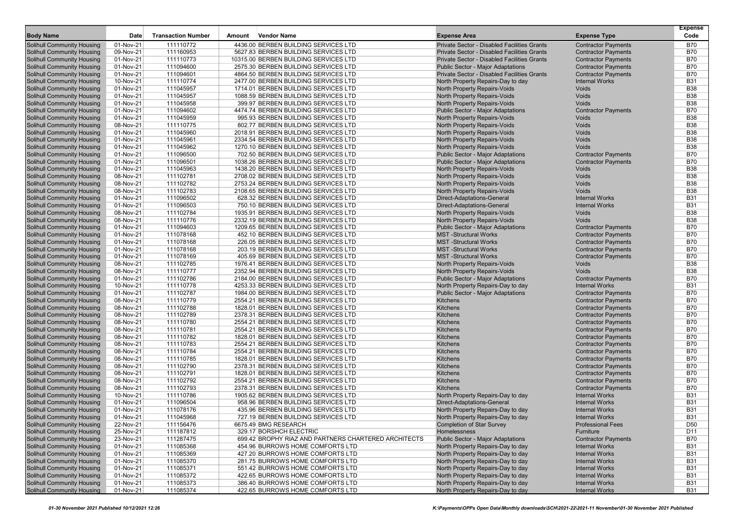|                                                                        |                        |                           |        |                                                                               |                                                                                         |                                                          | <b>Expense</b>           |
|------------------------------------------------------------------------|------------------------|---------------------------|--------|-------------------------------------------------------------------------------|-----------------------------------------------------------------------------------------|----------------------------------------------------------|--------------------------|
| <b>Body Name</b>                                                       | Date                   | <b>Transaction Number</b> | Amount | <b>Vendor Name</b>                                                            | <b>Expense Area</b>                                                                     | <b>Expense Type</b>                                      | Code                     |
| Solihull Community Housing                                             | 01-Nov-21              | 111110772                 |        | 4436.00 BERBEN BUILDING SERVICES LTD                                          | Private Sector - Disabled Facilities Grants                                             | <b>Contractor Payments</b>                               | <b>B70</b>               |
| <b>Solihull Community Housing</b>                                      | 09-Nov-21              | 111160953                 |        | 5627.83 BERBEN BUILDING SERVICES LTD                                          | <b>Private Sector - Disabled Facilities Grants</b>                                      | <b>Contractor Payments</b>                               | <b>B70</b>               |
| <b>Solihull Community Housing</b>                                      | 01-Nov-21<br>01-Nov-21 | 111110773<br>111094600    |        | 10315.00 BERBEN BUILDING SERVICES LTD<br>2575.30 BERBEN BUILDING SERVICES LTD | Private Sector - Disabled Facilities Grants                                             | <b>Contractor Payments</b>                               | <b>B70</b><br><b>B70</b> |
| <b>Solihull Community Housing</b><br><b>Solihull Community Housing</b> | 01-Nov-21              | 111094601                 |        | 4864.50 BERBEN BUILDING SERVICES LTD                                          | <b>Public Sector - Major Adaptations</b><br>Private Sector - Disabled Facilities Grants | <b>Contractor Payments</b><br><b>Contractor Payments</b> | <b>B70</b>               |
| <b>Solihull Community Housing</b>                                      | 10-Nov-21              | 111110774                 |        | 2477.00 BERBEN BUILDING SERVICES LTD                                          | North Property Repairs-Day to day                                                       | <b>Internal Works</b>                                    | <b>B31</b>               |
| <b>Solihull Community Housing</b>                                      | 01-Nov-21              | 111045957                 |        | 1714.01 BERBEN BUILDING SERVICES LTD                                          | North Property Repairs-Voids                                                            | Voids                                                    | <b>B38</b>               |
| <b>Solihull Community Housing</b>                                      | 01-Nov-21              | 111045957                 |        | 1088.59 BERBEN BUILDING SERVICES LTD                                          | North Property Repairs-Voids                                                            | Voids                                                    | <b>B38</b>               |
| <b>Solihull Community Housing</b>                                      | 01-Nov-21              | 111045958                 |        | 399.97 BERBEN BUILDING SERVICES LTD                                           | North Property Repairs-Voids                                                            | Voids                                                    | <b>B38</b>               |
| <b>Solihull Community Housing</b>                                      | 01-Nov-21              | 111094602                 |        | 4474.74 BERBEN BUILDING SERVICES LTD                                          | <b>Public Sector - Major Adaptations</b>                                                | <b>Contractor Payments</b>                               | <b>B70</b>               |
| <b>Solihull Community Housing</b>                                      | $01-Nov-21$            | 111045959                 |        | 995.93 BERBEN BUILDING SERVICES LTD                                           | North Property Repairs-Voids                                                            | Voids                                                    | <b>B38</b>               |
| <b>Solihull Community Housing</b>                                      | 08-Nov-21              | 111110775                 |        | 802.77 BERBEN BUILDING SERVICES LTD                                           | North Property Repairs-Voids                                                            | Voids                                                    | <b>B38</b>               |
| <b>Solihull Community Housing</b>                                      | 01-Nov-21              | 111045960                 |        | 2018.91 BERBEN BUILDING SERVICES LTD                                          | North Property Repairs-Voids                                                            | <b>Voids</b>                                             | <b>B38</b>               |
| <b>Solihull Community Housing</b>                                      | 01-Nov-21              | 111045961                 |        | 2334.54 BERBEN BUILDING SERVICES LTD                                          | North Property Repairs-Voids                                                            | Voids                                                    | <b>B38</b>               |
| <b>Solihull Community Housing</b>                                      | 01-Nov-21              | 111045962                 |        | 1270.10 BERBEN BUILDING SERVICES LTD                                          | North Property Repairs-Voids                                                            | Voids                                                    | <b>B38</b>               |
| <b>Solihull Community Housing</b>                                      | 01-Nov-21              | 111096500                 |        | 702.50 BERBEN BUILDING SERVICES LTD                                           | <b>Public Sector - Major Adaptations</b>                                                | <b>Contractor Payments</b>                               | <b>B70</b>               |
| <b>Solihull Community Housing</b>                                      | 01-Nov-21              | 111096501                 |        | 1038.26 BERBEN BUILDING SERVICES LTD                                          | <b>Public Sector - Major Adaptations</b>                                                | <b>Contractor Payments</b>                               | <b>B70</b>               |
| <b>Solihull Community Housing</b>                                      | 01-Nov-21              | 111045963                 |        | 1438.20 BERBEN BUILDING SERVICES LTD                                          | North Property Repairs-Voids                                                            | Voids                                                    | <b>B38</b>               |
| <b>Solihull Community Housing</b>                                      | 08-Nov-21              | 111102781                 |        | 2708.02 BERBEN BUILDING SERVICES LTD                                          | North Property Repairs-Voids                                                            | Voids                                                    | <b>B38</b>               |
| <b>Solihull Community Housing</b>                                      | 08-Nov-21              | 111102782                 |        | 2753.24 BERBEN BUILDING SERVICES LTD                                          | North Property Repairs-Voids                                                            | Voids                                                    | <b>B38</b>               |
| <b>Solihull Community Housing</b>                                      | 08-Nov-21              | 111102783                 |        | 2108.65 BERBEN BUILDING SERVICES LTD                                          | North Property Repairs-Voids                                                            | Voids                                                    | <b>B38</b>               |
| <b>Solihull Community Housing</b>                                      | 01-Nov-21              | 111096502                 |        | 628.32 BERBEN BUILDING SERVICES LTD                                           | Direct-Adaptations-General                                                              | <b>Internal Works</b>                                    | <b>B31</b>               |
| <b>Solihull Community Housing</b>                                      | 01-Nov-21              | 111096503                 |        | 750.10 BERBEN BUILDING SERVICES LTD                                           | Direct-Adaptations-General                                                              | <b>Internal Works</b>                                    | <b>B31</b>               |
| <b>Solihull Community Housing</b>                                      | 08-Nov-21              | 111102784                 |        | 1935.91 BERBEN BUILDING SERVICES LTD                                          | North Property Repairs-Voids                                                            | Voids                                                    | <b>B38</b>               |
| <b>Solihull Community Housing</b>                                      | 08-Nov-21              | 111110776                 |        | 2332.19 BERBEN BUILDING SERVICES LTD                                          | <b>North Property Repairs-Voids</b>                                                     | Voids                                                    | <b>B38</b>               |
| <b>Solihull Community Housing</b>                                      | 01-Nov-21              | 111094603                 |        | 1209.65 BERBEN BUILDING SERVICES LTD                                          | <b>Public Sector - Major Adaptations</b>                                                | <b>Contractor Payments</b>                               | <b>B70</b>               |
| <b>Solihull Community Housing</b>                                      | 01-Nov-21              | 111078168                 |        | 452.10 BERBEN BUILDING SERVICES LTD                                           | <b>MST</b> -Structural Works                                                            | <b>Contractor Payments</b>                               | <b>B70</b>               |
| <b>Solihull Community Housing</b>                                      | 01-Nov-21              | 111078168                 |        | 226.05 BERBEN BUILDING SERVICES LTD                                           | <b>MST-Structural Works</b>                                                             | <b>Contractor Payments</b>                               | <b>B70</b>               |
| <b>Solihull Community Housing</b>                                      | 01-Nov-21              | 111078168                 |        | 203.19 BERBEN BUILDING SERVICES LTD                                           | <b>MST-Structural Works</b>                                                             | <b>Contractor Payments</b>                               | <b>B70</b>               |
| <b>Solihull Community Housing</b>                                      | 01-Nov-21              | 111078169                 |        | 405.69 BERBEN BUILDING SERVICES LTD                                           | <b>MST</b> -Structural Works                                                            | <b>Contractor Payments</b>                               | <b>B70</b>               |
| <b>Solihull Community Housing</b>                                      | 08-Nov-21              | 111102785                 |        | 1976.41 BERBEN BUILDING SERVICES LTD                                          | North Property Repairs-Voids                                                            | Voids                                                    | <b>B38</b>               |
| <b>Solihull Community Housing</b>                                      | 08-Nov-21              | 111110777                 |        | 2352.94 BERBEN BUILDING SERVICES LTD                                          | North Property Repairs-Voids                                                            | <b>Voids</b>                                             | <b>B38</b>               |
| <b>Solihull Community Housing</b>                                      | 01-Nov-21              | 111102786                 |        | 2184.00 BERBEN BUILDING SERVICES LTD                                          | <b>Public Sector - Major Adaptations</b>                                                | <b>Contractor Payments</b>                               | <b>B70</b>               |
| <b>Solihull Community Housing</b>                                      | 10-Nov-21              | 111110778                 |        | 4253.33 BERBEN BUILDING SERVICES LTD                                          | North Property Repairs-Day to day                                                       | <b>Internal Works</b>                                    | <b>B31</b>               |
| Solihull Community Housing                                             | 01-Nov-21              | 111102787                 |        | 1984.00 BERBEN BUILDING SERVICES LTD                                          | <b>Public Sector - Major Adaptations</b>                                                | <b>Contractor Payments</b>                               | <b>B70</b>               |
| <b>Solihull Community Housing</b>                                      | 08-Nov-21              | 111110779                 |        | 2554.21 BERBEN BUILDING SERVICES LTD                                          | Kitchens                                                                                | <b>Contractor Payments</b>                               | <b>B70</b>               |
| <b>Solihull Community Housing</b>                                      | 08-Nov-21              | 111102788                 |        | 1828.01 BERBEN BUILDING SERVICES LTD                                          | Kitchens                                                                                | <b>Contractor Payments</b>                               | <b>B70</b>               |
| <b>Solihull Community Housing</b>                                      | 08-Nov-21              | 111102789                 |        | 2378.31 BERBEN BUILDING SERVICES LTD                                          | Kitchens                                                                                | <b>Contractor Payments</b>                               | <b>B70</b>               |
| <b>Solihull Community Housing</b>                                      | 08-Nov-21              | 111110780                 |        | 2554.21 BERBEN BUILDING SERVICES LTD                                          | Kitchens                                                                                | <b>Contractor Payments</b>                               | <b>B70</b>               |
| <b>Solihull Community Housing</b>                                      | 08-Nov-21              | 111110781                 |        | 2554.21 BERBEN BUILDING SERVICES LTD                                          | Kitchens                                                                                | <b>Contractor Payments</b>                               | <b>B70</b>               |
| <b>Solihull Community Housing</b>                                      | 08-Nov-21              | 111110782<br>111110783    |        | 1828.01 BERBEN BUILDING SERVICES LTD<br>2554.21 BERBEN BUILDING SERVICES LTD  | Kitchens<br>Kitchens                                                                    | <b>Contractor Payments</b>                               | <b>B70</b><br><b>B70</b> |
| <b>Solihull Community Housing</b><br><b>Solihull Community Housing</b> | 08-Nov-21<br>08-Nov-21 | 111110784                 |        | 2554.21 BERBEN BUILDING SERVICES LTD                                          | Kitchens                                                                                | <b>Contractor Payments</b><br><b>Contractor Payments</b> | <b>B70</b>               |
| <b>Solihull Community Housing</b>                                      | 08-Nov-21              | 111110785                 |        | 1828.01 BERBEN BUILDING SERVICES LTD                                          | Kitchens                                                                                | <b>Contractor Payments</b>                               | <b>B70</b>               |
| <b>Solihull Community Housing</b>                                      | 08-Nov-21              | 111102790                 |        | 2378.31 BERBEN BUILDING SERVICES LTD                                          | Kitchens                                                                                | <b>Contractor Payments</b>                               | <b>B70</b>               |
| <b>Solihull Community Housing</b>                                      | 08-Nov-21              | 111102791                 |        | 1828.01 BERBEN BUILDING SERVICES LTD                                          | Kitchens                                                                                | <b>Contractor Payments</b>                               | <b>B70</b>               |
| <b>Solihull Community Housing</b>                                      | 08-Nov-21              | 111102792                 |        | 2554.21 BERBEN BUILDING SERVICES LTD                                          | Kitchens                                                                                | <b>Contractor Payments</b>                               | <b>B70</b>               |
| <b>Solihull Community Housing</b>                                      | 08-Nov-21              | 111102793                 |        | 2378.31 BERBEN BUILDING SERVICES LTD                                          | <b>Kitchens</b>                                                                         | <b>Contractor Payments</b>                               | <b>B70</b>               |
| <b>Solihull Community Housing</b>                                      | 10-Nov-21              | 111110786                 |        | 1905.62 BERBEN BUILDING SERVICES LTD                                          | North Property Repairs-Day to day                                                       | <b>Internal Works</b>                                    | <b>B31</b>               |
| Solihull Community Housing                                             | 01-Nov-21              | 111096504                 |        | 958.96 BERBEN BUILDING SERVICES LTD                                           | Direct-Adaptations-General                                                              | <b>Internal Works</b>                                    | <b>B31</b>               |
| <b>Solihull Community Housing</b>                                      | 01-Nov-21              | 111078176                 |        | 435.96 BERBEN BUILDING SERVICES LTD                                           | North Property Repairs-Day to day                                                       | <b>Internal Works</b>                                    | <b>B31</b>               |
| <b>Solihull Community Housing</b>                                      | 01-Nov-21              | 111045968                 |        | 727.19 BERBEN BUILDING SERVICES LTD                                           | North Property Repairs-Day to day                                                       | <b>Internal Works</b>                                    | <b>B31</b>               |
| Solihull Community Housing                                             | 22-Nov-21              | 111156476                 |        | 6675.49 BMG RESEARCH                                                          | <b>Completion of Star Survey</b>                                                        | <b>Professional Fees</b>                                 | D <sub>50</sub>          |
| <b>Solihull Community Housing</b>                                      | 25-Nov-21              | 111187812                 |        | 329.17 BORSHCH ELECTRIC                                                       | <b>Homelessness</b>                                                                     | Furniture                                                | D11                      |
| <b>Solihull Community Housing</b>                                      | 23-Nov-21              | 111287475                 |        | 699.42 BROPHY RIAZ AND PARTNERS CHARTERED ARCHITECTS                          | Public Sector - Major Adaptations                                                       | <b>Contractor Payments</b>                               | <b>B70</b>               |
| <b>Solihull Community Housing</b>                                      | 01-Nov-21              | 111085368                 |        | 454.96 BURROWS HOME COMFORTS LTD                                              | North Property Repairs-Day to day                                                       | <b>Internal Works</b>                                    | <b>B31</b>               |
| Solihull Community Housing                                             | 01-Nov-21              | 111085369                 |        | 427.20 BURROWS HOME COMFORTS LTD                                              | North Property Repairs-Day to day                                                       | <b>Internal Works</b>                                    | <b>B31</b>               |
| Solihull Community Housing                                             | 01-Nov-21              | 111085370                 |        | 281.75 BURROWS HOME COMFORTS LTD                                              | North Property Repairs-Day to day                                                       | <b>Internal Works</b>                                    | <b>B31</b>               |
| Solihull Community Housing                                             | 01-Nov-21              | 111085371                 |        | 551.42 BURROWS HOME COMFORTS LTD                                              | North Property Repairs-Day to day                                                       | <b>Internal Works</b>                                    | <b>B31</b>               |
| <b>Solihull Community Housing</b>                                      | 01-Nov-21              | 111085372                 |        | 422.65 BURROWS HOME COMFORTS LTD                                              | North Property Repairs-Day to day                                                       | <b>Internal Works</b>                                    | <b>B31</b>               |
| <b>Solihull Community Housing</b>                                      | 01-Nov-21              | 111085373                 |        | 386.40 BURROWS HOME COMFORTS LTD                                              | North Property Repairs-Day to day                                                       | <b>Internal Works</b>                                    | <b>B31</b>               |
| <b>Solihull Community Housing</b>                                      | 01-Nov-21              | 111085374                 |        | 422.65 BURROWS HOME COMFORTS LTD                                              | North Property Repairs-Day to day                                                       | <b>Internal Works</b>                                    | <b>B31</b>               |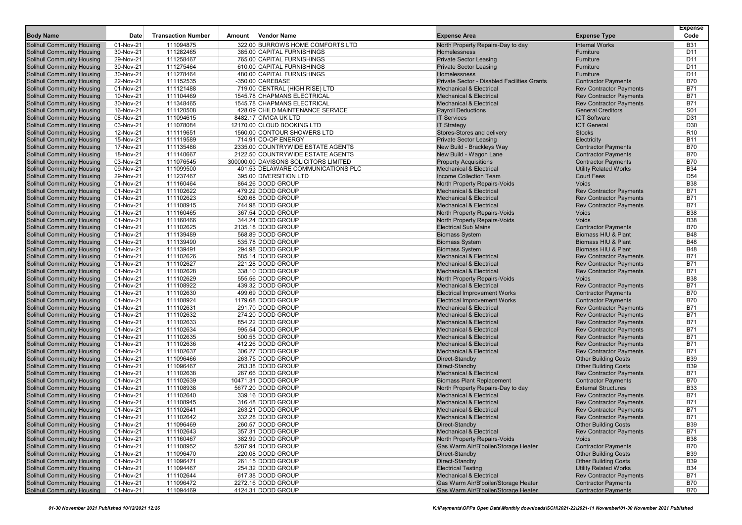| <b>Body Name</b>                  | Date      | <b>Transaction Number</b> | Amount | Vendor Name                           | <b>Expense Area</b>                         | <b>Expense Type</b>            | <b>Expense</b><br>Code |
|-----------------------------------|-----------|---------------------------|--------|---------------------------------------|---------------------------------------------|--------------------------------|------------------------|
| <b>Solihull Community Housing</b> | 01-Nov-21 | 111094875                 |        | 322.00 BURROWS HOME COMFORTS LTD      | North Property Repairs-Day to day           | <b>Internal Works</b>          | <b>B31</b>             |
| Solihull Community Housing        | 30-Nov-21 | 111282465                 |        | 385.00 CAPITAL FURNISHINGS            | Homelessness                                | Furniture                      | D <sub>11</sub>        |
| Solihull Community Housing        | 29-Nov-21 | 111258467                 |        | 765.00 CAPITAL FURNISHINGS            | <b>Private Sector Leasing</b>               | Furniture                      | D <sub>11</sub>        |
| Solihull Community Housing        | 30-Nov-21 | 111275464                 |        | 610.00 CAPITAL FURNISHINGS            | <b>Private Sector Leasing</b>               | Furniture                      | D <sub>11</sub>        |
| Solihull Community Housing        | 30-Nov-21 | 111278464                 |        | 480.00 CAPITAL FURNISHINGS            | Homelessness                                | Furniture                      | D11                    |
| <b>Solihull Community Housing</b> | 22-Nov-21 | 111152535                 |        | -350.00 CAREBASE                      | Private Sector - Disabled Facilities Grants | <b>Contractor Payments</b>     | <b>B70</b>             |
| Solihull Community Housing        | 01-Nov-21 | 111121488                 |        | 719.00 CENTRAL (HIGH RISE) LTD        | <b>Mechanical &amp; Electrical</b>          | <b>Rev Contractor Payments</b> | <b>B71</b>             |
| <b>Solihull Community Housing</b> | 10-Nov-21 | 111104469                 |        | 1545.78 CHAPMANS ELECTRICAL           | <b>Mechanical &amp; Electrical</b>          | <b>Rev Contractor Payments</b> | <b>B71</b>             |
| <b>Solihull Community Housing</b> | 30-Nov-21 | 111348465                 |        | 1545.78 CHAPMANS ELECTRICAL           | <b>Mechanical &amp; Electrical</b>          | <b>Rev Contractor Payments</b> | <b>B71</b>             |
| <b>Solihull Community Housing</b> | 16-Nov-21 | 111120508                 |        | 428.09 CHILD MAINTENANCE SERVICE      | <b>Payroll Deductions</b>                   | <b>General Creditors</b>       | S01                    |
| <b>Solihull Community Housing</b> | 08-Nov-21 | 111094615                 |        | 8482.17 CIVICA UK LTD                 | <b>IT Services</b>                          | <b>ICT Software</b>            | D31                    |
| Solihull Community Housing        | 03-Nov-21 | 111078084                 |        | 12170.00 CLOUD BOOKING LTD            | <b>IT Strategy</b>                          | <b>ICT General</b>             | D <sub>30</sub>        |
| Solihull Community Housing        | 12-Nov-21 | 111119651                 |        | 1560.00 CONTOUR SHOWERS LTD           | Stores-Stores and delivery                  | <b>Stocks</b>                  | R <sub>10</sub>        |
| Solihull Community Housing        | 15-Nov-21 | 111119589                 |        | 714.91 CO-OP ENERGY                   | <b>Private Sector Leasing</b>               | Electricity                    | <b>B11</b>             |
| Solihull Community Housing        | 17-Nov-21 | 111135486                 |        | 2335.00 COUNTRYWIDE ESTATE AGENTS     | New Build - Brackleys Way                   | <b>Contractor Payments</b>     | <b>B70</b>             |
| <b>Solihull Community Housing</b> | 18-Nov-21 | 111140667                 |        | 2122.50 COUNTRYWIDE ESTATE AGENTS     | New Build - Wagon Lane                      | <b>Contractor Payments</b>     | <b>B70</b>             |
| <b>Solihull Community Housing</b> | 03-Nov-21 | 111076545                 |        | 300000.00 DAVISONS SOLICITORS LIMITED | <b>Property Acquisitions</b>                | <b>Contractor Payments</b>     | <b>B70</b>             |
| <b>Solihull Community Housing</b> | 09-Nov-21 | 111099500                 |        | 401.53 DELAWARE COMMUNICATIONS PLC    | <b>Mechanical &amp; Electrical</b>          | <b>Utility Related Works</b>   | <b>B34</b>             |
| <b>Solihull Community Housing</b> | 29-Nov-21 | 111237467                 |        | 395.00 DIVERSITION LTD                | <b>Income Collection Team</b>               | <b>Court Fees</b>              | D <sub>54</sub>        |
| Solihull Community Housing        | 01-Nov-21 | 111160464                 |        | 864.26 DODD GROUP                     | North Property Repairs-Voids                | Voids                          | <b>B38</b>             |
| <b>Solihull Community Housing</b> | 01-Nov-21 | 111102622                 |        | 479.22 DODD GROUP                     | <b>Mechanical &amp; Electrical</b>          | <b>Rev Contractor Payments</b> | <b>B71</b>             |
| <b>Solihull Community Housing</b> | 01-Nov-21 | 111102623                 |        | 520.68 DODD GROUP                     | <b>Mechanical &amp; Electrical</b>          | <b>Rev Contractor Payments</b> | <b>B71</b>             |
| Solihull Community Housing        | 01-Nov-21 | 111108915                 |        | 744.98 DODD GROUP                     | <b>Mechanical &amp; Electrical</b>          | <b>Rev Contractor Payments</b> | <b>B71</b>             |
| <b>Solihull Community Housing</b> | 01-Nov-21 | 111160465                 |        | 367.54 DODD GROUP                     | North Property Repairs-Voids                | Voids                          | <b>B38</b>             |
| <b>Solihull Community Housing</b> | 01-Nov-21 | 111160466                 |        | 344.24 DODD GROUP                     | North Property Repairs-Voids                | Voids                          | <b>B38</b>             |
| <b>Solihull Community Housing</b> | 01-Nov-21 | 111102625                 |        | 2135.18 DODD GROUP                    | <b>Electrical Sub Mains</b>                 | <b>Contractor Payments</b>     | <b>B70</b>             |
| <b>Solihull Community Housing</b> | 01-Nov-21 | 111139489                 |        | 568.89 DODD GROUP                     | <b>Biomass System</b>                       | Biomass HIU & Plant            | <b>B48</b>             |
| Solihull Community Housing        | 01-Nov-21 | 111139490                 |        | 535.78 DODD GROUP                     | <b>Biomass System</b>                       | Biomass HIU & Plant            | <b>B48</b>             |
| Solihull Community Housing        | 01-Nov-21 | 111139491                 |        | 294.98 DODD GROUP                     | <b>Biomass System</b>                       | Biomass HIU & Plant            | <b>B48</b>             |
| Solihull Community Housing        | 01-Nov-21 | 111102626                 |        | 585.14 DODD GROUP                     | <b>Mechanical &amp; Electrical</b>          | <b>Rev Contractor Payments</b> | B71                    |
| <b>Solihull Community Housing</b> | 01-Nov-21 | 111102627                 |        | 221.28 DODD GROUP                     | <b>Mechanical &amp; Electrical</b>          | <b>Rev Contractor Payments</b> | <b>B71</b>             |
| <b>Solihull Community Housing</b> | 01-Nov-21 | 111102628                 |        | 338.10 DODD GROUP                     | <b>Mechanical &amp; Electrical</b>          | <b>Rev Contractor Payments</b> | B71                    |
| Solihull Community Housing        | 01-Nov-21 | 111102629                 |        | 555.56 DODD GROUP                     | North Property Repairs-Voids                | Voids                          | <b>B38</b>             |
| <b>Solihull Community Housing</b> | 01-Nov-21 | 111108922                 |        | 439.32 DODD GROUP                     | <b>Mechanical &amp; Electrical</b>          | <b>Rev Contractor Payments</b> | <b>B71</b>             |
| <b>Solihull Community Housing</b> | 01-Nov-21 | 111102630                 |        | 499.69 DODD GROUP                     | <b>Electrical Improvement Works</b>         | <b>Contractor Payments</b>     | <b>B70</b>             |
| <b>Solihull Community Housing</b> | 01-Nov-21 | 111108924                 |        | 1179.68 DODD GROUP                    | <b>Electrical Improvement Works</b>         | <b>Contractor Payments</b>     | <b>B70</b>             |
| <b>Solihull Community Housing</b> | 01-Nov-21 | 111102631                 |        | 291.70 DODD GROUP                     | <b>Mechanical &amp; Electrical</b>          | <b>Rev Contractor Payments</b> | <b>B71</b>             |
| <b>Solihull Community Housing</b> | 01-Nov-21 | 111102632                 |        | 274.20 DODD GROUP                     | <b>Mechanical &amp; Electrical</b>          | <b>Rev Contractor Payments</b> | <b>B71</b>             |
| <b>Solihull Community Housing</b> | 01-Nov-21 | 111102633                 |        | 854.22 DODD GROUP                     | <b>Mechanical &amp; Electrical</b>          | <b>Rev Contractor Payments</b> | <b>B71</b>             |
| <b>Solihull Community Housing</b> | 01-Nov-21 | 111102634                 |        | 995.54 DODD GROUP                     | <b>Mechanical &amp; Electrical</b>          | <b>Rev Contractor Payments</b> | B71                    |
| Solihull Community Housing        | 01-Nov-21 | 111102635                 |        | 500.55 DODD GROUP                     | <b>Mechanical &amp; Electrical</b>          | <b>Rev Contractor Payments</b> | <b>B71</b>             |
| Solihull Community Housing        | 01-Nov-21 | 111102636                 |        | 412.26 DODD GROUP                     | <b>Mechanical &amp; Electrical</b>          | <b>Rev Contractor Payments</b> | <b>B71</b>             |
| <b>Solihull Community Housing</b> | 01-Nov-21 | 111102637                 |        | 306.27 DODD GROUP                     | <b>Mechanical &amp; Electrical</b>          | <b>Rev Contractor Payments</b> | <b>B71</b>             |
| Solihull Community Housing        | 01-Nov-21 | 111096466                 |        | 263.75 DODD GROUP                     | Direct-Standby                              | <b>Other Building Costs</b>    | <b>B39</b>             |
| <b>Solihull Community Housing</b> | 01-Nov-21 | 111096467                 |        | 283.38 DODD GROUP                     | Direct-Standby                              | <b>Other Building Costs</b>    | <b>B39</b>             |
| <b>Solihull Community Housing</b> | 01-Nov-21 | 111102638                 |        | 267.66 DODD GROUP                     | <b>Mechanical &amp; Electrical</b>          | <b>Rev Contractor Payments</b> | <b>B71</b>             |
| <b>Solihull Community Housing</b> | 01-Nov-21 | 111102639                 |        | 10471.31 DODD GROUP                   | <b>Biomass Plant Replacement</b>            | <b>Contractor Payments</b>     | <b>B70</b>             |
| <b>Solihull Community Housing</b> | 01-Nov-21 | 111108938                 |        | 5677.20 DODD GROUP                    | North Property Repairs-Day to day           | <b>External Structures</b>     | <b>B33</b>             |
| Solihull Community Housing        | 01-Nov-21 | 111102640                 |        | 339.16 DODD GROUP                     | <b>Mechanical &amp; Electrical</b>          | <b>Rev Contractor Payments</b> | B71                    |
| <b>Solihull Community Housing</b> | 01-Nov-21 | 111108945                 |        | 316.48 DODD GROUP                     | <b>Mechanical &amp; Electrical</b>          | <b>Rev Contractor Payments</b> | <b>B71</b>             |
| <b>Solihull Community Housing</b> | 01-Nov-21 | 111102641                 |        | 263.21 DODD GROUP                     | <b>Mechanical &amp; Electrical</b>          | <b>Rev Contractor Payments</b> | <b>B71</b>             |
| <b>Solihull Community Housing</b> | 01-Nov-21 | 111102642                 |        | 332.28 DODD GROUP                     | <b>Mechanical &amp; Electrical</b>          | <b>Rev Contractor Payments</b> | B71                    |
| <b>Solihull Community Housing</b> | 01-Nov-21 | 111096469                 |        | 260.57 DODD GROUP                     | Direct-Standby                              | <b>Other Building Costs</b>    | <b>B39</b>             |
| <b>Solihull Community Housing</b> | 01-Nov-21 | 111102643                 |        | 357.31 DODD GROUP                     | <b>Mechanical &amp; Electrical</b>          | <b>Rev Contractor Payments</b> | <b>B71</b>             |
| <b>Solihull Community Housing</b> | 01-Nov-21 | 111160467                 |        | 382.99 DODD GROUP                     | North Property Repairs-Voids                | Voids                          | <b>B38</b>             |
| <b>Solihull Community Housing</b> | 01-Nov-21 | 111108952                 |        | 5287.94 DODD GROUP                    | Gas Warm Air/B'boiler/Storage Heater        | <b>Contractor Payments</b>     | <b>B70</b>             |
| <b>Solihull Community Housing</b> | 01-Nov-21 | 111096470                 |        | 220.08 DODD GROUP                     | Direct-Standby                              | <b>Other Building Costs</b>    | <b>B39</b>             |
| <b>Solihull Community Housing</b> | 01-Nov-21 | 111096471                 |        | 261.15 DODD GROUP                     | Direct-Standby                              | <b>Other Building Costs</b>    | <b>B39</b>             |
| <b>Solihull Community Housing</b> | 01-Nov-21 | 111094467                 |        | 254.32 DODD GROUP                     | <b>Electrical Testing</b>                   | <b>Utility Related Works</b>   | <b>B34</b>             |
| <b>Solihull Community Housing</b> | 01-Nov-21 | 111102644                 |        | 617.38 DODD GROUP                     | <b>Mechanical &amp; Electrical</b>          | <b>Rev Contractor Payments</b> | <b>B71</b>             |
| <b>Solihull Community Housing</b> | 01-Nov-21 | 111096472                 |        | 2272.16 DODD GROUP                    | Gas Warm Air/B'boiler/Storage Heater        | <b>Contractor Payments</b>     | B70                    |
| <b>Solihull Community Housing</b> | 01-Nov-21 | 111094469                 |        | 4124.31 DODD GROUP                    | Gas Warm Air/B'boiler/Storage Heater        | <b>Contractor Payments</b>     | <b>B70</b>             |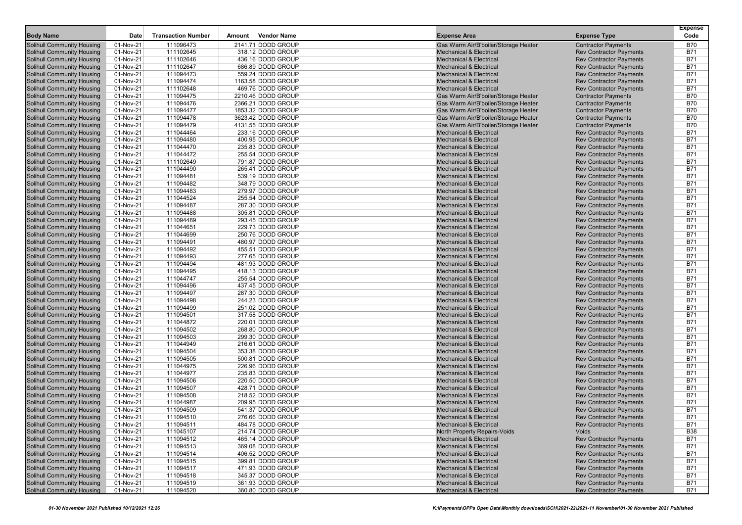| <b>Body Name</b>                                                       | Date                   | <b>Transaction Number</b> | Amount | <b>Vendor Name</b>                     | <b>Expense Area</b>                                                      | <b>Expense Type</b>                                              | <b>Expense</b><br>Code   |
|------------------------------------------------------------------------|------------------------|---------------------------|--------|----------------------------------------|--------------------------------------------------------------------------|------------------------------------------------------------------|--------------------------|
| <b>Solihull Community Housing</b>                                      | 01-Nov-21              | 111096473                 |        | 2141.71 DODD GROUP                     | Gas Warm Air/B'boiler/Storage Heater                                     | <b>Contractor Payments</b>                                       | <b>B70</b>               |
| <b>Solihull Community Housing</b>                                      | 01-Nov-21              | 111102645                 |        | 318.12 DODD GROUP                      | <b>Mechanical &amp; Electrical</b>                                       | <b>Rev Contractor Payments</b>                                   | <b>B71</b>               |
| <b>Solihull Community Housing</b>                                      | 01-Nov-21              | 111102646                 |        | 436.16 DODD GROUP                      | <b>Mechanical &amp; Electrical</b>                                       | <b>Rev Contractor Payments</b>                                   | B71                      |
| <b>Solihull Community Housing</b>                                      | 01-Nov-21              | 111102647                 |        | 686.89 DODD GROUP                      | <b>Mechanical &amp; Electrical</b>                                       | <b>Rev Contractor Payments</b>                                   | <b>B71</b>               |
| <b>Solihull Community Housing</b>                                      | 01-Nov-21              | 111094473                 |        | 559.24 DODD GROUP                      | <b>Mechanical &amp; Electrical</b>                                       | <b>Rev Contractor Payments</b>                                   | <b>B71</b>               |
| <b>Solihull Community Housing</b>                                      | 01-Nov-21              | 111094474                 |        | 1163.58 DODD GROUP                     | <b>Mechanical &amp; Electrical</b>                                       | <b>Rev Contractor Payments</b>                                   | B71                      |
| <b>Solihull Community Housing</b>                                      | 01-Nov-21              | 111102648                 |        | 469.76 DODD GROUP                      | <b>Mechanical &amp; Electrical</b>                                       | <b>Rev Contractor Payments</b>                                   | <b>B71</b>               |
| <b>Solihull Community Housing</b>                                      | 01-Nov-21              | 111094475                 |        | 2210.46 DODD GROUP                     | Gas Warm Air/B'boiler/Storage Heater                                     | <b>Contractor Payments</b>                                       | <b>B70</b>               |
| <b>Solihull Community Housing</b>                                      | 01-Nov-21              | 111094476                 |        | 2366.21 DODD GROUP                     | Gas Warm Air/B'boiler/Storage Heater                                     | <b>Contractor Payments</b>                                       | <b>B70</b>               |
| <b>Solihull Community Housing</b>                                      | 01-Nov-21              | 111094477                 |        | 1853.32 DODD GROUP                     | Gas Warm Air/B'boiler/Storage Heater                                     | <b>Contractor Payments</b>                                       | <b>B70</b>               |
| <b>Solihull Community Housing</b>                                      | 01-Nov-21              | 111094478                 |        | 3623.42 DODD GROUP                     | Gas Warm Air/B'boiler/Storage Heater                                     | <b>Contractor Payments</b>                                       | <b>B70</b>               |
| <b>Solihull Community Housing</b>                                      | 01-Nov-21              | 111094479                 |        | 4131.55 DODD GROUP                     | Gas Warm Air/B'boiler/Storage Heater                                     | <b>Contractor Payments</b>                                       | <b>B70</b>               |
| <b>Solihull Community Housing</b>                                      | 01-Nov-21              | 111044464                 |        | 233.16 DODD GROUP                      | <b>Mechanical &amp; Electrical</b>                                       | <b>Rev Contractor Payments</b>                                   | <b>B71</b>               |
| <b>Solihull Community Housing</b>                                      | 01-Nov-21              | 111094480                 |        | 400.95 DODD GROUP                      | <b>Mechanical &amp; Electrical</b>                                       | <b>Rev Contractor Payments</b>                                   | B71                      |
| <b>Solihull Community Housing</b>                                      | 01-Nov-21              | 111044470                 |        | 235.83 DODD GROUP                      | <b>Mechanical &amp; Electrical</b>                                       | <b>Rev Contractor Payments</b>                                   | <b>B71</b>               |
| <b>Solihull Community Housing</b>                                      | 01-Nov-21              | 111044472                 |        | 255.54 DODD GROUP                      | <b>Mechanical &amp; Electrical</b>                                       | <b>Rev Contractor Payments</b>                                   | <b>B71</b>               |
| <b>Solihull Community Housing</b>                                      | 01-Nov-21              | 111102649                 |        | 791.87 DODD GROUP                      | <b>Mechanical &amp; Electrical</b>                                       | <b>Rev Contractor Payments</b>                                   | <b>B71</b>               |
| <b>Solihull Community Housing</b>                                      | 01-Nov-21              | 111044490                 |        | 265.41 DODD GROUP                      | <b>Mechanical &amp; Electrical</b>                                       | <b>Rev Contractor Payments</b>                                   | <b>B71</b>               |
| <b>Solihull Community Housing</b>                                      | 01-Nov-21              | 111094481                 |        | 539.19 DODD GROUP                      | <b>Mechanical &amp; Electrical</b>                                       | <b>Rev Contractor Payments</b>                                   | B71                      |
| <b>Solihull Community Housing</b>                                      | 01-Nov-21              | 111094482                 |        | 348.79 DODD GROUP                      | <b>Mechanical &amp; Electrical</b>                                       | <b>Rev Contractor Payments</b>                                   | <b>B71</b>               |
| <b>Solihull Community Housing</b>                                      | 01-Nov-21              | 111094483                 |        | 279.97 DODD GROUP                      | <b>Mechanical &amp; Electrical</b>                                       | <b>Rev Contractor Payments</b>                                   | <b>B71</b>               |
| <b>Solihull Community Housing</b>                                      | 01-Nov-21              | 111044524                 |        | 255.54 DODD GROUP                      | <b>Mechanical &amp; Electrical</b>                                       | <b>Rev Contractor Payments</b>                                   | <b>B71</b>               |
| <b>Solihull Community Housing</b>                                      | 01-Nov-21              | 111094487                 |        | 287.30 DODD GROUP                      | <b>Mechanical &amp; Electrical</b>                                       | <b>Rev Contractor Payments</b>                                   | <b>B71</b>               |
| <b>Solihull Community Housing</b>                                      | 01-Nov-21              | 111094488                 |        | 305.81 DODD GROUP                      | <b>Mechanical &amp; Electrical</b>                                       | <b>Rev Contractor Payments</b>                                   | B71                      |
| <b>Solihull Community Housing</b>                                      | 01-Nov-21              | 111094489                 |        | 293.45 DODD GROUP                      | <b>Mechanical &amp; Electrical</b>                                       | <b>Rev Contractor Payments</b>                                   | <b>B71</b>               |
| <b>Solihull Community Housing</b>                                      | 01-Nov-21              | 111044651                 |        | 229.73 DODD GROUP                      | <b>Mechanical &amp; Electrical</b>                                       | <b>Rev Contractor Payments</b>                                   | <b>B71</b>               |
| <b>Solihull Community Housing</b>                                      | 01-Nov-21              | 111044699                 |        | 250.76 DODD GROUP                      | <b>Mechanical &amp; Electrical</b>                                       | <b>Rev Contractor Payments</b>                                   | B71                      |
| <b>Solihull Community Housing</b>                                      | 01-Nov-21              | 111094491                 |        | 480.97 DODD GROUP                      | <b>Mechanical &amp; Electrical</b>                                       | <b>Rev Contractor Payments</b>                                   | <b>B71</b>               |
| <b>Solihull Community Housing</b>                                      | 01-Nov-21              | 111094492                 |        | 455.51 DODD GROUP                      | <b>Mechanical &amp; Electrical</b>                                       | <b>Rev Contractor Payments</b>                                   | <b>B71</b>               |
| <b>Solihull Community Housing</b>                                      | 01-Nov-21              | 111094493                 |        | 277.65 DODD GROUP                      | <b>Mechanical &amp; Electrical</b>                                       | <b>Rev Contractor Payments</b>                                   | <b>B71</b>               |
| <b>Solihull Community Housing</b>                                      | 01-Nov-21              | 111094494                 |        | 481.93 DODD GROUP                      | <b>Mechanical &amp; Electrical</b>                                       | <b>Rev Contractor Payments</b>                                   | <b>B71</b>               |
| <b>Solihull Community Housing</b>                                      | 01-Nov-21              | 111094495                 |        | 418.13 DODD GROUP                      | <b>Mechanical &amp; Electrical</b>                                       | <b>Rev Contractor Payments</b>                                   | B71                      |
| <b>Solihull Community Housing</b>                                      | 01-Nov-21              | 111044747                 |        | 255.54 DODD GROUP                      | <b>Mechanical &amp; Electrical</b>                                       | <b>Rev Contractor Payments</b>                                   | <b>B71</b>               |
| <b>Solihull Community Housing</b>                                      | 01-Nov-21              | 111094496                 |        | 437.45 DODD GROUP                      | <b>Mechanical &amp; Electrical</b>                                       | <b>Rev Contractor Payments</b>                                   | <b>B71</b>               |
| <b>Solihull Community Housing</b>                                      | 01-Nov-21              | 111094497                 |        | 287.30 DODD GROUP                      | <b>Mechanical &amp; Electrical</b>                                       | <b>Rev Contractor Payments</b>                                   | B71                      |
| <b>Solihull Community Housing</b>                                      | 01-Nov-21              | 111094498                 |        | 244.23 DODD GROUP                      | <b>Mechanical &amp; Electrical</b>                                       | <b>Rev Contractor Payments</b>                                   | <b>B71</b>               |
| <b>Solihull Community Housing</b>                                      | 01-Nov-21              | 111094499                 |        | 251.02 DODD GROUP                      | <b>Mechanical &amp; Electrical</b>                                       | <b>Rev Contractor Payments</b>                                   | <b>B71</b>               |
| <b>Solihull Community Housing</b>                                      | 01-Nov-21              | 111094501                 |        | 317.58 DODD GROUP                      | <b>Mechanical &amp; Electrical</b>                                       | <b>Rev Contractor Payments</b>                                   | <b>B71</b>               |
| <b>Solihull Community Housing</b>                                      | 01-Nov-21              | 111044872                 |        | 220.01 DODD GROUP                      | <b>Mechanical &amp; Electrical</b>                                       | <b>Rev Contractor Payments</b>                                   | <b>B71</b>               |
| <b>Solihull Community Housing</b>                                      | 01-Nov-21              | 111094502                 |        | 268.80 DODD GROUP                      | <b>Mechanical &amp; Electrical</b>                                       | <b>Rev Contractor Payments</b>                                   | B71                      |
| <b>Solihull Community Housing</b>                                      | 01-Nov-21              | 111094503                 |        | 299.30 DODD GROUP                      | <b>Mechanical &amp; Electrical</b>                                       | <b>Rev Contractor Payments</b>                                   | <b>B71</b>               |
| <b>Solihull Community Housing</b>                                      | 01-Nov-21              | 111044949                 |        | 216.61 DODD GROUP                      | <b>Mechanical &amp; Electrical</b>                                       | <b>Rev Contractor Payments</b>                                   | <b>B71</b>               |
| <b>Solihull Community Housing</b>                                      | 01-Nov-21              | 111094504                 |        | 353.38 DODD GROUP                      | <b>Mechanical &amp; Electrical</b><br><b>Mechanical &amp; Electrical</b> | <b>Rev Contractor Payments</b>                                   | <b>B71</b><br><b>B71</b> |
| <b>Solihull Community Housing</b><br><b>Solihull Community Housing</b> | 01-Nov-21              | 111094505<br>111044975    |        | 500.81 DODD GROUP<br>226.96 DODD GROUP | <b>Mechanical &amp; Electrical</b>                                       | <b>Rev Contractor Payments</b><br><b>Rev Contractor Payments</b> | <b>B71</b>               |
| <b>Solihull Community Housing</b>                                      | 01-Nov-21<br>01-Nov-21 | 111044977                 |        | 235.83 DODD GROUP                      | <b>Mechanical &amp; Electrical</b>                                       | <b>Rev Contractor Payments</b>                                   | <b>B71</b>               |
| <b>Solihull Community Housing</b>                                      | 01-Nov-21              | 111094506                 |        | 220.50 DODD GROUP                      | <b>Mechanical &amp; Electrical</b>                                       | <b>Rev Contractor Payments</b>                                   | <b>B71</b>               |
| <b>Solihull Community Housing</b>                                      | 01-Nov-21              | 111094507                 |        | 428.71 DODD GROUP                      | <b>Mechanical &amp; Electrical</b>                                       | <b>Rev Contractor Payments</b>                                   | B71                      |
| <b>Solihull Community Housing</b>                                      | 01-Nov-21              | 111094508                 |        | 218.52 DODD GROUP                      | <b>Mechanical &amp; Electrical</b>                                       | <b>Rev Contractor Payments</b>                                   | <b>B71</b>               |
| <b>Solihull Community Housing</b>                                      | 01-Nov-21              | 111044987                 |        | 209.95 DODD GROUP                      | <b>Mechanical &amp; Electrical</b>                                       | <b>Rev Contractor Payments</b>                                   | <b>B71</b>               |
| <b>Solihull Community Housing</b>                                      | 01-Nov-21              | 111094509                 |        | 541.37 DODD GROUP                      | <b>Mechanical &amp; Electrical</b>                                       | <b>Rev Contractor Payments</b>                                   | B71                      |
| <b>Solihull Community Housing</b>                                      | 01-Nov-21              | 111094510                 |        | 276.66 DODD GROUP                      | <b>Mechanical &amp; Electrical</b>                                       | <b>Rev Contractor Payments</b>                                   | B71                      |
| Solihull Community Housing                                             | 01-Nov-21              | 111094511                 |        | 484.78 DODD GROUP                      | <b>Mechanical &amp; Electrical</b>                                       | <b>Rev Contractor Payments</b>                                   | <b>B71</b>               |
| <b>Solihull Community Housing</b>                                      | 01-Nov-21              | 111045107                 |        | 214.74 DODD GROUP                      | North Property Repairs-Voids                                             | Voids                                                            | <b>B38</b>               |
| <b>Solihull Community Housing</b>                                      | 01-Nov-21              | 111094512                 |        | 465.14 DODD GROUP                      | <b>Mechanical &amp; Electrical</b>                                       | <b>Rev Contractor Payments</b>                                   | <b>B71</b>               |
| Solihull Community Housing                                             | 01-Nov-21              | 111094513                 |        | 369.08 DODD GROUP                      | <b>Mechanical &amp; Electrical</b>                                       | <b>Rev Contractor Payments</b>                                   | B71                      |
| Solihull Community Housing                                             | 01-Nov-21              | 111094514                 |        | 406.52 DODD GROUP                      | <b>Mechanical &amp; Electrical</b>                                       | <b>Rev Contractor Payments</b>                                   | <b>B71</b>               |
| Solihull Community Housing                                             | 01-Nov-21              | 111094515                 |        | 399.81 DODD GROUP                      | <b>Mechanical &amp; Electrical</b>                                       | <b>Rev Contractor Payments</b>                                   | <b>B71</b>               |
| Solihull Community Housing                                             | 01-Nov-21              | 111094517                 |        | 471.93 DODD GROUP                      | <b>Mechanical &amp; Electrical</b>                                       | <b>Rev Contractor Payments</b>                                   | <b>B71</b>               |
| <b>Solihull Community Housing</b>                                      | 01-Nov-21              | 111094518                 |        | 345.37 DODD GROUP                      | <b>Mechanical &amp; Electrical</b>                                       | <b>Rev Contractor Payments</b>                                   | <b>B71</b>               |
| <b>Solihull Community Housing</b>                                      | 01-Nov-21              | 111094519                 |        | 361.93 DODD GROUP                      | <b>Mechanical &amp; Electrical</b>                                       | <b>Rev Contractor Payments</b>                                   | B71                      |
| <b>Solihull Community Housing</b>                                      | 01-Nov-21              | 111094520                 |        | 360.80 DODD GROUP                      | <b>Mechanical &amp; Electrical</b>                                       | <b>Rev Contractor Payments</b>                                   | <b>B71</b>               |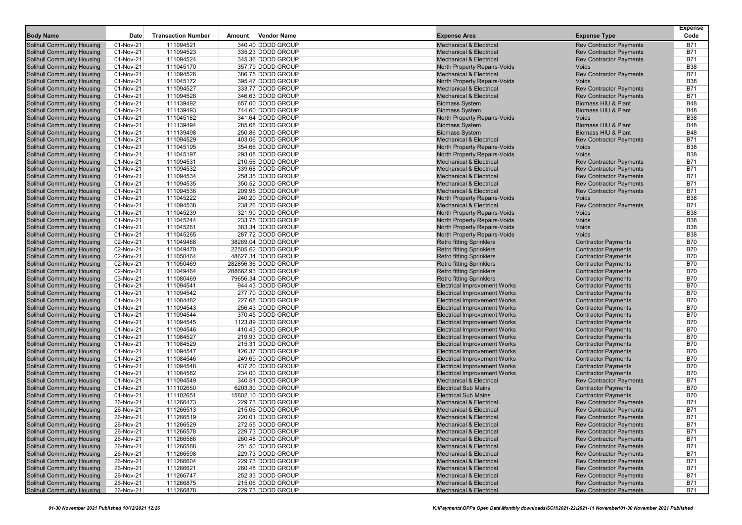| <b>Body Name</b>                                                       | Date                   | <b>Transaction Number</b> | Amount | <b>Vendor Name</b>                     | <b>Expense Area</b>                                                        | <b>Expense Type</b>                                      | <b>Expense</b><br>Code   |
|------------------------------------------------------------------------|------------------------|---------------------------|--------|----------------------------------------|----------------------------------------------------------------------------|----------------------------------------------------------|--------------------------|
| Solihull Community Housing                                             | 01-Nov-21              | 111094521                 |        | 340.40 DODD GROUP                      | <b>Mechanical &amp; Electrical</b>                                         | <b>Rev Contractor Payments</b>                           | <b>B71</b>               |
| <b>Solihull Community Housing</b>                                      | 01-Nov-21              | 111094523                 |        | 335.23 DODD GROUP                      | <b>Mechanical &amp; Electrical</b>                                         | <b>Rev Contractor Payments</b>                           | <b>B71</b>               |
| <b>Solihull Community Housing</b>                                      | 01-Nov-21              | 111094524                 |        | 345.36 DODD GROUP                      | <b>Mechanical &amp; Electrical</b>                                         | <b>Rev Contractor Payments</b>                           | B71                      |
| Solihull Community Housing                                             | 01-Nov-21              | 111045170                 |        | 357.79 DODD GROUP                      | <b>North Property Repairs-Voids</b>                                        | Voids                                                    | <b>B38</b>               |
| <b>Solihull Community Housing</b>                                      | 01-Nov-21              | 111094526                 |        | 386.75 DODD GROUP                      | <b>Mechanical &amp; Electrical</b>                                         | <b>Rev Contractor Payments</b>                           | <b>B71</b>               |
| Solihull Community Housing                                             | 01-Nov-21              | 111045172                 |        | 395.47 DODD GROUP                      | North Property Repairs-Voids                                               | Voids                                                    | <b>B38</b>               |
| <b>Solihull Community Housing</b>                                      | 01-Nov-21              | 111094527                 |        | 333.77 DODD GROUP                      | <b>Mechanical &amp; Electrical</b>                                         | <b>Rev Contractor Payments</b>                           | <b>B71</b>               |
| <b>Solihull Community Housing</b>                                      | 01-Nov-21              | 111094528                 |        | 346.63 DODD GROUP                      | <b>Mechanical &amp; Electrical</b>                                         | <b>Rev Contractor Payments</b>                           | B71                      |
| <b>Solihull Community Housing</b>                                      | 01-Nov-21              | 111139492                 |        | 657.00 DODD GROUP                      | <b>Biomass System</b>                                                      | Biomass HIU & Plant                                      | <b>B48</b>               |
| <b>Solihull Community Housing</b>                                      | 01-Nov-21              | 111139493                 |        | 744.60 DODD GROUP                      | <b>Biomass System</b>                                                      | Biomass HIU & Plant                                      | <b>B48</b>               |
| <b>Solihull Community Housing</b>                                      | 01-Nov-21              | 111045182                 |        | 341.64 DODD GROUP                      | North Property Repairs-Voids                                               | Voids                                                    | <b>B38</b>               |
| Solihull Community Housing                                             | 01-Nov-21              | 111139494                 |        | 285.68 DODD GROUP                      | <b>Biomass System</b>                                                      | Biomass HIU & Plant                                      | <b>B48</b>               |
| Solihull Community Housing                                             | 01-Nov-21              | 111139498                 |        | 250.86 DODD GROUP                      | <b>Biomass System</b>                                                      | Biomass HIU & Plant                                      | <b>B48</b>               |
| <b>Solihull Community Housing</b>                                      | 01-Nov-21              | 111094529                 |        | 403.06 DODD GROUP                      | <b>Mechanical &amp; Electrical</b>                                         | <b>Rev Contractor Payments</b>                           | <b>B71</b>               |
| <b>Solihull Community Housing</b>                                      | 01-Nov-21              | 111045195                 |        | 354.66 DODD GROUP                      | North Property Repairs-Voids                                               | Voids                                                    | <b>B38</b>               |
| Solihull Community Housing                                             | 01-Nov-21              | 111045197                 |        | 293.08 DODD GROUP                      | North Property Repairs-Voids                                               | Voids                                                    | <b>B38</b>               |
| <b>Solihull Community Housing</b>                                      | 01-Nov-21              | 111094531                 |        | 210.56 DODD GROUP                      | <b>Mechanical &amp; Electrical</b>                                         | <b>Rev Contractor Payments</b>                           | <b>B71</b>               |
| <b>Solihull Community Housing</b>                                      | 01-Nov-21              | 111094532                 |        | 339.68 DODD GROUP                      | <b>Mechanical &amp; Electrical</b>                                         | <b>Rev Contractor Payments</b>                           | <b>B71</b>               |
| <b>Solihull Community Housing</b>                                      | 01-Nov-21              | 111094534                 |        | 258.35 DODD GROUP                      | <b>Mechanical &amp; Electrical</b>                                         | <b>Rev Contractor Payments</b>                           | B71                      |
| Solihull Community Housing                                             | 01-Nov-21              | 111094535                 |        | 350.52 DODD GROUP                      | <b>Mechanical &amp; Electrical</b>                                         | <b>Rev Contractor Payments</b>                           | <b>B71</b>               |
| <b>Solihull Community Housing</b>                                      | 01-Nov-21              | 111094536                 |        | 209.95 DODD GROUP                      | <b>Mechanical &amp; Electrical</b>                                         | <b>Rev Contractor Payments</b>                           | <b>B71</b>               |
| Solihull Community Housing                                             | $01-Nov-21$            | 111045222                 |        | 240.20 DODD GROUP                      | North Property Repairs-Voids                                               | Voids                                                    | <b>B38</b>               |
| <b>Solihull Community Housing</b>                                      | 01-Nov-21              | 111094538                 |        | 238.26 DODD GROUP                      | <b>Mechanical &amp; Electrical</b>                                         | <b>Rev Contractor Payments</b>                           | <b>B71</b>               |
| <b>Solihull Community Housing</b>                                      | 01-Nov-21              | 111045239                 |        | 321.90 DODD GROUP                      | North Property Repairs-Voids                                               | Voids                                                    | <b>B38</b>               |
| <b>Solihull Community Housing</b>                                      | 01-Nov-21              | 111045244                 |        | 233.75 DODD GROUP                      | North Property Repairs-Voids                                               | Voids                                                    | <b>B38</b>               |
| Solihull Community Housing                                             | 01-Nov-21              | 111045261                 |        | 383.34 DODD GROUP                      | North Property Repairs-Voids                                               | Voids                                                    | <b>B38</b>               |
| <b>Solihull Community Housing</b>                                      | 01-Nov-21              | 111045265                 |        | 287.72 DODD GROUP                      | North Property Repairs-Voids                                               | Voids                                                    | <b>B38</b>               |
| <b>Solihull Community Housing</b>                                      | 02-Nov-21              | 111049468                 |        | 38269.04 DODD GROUP                    | <b>Retro fitting Sprinklers</b>                                            | <b>Contractor Payments</b>                               | <b>B70</b>               |
| Solihull Community Housing                                             | 02-Nov-21              | 111049470                 |        | 22505.62 DODD GROUP                    | <b>Retro fitting Sprinklers</b>                                            | <b>Contractor Payments</b>                               | <b>B70</b>               |
| <b>Solihull Community Housing</b>                                      | 02-Nov-21              | 111050464                 |        | 48627.34 DODD GROUP                    | <b>Retro fitting Sprinklers</b>                                            | <b>Contractor Payments</b>                               | <b>B70</b>               |
| <b>Solihull Community Housing</b>                                      | 02-Nov-21              | 111050469                 |        | 282856.36 DODD GROUP                   | <b>Retro fitting Sprinklers</b>                                            | <b>Contractor Payments</b>                               | <b>B70</b>               |
| <b>Solihull Community Housing</b>                                      | 02-Nov-21              | 111049464                 |        | 288662.93 DODD GROUP                   | <b>Retro fitting Sprinklers</b>                                            | <b>Contractor Payments</b>                               | <b>B70</b>               |
| Solihull Community Housing                                             | 03-Nov-21              | 111080469                 |        | 79656.34 DODD GROUP                    | <b>Retro fitting Sprinklers</b>                                            | <b>Contractor Payments</b>                               | <b>B70</b>               |
| <b>Solihull Community Housing</b>                                      | 01-Nov-21              | 111094541                 |        | 944.43 DODD GROUP                      | <b>Electrical Improvement Works</b>                                        | <b>Contractor Payments</b>                               | <b>B70</b>               |
| <b>Solihull Community Housing</b>                                      | 01-Nov-21              | 111094542                 |        | 277.70 DODD GROUP                      | <b>Electrical Improvement Works</b>                                        | <b>Contractor Payments</b>                               | <b>B70</b>               |
| <b>Solihull Community Housing</b>                                      | 01-Nov-21              | 111084482                 |        | 227.68 DODD GROUP                      | <b>Electrical Improvement Works</b>                                        | <b>Contractor Payments</b>                               | <b>B70</b>               |
| <b>Solihull Community Housing</b>                                      | 01-Nov-21              | 111094543<br>111094544    |        | 256.43 DODD GROUP<br>370.45 DODD GROUP | <b>Electrical Improvement Works</b>                                        | <b>Contractor Payments</b>                               | <b>B70</b><br><b>B70</b> |
| <b>Solihull Community Housing</b><br><b>Solihull Community Housing</b> | 01-Nov-21<br>01-Nov-21 | 111094545                 |        | 1123.89 DODD GROUP                     | <b>Electrical Improvement Works</b>                                        | <b>Contractor Payments</b><br><b>Contractor Payments</b> | <b>B70</b>               |
| <b>Solihull Community Housing</b>                                      | 01-Nov-21              | 111094546                 |        | 410.43 DODD GROUP                      | <b>Electrical Improvement Works</b>                                        | <b>Contractor Payments</b>                               | <b>B70</b>               |
| Solihull Community Housing                                             | 01-Nov-21              | 111084527                 |        | 219.93 DODD GROUP                      | <b>Electrical Improvement Works</b><br><b>Electrical Improvement Works</b> | <b>Contractor Payments</b>                               | <b>B70</b>               |
| <b>Solihull Community Housing</b>                                      | 01-Nov-21              | 111084529                 |        | 215.31 DODD GROUP                      | <b>Electrical Improvement Works</b>                                        | <b>Contractor Payments</b>                               | <b>B70</b>               |
| <b>Solihull Community Housing</b>                                      | 01-Nov-21              | 111094547                 |        | 426.37 DODD GROUP                      | <b>Electrical Improvement Works</b>                                        | <b>Contractor Payments</b>                               | <b>B70</b>               |
| <b>Solihull Community Housing</b>                                      | 01-Nov-21              | 111084546                 |        | 249.69 DODD GROUP                      | <b>Electrical Improvement Works</b>                                        | <b>Contractor Payments</b>                               | <b>B70</b>               |
| <b>Solihull Community Housing</b>                                      | 01-Nov-21              | 111094548                 |        | 437.20 DODD GROUP                      | <b>Electrical Improvement Works</b>                                        | <b>Contractor Payments</b>                               | <b>B70</b>               |
| <b>Solihull Community Housing</b>                                      | 01-Nov-21              | 111084582                 |        | 234.00 DODD GROUP                      | <b>Electrical Improvement Works</b>                                        | <b>Contractor Payments</b>                               | <b>B70</b>               |
| <b>Solihull Community Housing</b>                                      | 01-Nov-21              | 111094549                 |        | 340.51 DODD GROUP                      | <b>Mechanical &amp; Electrical</b>                                         | <b>Rev Contractor Payments</b>                           | <b>B71</b>               |
| <b>Solihull Community Housing</b>                                      | 01-Nov-21              | 111102650                 |        | 6203.30 DODD GROUP                     | <b>Electrical Sub Mains</b>                                                | <b>Contractor Payments</b>                               | <b>B70</b>               |
| <b>Solihull Community Housing</b>                                      | 01-Nov-21              | 111102651                 |        | 15802.10 DODD GROUP                    | <b>Electrical Sub Mains</b>                                                | <b>Contractor Payments</b>                               | <b>B70</b>               |
| <b>Solihull Community Housing</b>                                      | 26-Nov-21              | 111266473                 |        | 229.73 DODD GROUP                      | <b>Mechanical &amp; Electrical</b>                                         | <b>Rev Contractor Payments</b>                           | B71                      |
| <b>Solihull Community Housing</b>                                      | 26-Nov-21              | 111266513                 |        | 215.06 DODD GROUP                      | <b>Mechanical &amp; Electrical</b>                                         | <b>Rev Contractor Payments</b>                           | B71                      |
| <b>Solihull Community Housing</b>                                      | 26-Nov-21              | 111266519                 |        | 220.01 DODD GROUP                      | <b>Mechanical &amp; Electrical</b>                                         | <b>Rev Contractor Payments</b>                           | B71                      |
| <b>Solihull Community Housing</b>                                      | 26-Nov-21              | 111266529                 |        | 272.55 DODD GROUP                      | <b>Mechanical &amp; Electrical</b>                                         | <b>Rev Contractor Payments</b>                           | <b>B71</b>               |
| <b>Solihull Community Housing</b>                                      | 26-Nov-21              | 111266578                 |        | 229.73 DODD GROUP                      | <b>Mechanical &amp; Electrical</b>                                         | <b>Rev Contractor Payments</b>                           | <b>B71</b>               |
| <b>Solihull Community Housing</b>                                      | 26-Nov-21              | 111266586                 |        | 260.48 DODD GROUP                      | <b>Mechanical &amp; Electrical</b>                                         | <b>Rev Contractor Payments</b>                           | <b>B71</b>               |
| <b>Solihull Community Housing</b>                                      | 26-Nov-21              | 111266588                 |        | 251.50 DODD GROUP                      | <b>Mechanical &amp; Electrical</b>                                         | <b>Rev Contractor Payments</b>                           | <b>B71</b>               |
| <b>Solihull Community Housing</b>                                      | 26-Nov-21              | 111266598                 |        | 229.73 DODD GROUP                      | <b>Mechanical &amp; Electrical</b>                                         | <b>Rev Contractor Payments</b>                           | <b>B71</b>               |
| <b>Solihull Community Housing</b>                                      | 26-Nov-21              | 111266604                 |        | 229.73 DODD GROUP                      | <b>Mechanical &amp; Electrical</b>                                         | <b>Rev Contractor Payments</b>                           | <b>B71</b>               |
| <b>Solihull Community Housing</b>                                      | 26-Nov-21              | 111266621                 |        | 260.48 DODD GROUP                      | <b>Mechanical &amp; Electrical</b>                                         | <b>Rev Contractor Payments</b>                           | <b>B71</b>               |
| <b>Solihull Community Housing</b>                                      | 26-Nov-21              | 111266747                 |        | 252.33 DODD GROUP                      | <b>Mechanical &amp; Electrical</b>                                         | <b>Rev Contractor Payments</b>                           | <b>B71</b>               |
| <b>Solihull Community Housing</b>                                      | 26-Nov-21              | 111266875                 |        | 215.06 DODD GROUP                      | <b>Mechanical &amp; Electrical</b>                                         | <b>Rev Contractor Payments</b>                           | <b>B71</b>               |
| <b>Solihull Community Housing</b>                                      | 26-Nov-21              | 111266878                 |        | 229.73 DODD GROUP                      | <b>Mechanical &amp; Electrical</b>                                         | <b>Rev Contractor Payments</b>                           | <b>B71</b>               |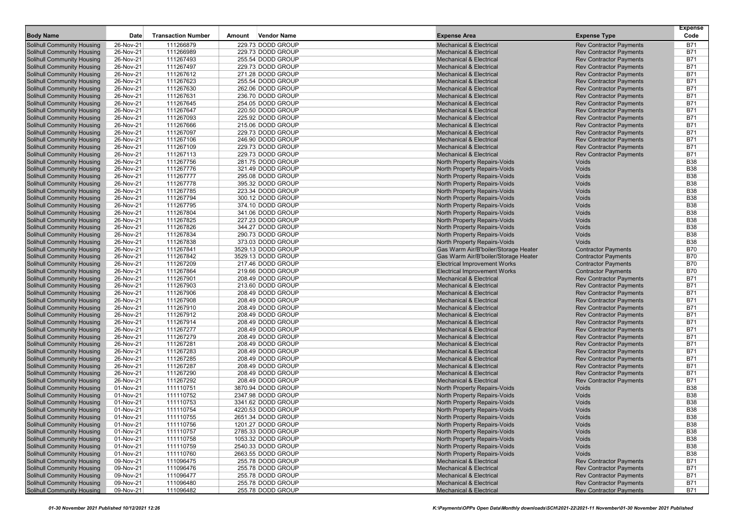| <b>Body Name</b>                                                       | Date                   | <b>Transaction Number</b> | Amount | Vendor Name                            | <b>Expense Area</b>                                                      | <b>Expense Type</b>                                              | <b>Expense</b><br>Code   |
|------------------------------------------------------------------------|------------------------|---------------------------|--------|----------------------------------------|--------------------------------------------------------------------------|------------------------------------------------------------------|--------------------------|
|                                                                        |                        |                           |        |                                        |                                                                          |                                                                  |                          |
| Solihull Community Housing                                             | 26-Nov-21              | 111266879                 |        | 229.73 DODD GROUP                      | <b>Mechanical &amp; Electrical</b>                                       | <b>Rev Contractor Payments</b>                                   | <b>B71</b>               |
| <b>Solihull Community Housing</b>                                      | 26-Nov-21              | 111266989                 |        | 229.73 DODD GROUP                      | <b>Mechanical &amp; Electrical</b>                                       | <b>Rev Contractor Payments</b>                                   | <b>B71</b>               |
| <b>Solihull Community Housing</b>                                      | 26-Nov-21<br>26-Nov-21 | 111267493<br>111267497    |        | 255.54 DODD GROUP<br>229.73 DODD GROUP | <b>Mechanical &amp; Electrical</b><br><b>Mechanical &amp; Electrical</b> | <b>Rev Contractor Payments</b>                                   | <b>B71</b><br><b>B71</b> |
| <b>Solihull Community Housing</b><br><b>Solihull Community Housing</b> | 26-Nov-21              | 111267612                 |        | 271.28 DODD GROUP                      | <b>Mechanical &amp; Electrical</b>                                       | <b>Rev Contractor Payments</b><br><b>Rev Contractor Payments</b> | <b>B71</b>               |
| <b>Solihull Community Housing</b>                                      | 26-Nov-21              | 111267623                 |        | 255.54 DODD GROUP                      | <b>Mechanical &amp; Electrical</b>                                       | <b>Rev Contractor Payments</b>                                   | <b>B71</b>               |
| <b>Solihull Community Housing</b>                                      | 26-Nov-21              | 111267630                 |        | 262.06 DODD GROUP                      | <b>Mechanical &amp; Electrical</b>                                       | <b>Rev Contractor Payments</b>                                   | <b>B71</b>               |
| <b>Solihull Community Housing</b>                                      | 26-Nov-21              | 111267631                 |        | 236.70 DODD GROUP                      | <b>Mechanical &amp; Electrical</b>                                       | <b>Rev Contractor Payments</b>                                   | <b>B71</b>               |
| <b>Solihull Community Housing</b>                                      | 26-Nov-21              | 111267645                 |        | 254.05 DODD GROUP                      | <b>Mechanical &amp; Electrical</b>                                       | <b>Rev Contractor Payments</b>                                   | <b>B71</b>               |
| <b>Solihull Community Housing</b>                                      | 26-Nov-21              | 111267647                 |        | 220.50 DODD GROUP                      | <b>Mechanical &amp; Electrical</b>                                       | <b>Rev Contractor Payments</b>                                   | <b>B71</b>               |
| <b>Solihull Community Housing</b>                                      | 26-Nov-21              | 111267093                 |        | 225.92 DODD GROUP                      | <b>Mechanical &amp; Electrical</b>                                       | <b>Rev Contractor Payments</b>                                   | <b>B71</b>               |
| <b>Solihull Community Housing</b>                                      | 26-Nov-21              | 111267666                 |        | 215.06 DODD GROUP                      | <b>Mechanical &amp; Electrical</b>                                       | <b>Rev Contractor Payments</b>                                   | <b>B71</b>               |
| <b>Solihull Community Housing</b>                                      | 26-Nov-21              | 111267097                 |        | 229.73 DODD GROUP                      | <b>Mechanical &amp; Electrical</b>                                       | <b>Rev Contractor Payments</b>                                   | <b>B71</b>               |
| <b>Solihull Community Housing</b>                                      | 26-Nov-21              | 111267106                 |        | 246.90 DODD GROUP                      | <b>Mechanical &amp; Electrical</b>                                       | <b>Rev Contractor Payments</b>                                   | <b>B71</b>               |
| <b>Solihull Community Housing</b>                                      | 26-Nov-21              | 111267109                 |        | 229.73 DODD GROUP                      | <b>Mechanical &amp; Electrical</b>                                       | <b>Rev Contractor Payments</b>                                   | <b>B71</b>               |
| <b>Solihull Community Housing</b>                                      | 26-Nov-21              | 111267113                 |        | 229.73 DODD GROUP                      | <b>Mechanical &amp; Electrical</b>                                       | <b>Rev Contractor Payments</b>                                   | <b>B71</b>               |
| <b>Solihull Community Housing</b>                                      | 26-Nov-21              | 111267756                 |        | 281.75 DODD GROUP                      | North Property Repairs-Voids                                             | Voids                                                            | <b>B38</b>               |
| <b>Solihull Community Housing</b>                                      | 26-Nov-21              | 111267776                 |        | 321.49 DODD GROUP                      | North Property Repairs-Voids                                             | Voids                                                            | <b>B38</b>               |
| <b>Solihull Community Housing</b>                                      | 26-Nov-21              | 111267777                 |        | 295.08 DODD GROUP                      | North Property Repairs-Voids                                             | Voids                                                            | <b>B38</b>               |
| <b>Solihull Community Housing</b>                                      | 26-Nov-21              | 111267778                 |        | 395.32 DODD GROUP                      | North Property Repairs-Voids                                             | Voids                                                            | <b>B38</b>               |
| <b>Solihull Community Housing</b>                                      | 26-Nov-21              | 111267785                 |        | 223.34 DODD GROUP                      | North Property Repairs-Voids                                             | Voids                                                            | <b>B38</b>               |
| <b>Solihull Community Housing</b>                                      | 26-Nov-21              | 111267794                 |        | 300.12 DODD GROUP                      | North Property Repairs-Voids                                             | Voids                                                            | <b>B38</b>               |
| <b>Solihull Community Housing</b>                                      | 26-Nov-21              | 111267795                 |        | 374.10 DODD GROUP                      | North Property Repairs-Voids                                             | Voids                                                            | <b>B38</b>               |
| <b>Solihull Community Housing</b>                                      | 26-Nov-21              | 111267804                 |        | 341.06 DODD GROUP                      | North Property Repairs-Voids                                             | Voids                                                            | <b>B38</b>               |
| <b>Solihull Community Housing</b>                                      | 26-Nov-21              | 111267825                 |        | 227.23 DODD GROUP                      | North Property Repairs-Voids                                             | Voids                                                            | <b>B38</b>               |
| <b>Solihull Community Housing</b>                                      | 26-Nov-21              | 111267826                 |        | 344.27 DODD GROUP                      | North Property Repairs-Voids                                             | <b>Voids</b>                                                     | <b>B38</b>               |
| <b>Solihull Community Housing</b>                                      | 26-Nov-21              | 111267834                 |        | 290.73 DODD GROUP                      | North Property Repairs-Voids                                             | <b>Voids</b>                                                     | <b>B38</b>               |
| <b>Solihull Community Housing</b>                                      | 26-Nov-21              | 111267838                 |        | 373.03 DODD GROUP                      | North Property Repairs-Voids                                             | Voids                                                            | <b>B38</b>               |
| <b>Solihull Community Housing</b>                                      | 26-Nov-21              | 111267841                 |        | 3529.13 DODD GROUP                     | Gas Warm Air/B'boiler/Storage Heater                                     | <b>Contractor Payments</b>                                       | <b>B70</b>               |
| <b>Solihull Community Housing</b>                                      | 26-Nov-21              | 111267842                 |        | 3529.13 DODD GROUP                     | Gas Warm Air/B'boiler/Storage Heater                                     | <b>Contractor Payments</b>                                       | <b>B70</b>               |
| <b>Solihull Community Housing</b>                                      | 26-Nov-21              | 111267209                 |        | 217.46 DODD GROUP                      | <b>Electrical Improvement Works</b>                                      | <b>Contractor Payments</b>                                       | <b>B70</b>               |
| <b>Solihull Community Housing</b>                                      | 26-Nov-21              | 111267864                 |        | 219.66 DODD GROUP                      | <b>Electrical Improvement Works</b>                                      | <b>Contractor Payments</b>                                       | <b>B70</b>               |
| <b>Solihull Community Housing</b>                                      | 26-Nov-21              | 111267901                 |        | 208.49 DODD GROUP                      | <b>Mechanical &amp; Electrical</b>                                       | <b>Rev Contractor Payments</b>                                   | <b>B71</b>               |
| <b>Solihull Community Housing</b>                                      | 26-Nov-21              | 111267903                 |        | 213.60 DODD GROUP                      | <b>Mechanical &amp; Electrical</b>                                       | <b>Rev Contractor Payments</b>                                   | <b>B71</b>               |
| <b>Solihull Community Housing</b>                                      | 26-Nov-21              | 111267906                 |        | 208.49 DODD GROUP                      | <b>Mechanical &amp; Electrical</b>                                       | <b>Rev Contractor Payments</b>                                   | <b>B71</b>               |
| <b>Solihull Community Housing</b>                                      | 26-Nov-21              | 111267908                 |        | 208.49 DODD GROUP                      | <b>Mechanical &amp; Electrical</b>                                       | <b>Rev Contractor Payments</b>                                   | <b>B71</b>               |
| <b>Solihull Community Housing</b>                                      | 26-Nov-21              | 111267910                 |        | 208.49 DODD GROUP                      | <b>Mechanical &amp; Electrical</b>                                       | <b>Rev Contractor Payments</b>                                   | <b>B71</b>               |
| <b>Solihull Community Housing</b>                                      | 26-Nov-21              | 111267912                 |        | 208.49 DODD GROUP                      | <b>Mechanical &amp; Electrical</b>                                       | <b>Rev Contractor Payments</b>                                   | <b>B71</b>               |
| <b>Solihull Community Housing</b>                                      | 26-Nov-21              | 111267914                 |        | 208.49 DODD GROUP                      | <b>Mechanical &amp; Electrical</b>                                       | <b>Rev Contractor Payments</b>                                   | <b>B71</b>               |
| <b>Solihull Community Housing</b>                                      | 26-Nov-21              | 111267277                 |        | 208.49 DODD GROUP                      | <b>Mechanical &amp; Electrical</b>                                       | <b>Rev Contractor Payments</b>                                   | <b>B71</b>               |
| <b>Solihull Community Housing</b>                                      | 26-Nov-21              | 111267279                 |        | 208.49 DODD GROUP                      | <b>Mechanical &amp; Electrical</b>                                       | <b>Rev Contractor Payments</b>                                   | <b>B71</b>               |
| <b>Solihull Community Housing</b>                                      | 26-Nov-21              | 111267281                 |        | 208.49 DODD GROUP                      | <b>Mechanical &amp; Electrical</b>                                       | <b>Rev Contractor Payments</b>                                   | <b>B71</b>               |
| <b>Solihull Community Housing</b>                                      | 26-Nov-21              | 111267283                 |        | 208.49 DODD GROUP                      | <b>Mechanical &amp; Electrical</b>                                       | <b>Rev Contractor Payments</b>                                   | <b>B71</b>               |
| <b>Solihull Community Housing</b>                                      | 26-Nov-21              | 111267285                 |        | 208.49 DODD GROUP                      | <b>Mechanical &amp; Electrical</b>                                       | <b>Rev Contractor Payments</b>                                   | <b>B71</b>               |
| <b>Solihull Community Housing</b>                                      | 26-Nov-21              | 111267287                 |        | 208.49 DODD GROUP                      | <b>Mechanical &amp; Electrical</b>                                       | <b>Rev Contractor Payments</b>                                   | <b>B71</b>               |
| <b>Solihull Community Housing</b>                                      | 26-Nov-21              | 111267290                 |        | 208.49 DODD GROUP                      | <b>Mechanical &amp; Electrical</b>                                       | <b>Rev Contractor Payments</b>                                   | <b>B71</b>               |
| <b>Solihull Community Housing</b>                                      | 26-Nov-21              | 111267292                 |        | 208.49 DODD GROUP                      | <b>Mechanical &amp; Electrical</b>                                       | <b>Rev Contractor Payments</b>                                   | <b>B71</b>               |
| <b>Solihull Community Housing</b>                                      | 01-Nov-21              | 111110751                 |        | 3870.94 DODD GROUP                     | North Property Repairs-Voids                                             | Voids                                                            | <b>B38</b>               |
| <b>Solihull Community Housing</b>                                      | 01-Nov-21              | 111110752                 |        | 2347.98 DODD GROUP                     | North Property Repairs-Voids                                             | Voids                                                            | <b>B38</b>               |
| <b>Solihull Community Housing</b>                                      | 01-Nov-21              | 111110753                 |        | 3341.62 DODD GROUP                     | <b>North Property Repairs-Voids</b>                                      | Voids                                                            | <b>B38</b>               |
| <b>Solihull Community Housing</b>                                      | 01-Nov-21              | 111110754                 |        | 4220.53 DODD GROUP                     | North Property Repairs-Voids                                             | Voids                                                            | <b>B38</b>               |
| <b>Solihull Community Housing</b>                                      | 01-Nov-21              | 111110755                 |        | 2651.34 DODD GROUP                     | North Property Repairs-Voids                                             | Voids                                                            | <b>B38</b>               |
| Solihull Community Housing                                             | 01-Nov-21              | 111110756                 |        | 1201.27 DODD GROUP                     | North Property Repairs-Voids                                             | Voids                                                            | <b>B38</b>               |
| <b>Solihull Community Housing</b>                                      | 01-Nov-21              | 111110757                 |        | 2785.33 DODD GROUP                     | North Property Repairs-Voids                                             | Voids                                                            | <b>B38</b>               |
| <b>Solihull Community Housing</b>                                      | 01-Nov-21              | 111110758                 |        | 1053.32 DODD GROUP                     | North Property Repairs-Voids                                             | Voids                                                            | <b>B38</b>               |
| <b>Solihull Community Housing</b>                                      | 01-Nov-21              | 111110759                 |        | 2540.33 DODD GROUP                     | North Property Repairs-Voids                                             | Voids                                                            | <b>B38</b>               |
| Solihull Community Housing                                             | 01-Nov-21              | 111110760                 |        | 2663.55 DODD GROUP                     | North Property Repairs-Voids                                             | Voids                                                            | <b>B38</b>               |
| <b>Solihull Community Housing</b>                                      | 09-Nov-21              | 111096475                 |        | 255.78 DODD GROUP                      | <b>Mechanical &amp; Electrical</b>                                       | <b>Rev Contractor Payments</b>                                   | <b>B71</b>               |
| Solihull Community Housing                                             | 09-Nov-21              | 111096476                 |        | 255.78 DODD GROUP                      | <b>Mechanical &amp; Electrical</b>                                       | <b>Rev Contractor Payments</b>                                   | <b>B71</b>               |
| Solihull Community Housing                                             | 09-Nov-21              | 111096477                 |        | 255.78 DODD GROUP                      | <b>Mechanical &amp; Electrical</b>                                       | <b>Rev Contractor Payments</b>                                   | <b>B71</b>               |
| Solihull Community Housing                                             | 09-Nov-21              | 111096480                 |        | 255.78 DODD GROUP                      | <b>Mechanical &amp; Electrical</b>                                       | <b>Rev Contractor Payments</b>                                   | <b>B71</b>               |
| <b>Solihull Community Housing</b>                                      | 09-Nov-21              | 111096482                 |        | 255.78 DODD GROUP                      | <b>Mechanical &amp; Electrical</b>                                       | <b>Rev Contractor Payments</b>                                   | <b>B71</b>               |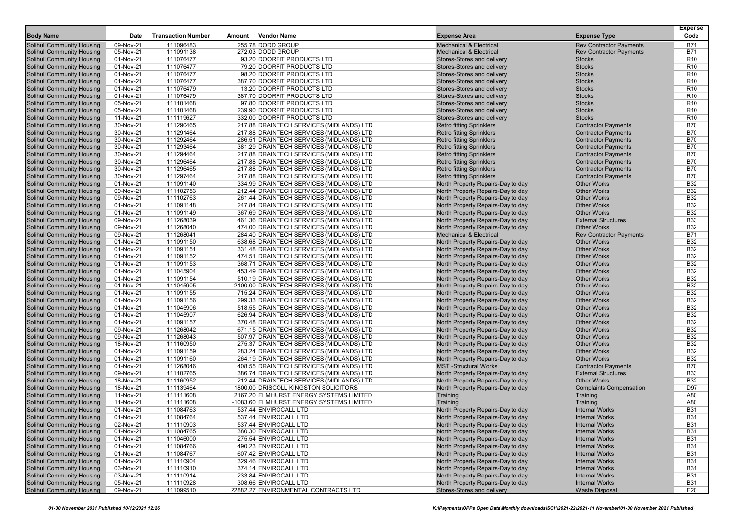| <b>Body Name</b>                                                       | Date                   | <b>Transaction Number</b> | Amount | <b>Vendor Name</b>                                                                   | <b>Expense Area</b>                                                    | <b>Expense Type</b>                                      | <b>Expense</b><br>Code   |
|------------------------------------------------------------------------|------------------------|---------------------------|--------|--------------------------------------------------------------------------------------|------------------------------------------------------------------------|----------------------------------------------------------|--------------------------|
| <b>Solihull Community Housing</b>                                      | 09-Nov-21              | 111096483                 |        | 255.78 DODD GROUP                                                                    | <b>Mechanical &amp; Electrical</b>                                     | <b>Rev Contractor Payments</b>                           | <b>B71</b>               |
| <b>Solihull Community Housing</b>                                      | 05-Nov-21              | 111091138                 |        | 272.03 DODD GROUP                                                                    | <b>Mechanical &amp; Electrical</b>                                     | <b>Rev Contractor Payments</b>                           | <b>B71</b>               |
| <b>Solihull Community Housing</b>                                      | 01-Nov-21              | 111076477                 |        | 93.20 DOORFIT PRODUCTS LTD                                                           | Stores-Stores and delivery                                             | <b>Stocks</b>                                            | R <sub>10</sub>          |
| <b>Solihull Community Housing</b>                                      | 01-Nov-21              | 111076477                 |        | 79.20 DOORFIT PRODUCTS LTD                                                           | Stores-Stores and delivery                                             | <b>Stocks</b>                                            | R <sub>10</sub>          |
| <b>Solihull Community Housing</b>                                      | 01-Nov-21              | 111076477                 |        | 98.20 DOORFIT PRODUCTS LTD                                                           | Stores-Stores and delivery                                             | <b>Stocks</b>                                            | R <sub>10</sub>          |
| Solihull Community Housing                                             | 01-Nov-21              | 111076477                 |        | 387.70 DOORFIT PRODUCTS LTD                                                          | Stores-Stores and delivery                                             | <b>Stocks</b>                                            | R <sub>10</sub>          |
| <b>Solihull Community Housing</b>                                      | 01-Nov-21              | 111076479                 |        | 13.20 DOORFIT PRODUCTS LTD                                                           | Stores-Stores and delivery                                             | <b>Stocks</b>                                            | R <sub>10</sub>          |
| <b>Solihull Community Housing</b>                                      | 01-Nov-21              | 111076479                 |        | 387.70 DOORFIT PRODUCTS LTD                                                          | Stores-Stores and delivery                                             | <b>Stocks</b>                                            | R <sub>10</sub>          |
| <b>Solihull Community Housing</b>                                      | 05-Nov-21              | 111101468                 |        | 97.80 DOORFIT PRODUCTS LTD                                                           | Stores-Stores and delivery                                             | <b>Stocks</b>                                            | R <sub>10</sub>          |
| <b>Solihull Community Housing</b>                                      | 05-Nov-21              | 111101468                 |        | 239.90 DOORFIT PRODUCTS LTD                                                          | Stores-Stores and delivery                                             | <b>Stocks</b>                                            | R <sub>10</sub>          |
| Solihull Community Housing                                             | 11-Nov-21              | 111119627                 |        | 332.00 DOORFIT PRODUCTS LTD                                                          | Stores-Stores and delivery                                             | <b>Stocks</b>                                            | R <sub>10</sub>          |
| <b>Solihull Community Housing</b>                                      | 30-Nov-21              | 111290465                 |        | 217.88 DRAINTECH SERVICES (MIDLANDS) LTD                                             | <b>Retro fitting Sprinklers</b>                                        | <b>Contractor Payments</b>                               | <b>B70</b>               |
| Solihull Community Housing                                             | 30-Nov-21              | 111291464                 |        | 217.88 DRAINTECH SERVICES (MIDLANDS) LTD                                             | <b>Retro fitting Sprinklers</b>                                        | <b>Contractor Payments</b>                               | <b>B70</b>               |
| <b>Solihull Community Housing</b>                                      | 30-Nov-21              | 111292464                 |        | 286.51 DRAINTECH SERVICES (MIDLANDS) LTD                                             | <b>Retro fitting Sprinklers</b>                                        | <b>Contractor Payments</b>                               | <b>B70</b>               |
| <b>Solihull Community Housing</b>                                      | 30-Nov-21              | 111293464                 |        | 381.29 DRAINTECH SERVICES (MIDLANDS) LTD                                             | <b>Retro fitting Sprinklers</b>                                        | <b>Contractor Payments</b>                               | <b>B70</b>               |
| <b>Solihull Community Housing</b>                                      | 30-Nov-21              | 111294464                 |        | 217.88 DRAINTECH SERVICES (MIDLANDS) LTD                                             | <b>Retro fitting Sprinklers</b>                                        | <b>Contractor Payments</b>                               | <b>B70</b>               |
| <b>Solihull Community Housing</b>                                      | 30-Nov-21              | 111296464                 |        | 217.88 DRAINTECH SERVICES (MIDLANDS) LTD                                             | <b>Retro fitting Sprinklers</b>                                        | <b>Contractor Payments</b>                               | <b>B70</b>               |
| <b>Solihull Community Housing</b>                                      | 30-Nov-21              | 111296465                 |        | 217.88 DRAINTECH SERVICES (MIDLANDS) LTD                                             | <b>Retro fitting Sprinklers</b>                                        | <b>Contractor Payments</b>                               | <b>B70</b>               |
| <b>Solihull Community Housing</b>                                      | 30-Nov-21              | 111297464                 |        | 217.88 DRAINTECH SERVICES (MIDLANDS) LTD                                             | <b>Retro fitting Sprinklers</b>                                        | <b>Contractor Payments</b>                               | <b>B70</b><br><b>B32</b> |
| <b>Solihull Community Housing</b>                                      | 01-Nov-21              | 111091140                 |        | 334.99 DRAINTECH SERVICES (MIDLANDS) LTD                                             | North Property Repairs-Day to day                                      | <b>Other Works</b><br><b>Other Works</b>                 | <b>B32</b>               |
| <b>Solihull Community Housing</b><br><b>Solihull Community Housing</b> | 09-Nov-21<br>09-Nov-21 | 111102753<br>111102763    |        | 212.44 DRAINTECH SERVICES (MIDLANDS) LTD<br>261.44 DRAINTECH SERVICES (MIDLANDS) LTD | North Property Repairs-Day to day<br>North Property Repairs-Day to day | <b>Other Works</b>                                       | <b>B32</b>               |
| <b>Solihull Community Housing</b>                                      | 01-Nov-21              | 111091148                 |        | 247.84 DRAINTECH SERVICES (MIDLANDS) LTD                                             | North Property Repairs-Day to day                                      | <b>Other Works</b>                                       | <b>B32</b>               |
| <b>Solihull Community Housing</b>                                      | 01-Nov-21              | 111091149                 |        | 367.69 DRAINTECH SERVICES (MIDLANDS) LTD                                             | North Property Repairs-Day to day                                      | <b>Other Works</b>                                       | <b>B32</b>               |
| <b>Solihull Community Housing</b>                                      | 09-Nov-21              | 111268039                 |        | 461.36 DRAINTECH SERVICES (MIDLANDS) LTD                                             | North Property Repairs-Day to day                                      | <b>External Structures</b>                               | <b>B33</b>               |
| <b>Solihull Community Housing</b>                                      | 09-Nov-21              | 111268040                 |        | 474.00 DRAINTECH SERVICES (MIDLANDS) LTD                                             | North Property Repairs-Day to day                                      | <b>Other Works</b>                                       | <b>B32</b>               |
| <b>Solihull Community Housing</b>                                      | 09-Nov-21              | 111268041                 |        | 284.40 DRAINTECH SERVICES (MIDLANDS) LTD                                             | <b>Mechanical &amp; Electrical</b>                                     | <b>Rev Contractor Payments</b>                           | <b>B71</b>               |
| <b>Solihull Community Housing</b>                                      | 01-Nov-21              | 111091150                 |        | 638.68 DRAINTECH SERVICES (MIDLANDS) LTD                                             | North Property Repairs-Day to day                                      | <b>Other Works</b>                                       | <b>B32</b>               |
| <b>Solihull Community Housing</b>                                      | 01-Nov-21              | 111091151                 |        | 331.48 DRAINTECH SERVICES (MIDLANDS) LTD                                             | North Property Repairs-Day to day                                      | <b>Other Works</b>                                       | <b>B32</b>               |
| <b>Solihull Community Housing</b>                                      | 01-Nov-21              | 111091152                 |        | 474.51 DRAINTECH SERVICES (MIDLANDS) LTD                                             | North Property Repairs-Day to day                                      | <b>Other Works</b>                                       | <b>B32</b>               |
| <b>Solihull Community Housing</b>                                      | 01-Nov-21              | 111091153                 |        | 368.71 DRAINTECH SERVICES (MIDLANDS) LTD                                             | North Property Repairs-Day to day                                      | <b>Other Works</b>                                       | <b>B32</b>               |
| Solihull Community Housing                                             | 01-Nov-21              | 111045904                 |        | 453.49 DRAINTECH SERVICES (MIDLANDS) LTD                                             | North Property Repairs-Day to day                                      | <b>Other Works</b>                                       | <b>B32</b>               |
| <b>Solihull Community Housing</b>                                      | 01-Nov-21              | 111091154                 |        | 510.19 DRAINTECH SERVICES (MIDLANDS) LTD                                             | North Property Repairs-Day to day                                      | <b>Other Works</b>                                       | <b>B32</b>               |
| <b>Solihull Community Housing</b>                                      | 01-Nov-21              | 111045905                 |        | 2100.00 DRAINTECH SERVICES (MIDLANDS) LTD                                            | North Property Repairs-Day to day                                      | <b>Other Works</b>                                       | <b>B32</b>               |
| Solihull Community Housing                                             | 01-Nov-21              | 111091155                 |        | 715.24 DRAINTECH SERVICES (MIDLANDS) LTD                                             | North Property Repairs-Day to day                                      | <b>Other Works</b>                                       | <b>B32</b>               |
| <b>Solihull Community Housing</b>                                      | 01-Nov-21              | 111091156                 |        | 299.33 DRAINTECH SERVICES (MIDLANDS) LTD                                             | North Property Repairs-Day to day                                      | <b>Other Works</b>                                       | <b>B32</b>               |
| <b>Solihull Community Housing</b>                                      | 01-Nov-21              | 111045906                 |        | 518.55 DRAINTECH SERVICES (MIDLANDS) LTD                                             | North Property Repairs-Day to day                                      | <b>Other Works</b>                                       | <b>B32</b>               |
| <b>Solihull Community Housing</b>                                      | 01-Nov-21              | 111045907                 |        | 626.94 DRAINTECH SERVICES (MIDLANDS) LTD                                             | North Property Repairs-Day to day                                      | <b>Other Works</b>                                       | <b>B32</b>               |
| <b>Solihull Community Housing</b>                                      | 01-Nov-21              | 111091157                 |        | 370.48 DRAINTECH SERVICES (MIDLANDS) LTD                                             | North Property Repairs-Day to day                                      | <b>Other Works</b>                                       | <b>B32</b>               |
| <b>Solihull Community Housing</b>                                      | 09-Nov-21              | 111268042                 |        | 671.15 DRAINTECH SERVICES (MIDLANDS) LTD                                             | North Property Repairs-Day to day                                      | <b>Other Works</b>                                       | <b>B32</b>               |
| <b>Solihull Community Housing</b>                                      | 09-Nov-21              | 111268043                 |        | 507.97 DRAINTECH SERVICES (MIDLANDS) LTD                                             | North Property Repairs-Day to day                                      | <b>Other Works</b>                                       | <b>B32</b>               |
| <b>Solihull Community Housing</b>                                      | 18-Nov-21              | 111160950                 |        | 275.37 DRAINTECH SERVICES (MIDLANDS) LTD                                             | North Property Repairs-Day to day                                      | <b>Other Works</b>                                       | <b>B32</b>               |
| Solihull Community Housing                                             | 01-Nov-21              | 111091159                 |        | 283.24 DRAINTECH SERVICES (MIDLANDS) LTD                                             | North Property Repairs-Day to day                                      | <b>Other Works</b>                                       | <b>B32</b>               |
| <b>Solihull Community Housing</b>                                      | 01-Nov-21              | 111091160                 |        | 264.19 DRAINTECH SERVICES (MIDLANDS) LTD                                             | North Property Repairs-Day to day                                      | <b>Other Works</b>                                       | <b>B32</b><br><b>B70</b> |
| Solihull Community Housing                                             | 01-Nov-21<br>09-Nov-21 | 111268046                 |        | 408.55 DRAINTECH SERVICES (MIDLANDS) LTD<br>386.74 DRAINTECH SERVICES (MIDLANDS) LTD | <b>MST-Structural Works</b>                                            | <b>Contractor Payments</b><br><b>External Structures</b> | <b>B33</b>               |
| <b>Solihull Community Housing</b><br><b>Solihull Community Housing</b> |                        | 111102765<br>111160952    |        |                                                                                      | North Property Repairs-Day to day<br>North Property Repairs-Day to day | <b>Other Works</b>                                       | <b>B32</b>               |
| <b>Solihull Community Housing</b>                                      | 18-Nov-21<br>18-Nov-21 | 111139464                 |        | 212.44 DRAINTECH SERVICES (MIDLANDS) LTD<br>1800.00 DRISCOLL KINGSTON SOLICITORS     | North Property Repairs-Day to day                                      | <b>Complaints Compensation</b>                           | D97                      |
| <b>Solihull Community Housing</b>                                      | 11-Nov-21              | 111111608                 |        | 2167.20 ELMHURST ENERGY SYSTEMS LIMITED                                              | Training                                                               | Training                                                 | A80                      |
| <b>Solihull Community Housing</b>                                      | 11-Nov-21              | 111111608                 |        | -1083.60 ELMHURST ENERGY SYSTEMS LIMITED                                             | Training                                                               | Training                                                 | A80                      |
| <b>Solihull Community Housing</b>                                      | 01-Nov-21              | 111084763                 |        | 537.44 ENVIROCALL LTD                                                                | North Property Repairs-Day to day                                      | <b>Internal Works</b>                                    | <b>B31</b>               |
| Solihull Community Housing                                             | 01-Nov-21              | 111084764                 |        | 537.44 ENVIROCALL LTD                                                                | North Property Repairs-Day to day                                      | <b>Internal Works</b>                                    | <b>B31</b>               |
| Solihull Community Housing                                             | 02-Nov-21              | 111110903                 |        | 537.44 ENVIROCALL LTD                                                                | North Property Repairs-Day to day                                      | <b>Internal Works</b>                                    | <b>B31</b>               |
| <b>Solihull Community Housing</b>                                      | 01-Nov-21              | 111084765                 |        | 380.30 ENVIROCALL LTD                                                                | North Property Repairs-Day to day                                      | <b>Internal Works</b>                                    | <b>B31</b>               |
| <b>Solihull Community Housing</b>                                      | 01-Nov-21              | 111046000                 |        | 275.54 ENVIROCALL LTD                                                                | North Property Repairs-Day to day                                      | <b>Internal Works</b>                                    | <b>B31</b>               |
| Solihull Community Housing                                             | 01-Nov-21              | 111084766                 |        | 490.23 ENVIROCALL LTD                                                                | North Property Repairs-Day to day                                      | <b>Internal Works</b>                                    | <b>B31</b>               |
| Solihull Community Housing                                             | 01-Nov-21              | 111084767                 |        | 607.42 ENVIROCALL LTD                                                                | North Property Repairs-Day to day                                      | <b>Internal Works</b>                                    | <b>B31</b>               |
| Solihull Community Housing                                             | 01-Nov-21              | 111110904                 |        | 329.46 ENVIROCALL LTD                                                                | North Property Repairs-Day to day                                      | <b>Internal Works</b>                                    | <b>B31</b>               |
| Solihull Community Housing                                             | 03-Nov-21              | 111110910                 |        | 374.14 ENVIROCALL LTD                                                                | North Property Repairs-Day to day                                      | <b>Internal Works</b>                                    | <b>B31</b>               |
| <b>Solihull Community Housing</b>                                      | 03-Nov-21              | 111110914                 |        | 233.84 ENVIROCALL LTD                                                                | North Property Repairs-Day to day                                      | <b>Internal Works</b>                                    | <b>B31</b>               |
| <b>Solihull Community Housing</b>                                      | 05-Nov-21              | 111110928                 |        | 308.66 ENVIROCALL LTD                                                                | North Property Repairs-Day to day                                      | <b>Internal Works</b>                                    | <b>B31</b>               |
| <b>Solihull Community Housing</b>                                      | 09-Nov-21              | 111099510                 |        | 22882.27 ENVIRONMENTAL CONTRACTS LTD                                                 | Stores-Stores and delivery                                             | <b>Waste Disposal</b>                                    | E20                      |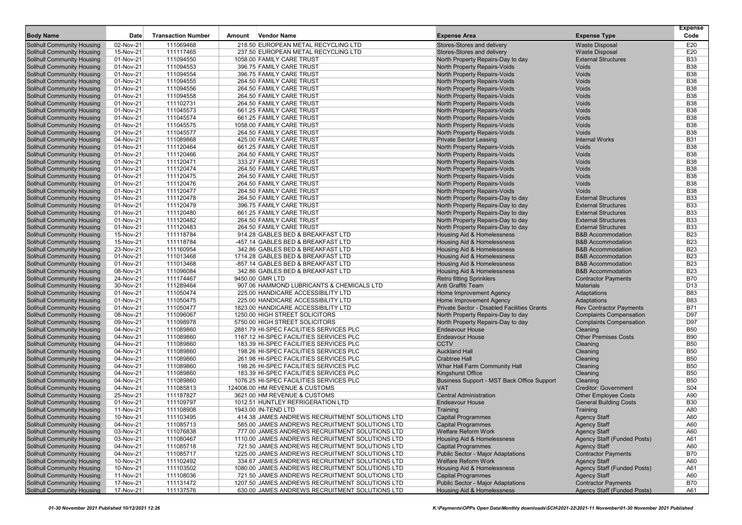|                                                                        |                        |                           |        |                                                                                                   |                                                                       |                                                            | <b>Expense</b>           |
|------------------------------------------------------------------------|------------------------|---------------------------|--------|---------------------------------------------------------------------------------------------------|-----------------------------------------------------------------------|------------------------------------------------------------|--------------------------|
| <b>Body Name</b>                                                       | Date                   | <b>Transaction Number</b> | Amount | <b>Vendor Name</b>                                                                                | <b>Expense Area</b>                                                   | <b>Expense Type</b>                                        | Code                     |
| Solihull Community Housing                                             | 02-Nov-21              | 111069468                 |        | 218.50 EUROPEAN METAL RECYCLING LTD                                                               | Stores-Stores and delivery                                            | <b>Waste Disposal</b>                                      | E20                      |
| <b>Solihull Community Housing</b>                                      | 15-Nov-21              | 111117465                 |        | 237.50 EUROPEAN METAL RECYCLING LTD                                                               | Stores-Stores and delivery                                            | <b>Waste Disposal</b>                                      | E20                      |
| <b>Solihull Community Housing</b>                                      | 01-Nov-21              | 111094550                 |        | 1058.00 FAMILY CARE TRUST                                                                         | North Property Repairs-Day to day                                     | <b>External Structures</b>                                 | <b>B33</b>               |
| <b>Solihull Community Housing</b>                                      | 01-Nov-21              | 111094553                 |        | 396.75 FAMILY CARE TRUST                                                                          | North Property Repairs-Voids                                          | <b>Voids</b>                                               | <b>B38</b>               |
| <b>Solihull Community Housing</b>                                      | 01-Nov-21              | 111094554                 |        | 396.75 FAMILY CARE TRUST                                                                          | <b>North Property Repairs-Voids</b>                                   | Voids                                                      | <b>B38</b>               |
| <b>Solihull Community Housing</b>                                      | 01-Nov-21              | 111094555                 |        | 264.50 FAMILY CARE TRUST                                                                          | North Property Repairs-Voids                                          | Voids<br>Voids                                             | <b>B38</b><br><b>B38</b> |
| <b>Solihull Community Housing</b><br><b>Solihull Community Housing</b> | 01-Nov-21<br>01-Nov-21 | 111094556<br>111094558    |        | 264.50 FAMILY CARE TRUST<br>264.50 FAMILY CARE TRUST                                              | North Property Repairs-Voids<br><b>North Property Repairs-Voids</b>   | Voids                                                      | <b>B38</b>               |
| <b>Solihull Community Housing</b>                                      | 01-Nov-21              | 111102731                 |        | 264.50 FAMILY CARE TRUST                                                                          | <b>North Property Repairs-Voids</b>                                   | Voids                                                      | <b>B38</b>               |
| <b>Solihull Community Housing</b>                                      | 01-Nov-21              | 111045573                 |        | 661.25 FAMILY CARE TRUST                                                                          | North Property Repairs-Voids                                          | Voids                                                      | <b>B38</b>               |
| <b>Solihull Community Housing</b>                                      | $01-Nov-21$            | 111045574                 |        | 661.25 FAMILY CARE TRUST                                                                          | <b>North Property Repairs-Voids</b>                                   | Voids                                                      | <b>B38</b>               |
| <b>Solihull Community Housing</b>                                      | 01-Nov-21              | 111045575                 |        | 1058.00 FAMILY CARE TRUST                                                                         | North Property Repairs-Voids                                          | Voids                                                      | <b>B38</b>               |
| <b>Solihull Community Housing</b>                                      | 01-Nov-21              | 111045577                 |        | 264.50 FAMILY CARE TRUST                                                                          | North Property Repairs-Voids                                          | Voids                                                      | <b>B38</b>               |
| <b>Solihull Community Housing</b>                                      | 04-Nov-21              | 111089868                 |        | 425.00 FAMILY CARE TRUST                                                                          | <b>Private Sector Leasing</b>                                         | <b>Internal Works</b>                                      | <b>B31</b>               |
| <b>Solihull Community Housing</b>                                      | 01-Nov-21              | 111120464                 |        | 661.25 FAMILY CARE TRUST                                                                          | North Property Repairs-Voids                                          | Voids                                                      | <b>B38</b>               |
| <b>Solihull Community Housing</b>                                      | 01-Nov-21              | 111120466                 |        | 264.50 FAMILY CARE TRUST                                                                          | <b>North Property Repairs-Voids</b>                                   | Voids                                                      | <b>B38</b>               |
| <b>Solihull Community Housing</b>                                      | 01-Nov-21              | 111120471                 |        | 333.27 FAMILY CARE TRUST                                                                          | North Property Repairs-Voids                                          | Voids                                                      | <b>B38</b>               |
| <b>Solihull Community Housing</b>                                      | 01-Nov-21              | 111120474                 |        | 264.50 FAMILY CARE TRUST                                                                          | North Property Repairs-Voids                                          | Voids                                                      | <b>B38</b>               |
| <b>Solihull Community Housing</b>                                      | 01-Nov-21              | 111120475                 |        | 264.50 FAMILY CARE TRUST                                                                          | <b>North Property Repairs-Voids</b>                                   | Voids                                                      | <b>B38</b>               |
| Solihull Community Housing                                             | 01-Nov-21              | 111120476                 |        | 264.50 FAMILY CARE TRUST                                                                          | North Property Repairs-Voids                                          | Voids                                                      | <b>B38</b>               |
| <b>Solihull Community Housing</b>                                      | 01-Nov-21              | 111120477                 |        | 264.50 FAMILY CARE TRUST                                                                          | <b>North Property Repairs-Voids</b>                                   | <b>Voids</b>                                               | <b>B38</b>               |
| <b>Solihull Community Housing</b>                                      | 01-Nov-21              | 111120478                 |        | 264.50 FAMILY CARE TRUST                                                                          | North Property Repairs-Day to day                                     | <b>External Structures</b>                                 | <b>B33</b>               |
| <b>Solihull Community Housing</b>                                      | 01-Nov-21              | 111120479                 |        | 396.75 FAMILY CARE TRUST                                                                          | North Property Repairs-Day to day                                     | <b>External Structures</b>                                 | <b>B33</b>               |
| <b>Solihull Community Housing</b>                                      | 01-Nov-21              | 111120480                 |        | 661.25 FAMILY CARE TRUST                                                                          | North Property Repairs-Day to day                                     | <b>External Structures</b>                                 | <b>B33</b>               |
| <b>Solihull Community Housing</b>                                      | 01-Nov-21              | 111120482                 |        | 264.50 FAMILY CARE TRUST                                                                          | North Property Repairs-Day to day                                     | <b>External Structures</b>                                 | <b>B33</b>               |
| <b>Solihull Community Housing</b>                                      | 01-Nov-21              | 111120483                 |        | 264.50 FAMILY CARE TRUST                                                                          | North Property Repairs-Day to day                                     | <b>External Structures</b>                                 | <b>B33</b>               |
| <b>Solihull Community Housing</b>                                      | 15-Nov-21              | 111118784                 |        | 914.28 GABLES BED & BREAKFAST LTD                                                                 | Housing Aid & Homelessness                                            | <b>B&amp;B</b> Accommodation                               | <b>B23</b>               |
| <b>Solihull Community Housing</b>                                      | 15-Nov-21              | 111118784                 |        | -457.14 GABLES BED & BREAKFAST LTD                                                                | Housing Aid & Homelessness                                            | <b>B&amp;B Accommodation</b>                               | <b>B23</b>               |
| <b>Solihull Community Housing</b>                                      | 23-Nov-21              | 111160954                 |        | 342.86 GABLES BED & BREAKFAST LTD                                                                 | Housing Aid & Homelessness                                            | <b>B&amp;B Accommodation</b>                               | <b>B23</b>               |
| <b>Solihull Community Housing</b>                                      | 01-Nov-21              | 111013468                 |        | 1714.28 GABLES BED & BREAKFAST LTD                                                                | Housing Aid & Homelessness                                            | <b>B&amp;B Accommodation</b>                               | <b>B23</b>               |
| <b>Solihull Community Housing</b>                                      | 01-Nov-21              | 111013468                 |        | -857.14 GABLES BED & BREAKFAST LTD                                                                | Housing Aid & Homelessness                                            | <b>B&amp;B Accommodation</b>                               | <b>B23</b>               |
| <b>Solihull Community Housing</b><br><b>Solihull Community Housing</b> | 08-Nov-21<br>24-Nov-21 | 111096084<br>111174467    |        | 342.86 GABLES BED & BREAKFAST LTD<br>9450.00 GMR LTD                                              | Housing Aid & Homelessness<br><b>Retro fitting Sprinklers</b>         | <b>B&amp;B Accommodation</b><br><b>Contractor Payments</b> | <b>B23</b><br><b>B70</b> |
| <b>Solihull Community Housing</b>                                      | 30-Nov-21              | 111289464                 |        | 907.06 HAMMOND LUBRICANTS & CHEMICALS LTD                                                         | Anti Graffiti Team                                                    | <b>Materials</b>                                           | D <sub>13</sub>          |
| <b>Solihull Community Housing</b>                                      | 01-Nov-21              | 111050474                 |        | 225.00 HANDICARE ACCESSIBILITY LTD                                                                | <b>Home Improvement Agency</b>                                        | Adaptations                                                | <b>B83</b>               |
| <b>Solihull Community Housing</b>                                      | 01-Nov-21              | 111050475                 |        | 225.00 HANDICARE ACCESSIBILITY LTD                                                                | Home Improvement Agency                                               | Adaptations                                                | <b>B83</b>               |
| <b>Solihull Community Housing</b>                                      | 01-Nov-21              | 111050477                 |        | 1823.00 HANDICARE ACCESSIBILITY LTD                                                               | Private Sector - Disabled Facilities Grants                           | <b>Rev Contractor Payments</b>                             | <b>B71</b>               |
| <b>Solihull Community Housing</b>                                      | 08-Nov-21              | 111096067                 |        | 1250.00 HIGH STREET SOLICITORS                                                                    | North Property Repairs-Day to day                                     | <b>Complaints Compensation</b>                             | D97                      |
| <b>Solihull Community Housing</b>                                      | 09-Nov-21              | 111098978                 |        | 5750.00 HIGH STREET SOLICITORS                                                                    | North Property Repairs-Day to day                                     | <b>Complaints Compensation</b>                             | D97                      |
| <b>Solihull Community Housing</b>                                      | 04-Nov-21              | 111089860                 |        | 2881.79 HI-SPEC FACILITIES SERVICES PLC                                                           | <b>Endeavour House</b>                                                | Cleaning                                                   | <b>B50</b>               |
| <b>Solihull Community Housing</b>                                      | 04-Nov-21              | 111089860                 |        | 1167.12 HI-SPEC FACILITIES SERVICES PLC                                                           | <b>Endeavour House</b>                                                | <b>Other Premises Costs</b>                                | <b>B90</b>               |
| <b>Solihull Community Housing</b>                                      | 04-Nov-21              | 111089860                 |        | 183.39 HI-SPEC FACILITIES SERVICES PLC                                                            | <b>CCTV</b>                                                           | Cleaning                                                   | <b>B50</b>               |
| <b>Solihull Community Housing</b>                                      | 04-Nov-21              | 111089860                 |        | 198.26 HI-SPEC FACILITIES SERVICES PLC                                                            | <b>Auckland Hall</b>                                                  | Cleaning                                                   | <b>B50</b>               |
| <b>Solihull Community Housing</b>                                      | 04-Nov-21              | 111089860                 |        | 261.98 HI-SPEC FACILITIES SERVICES PLC                                                            | <b>Crabtree Hall</b>                                                  | Cleaning                                                   | <b>B50</b>               |
| <b>Solihull Community Housing</b>                                      | 04-Nov-21              | 111089860                 |        | 198.26 HI-SPEC FACILITIES SERVICES PLC                                                            | Whar Hall Farm Community Hall                                         | Cleaning                                                   | <b>B50</b>               |
| <b>Solihull Community Housing</b>                                      | 04-Nov-21              | 111089860                 |        | 183.39 HI-SPEC FACILITIES SERVICES PLC                                                            | Kingshurst Office                                                     | Cleaning                                                   | <b>B50</b>               |
| <b>Solihull Community Housing</b>                                      | 04-Nov-21              | 111089860                 |        | 1076.25 HI-SPEC FACILITIES SERVICES PLC                                                           | Business Support - MST Back Office Support                            | Cleaning                                                   | <b>B50</b>               |
| <b>Solihull Community Housing</b>                                      | 04-Nov-21              | 111085813                 |        | 124006.00 HM REVENUE & CUSTOMS                                                                    | <b>VAT</b>                                                            | <b>Creditor: Government</b>                                | S04                      |
| <b>Solihull Community Housing</b>                                      | 25-Nov-21              | 111187827                 |        | 3621.00 HM REVENUE & CUSTOMS                                                                      | <b>Central Administration</b>                                         | <b>Other Employee Costs</b>                                | A90                      |
| <b>Solihull Community Housing</b>                                      | 01-Nov-21              | 111109797                 |        | 1012.51 HUNTLEY REFRIGERATION LTD                                                                 | <b>Endeavour House</b>                                                | <b>General Building Costs</b>                              | <b>B30</b>               |
| <b>Solihull Community Housing</b>                                      | 11-Nov-21              | 111108908                 |        | 1943.00 IN-TEND LTD                                                                               | Training                                                              | Training                                                   | A80                      |
| <b>Solihull Community Housing</b>                                      | 10-Nov-21              | 111103495                 |        | 414.38 JAMES ANDREWS RECRUITMENT SOLUTIONS LTD                                                    | <b>Capital Programmes</b>                                             | <b>Agency Staff</b>                                        | A60                      |
| <b>Solihull Community Housing</b>                                      | 04-Nov-21              | 111085713                 |        | 585.00 JAMES ANDREWS RECRUITMENT SOLUTIONS LTD                                                    | <b>Capital Programmes</b>                                             | <b>Agency Staff</b>                                        | A60                      |
| <b>Solihull Community Housing</b>                                      | 03-Nov-21              | 111076838                 |        | 777.00 JAMES ANDREWS RECRUITMENT SOLUTIONS LTD                                                    | Welfare Reform Work                                                   | <b>Agency Staff</b>                                        | A60                      |
| <b>Solihull Community Housing</b>                                      | 03-Nov-21              | 111080467                 |        | 1110.00 JAMES ANDREWS RECRUITMENT SOLUTIONS LTD                                                   | Housing Aid & Homelessness                                            | Agency Staff (Funded Posts)<br><b>Agency Staff</b>         | A61                      |
| <b>Solihull Community Housing</b><br><b>Solihull Community Housing</b> | 04-Nov-21<br>04-Nov-21 | 111085718<br>111085717    |        | 721.50 JAMES ANDREWS RECRUITMENT SOLUTIONS LTD                                                    | <b>Capital Programmes</b><br><b>Public Sector - Major Adaptations</b> | <b>Contractor Payments</b>                                 | A60<br><b>B70</b>        |
| <b>Solihull Community Housing</b>                                      | 10-Nov-21              | 111102492                 |        | 1225.00 JAMES ANDREWS RECRUITMENT SOLUTIONS LTD<br>334.67 JAMES ANDREWS RECRUITMENT SOLUTIONS LTD | <b>Welfare Reform Work</b>                                            | <b>Agency Staff</b>                                        | A60                      |
| Solihull Community Housing                                             | 10-Nov-21              | 111103502                 |        | 1080.00 JAMES ANDREWS RECRUITMENT SOLUTIONS LTD                                                   | Housing Aid & Homelessness                                            | Agency Staff (Funded Posts)                                | A61                      |
| Solihull Community Housing                                             | 11-Nov-21              | 111108036                 |        | 721.50 JAMES ANDREWS RECRUITMENT SOLUTIONS LTD                                                    | <b>Capital Programmes</b>                                             | <b>Agency Staff</b>                                        | A60                      |
| <b>Solihull Community Housing</b>                                      | 17-Nov-21              | 111131472                 |        | 1207.50 JAMES ANDREWS RECRUITMENT SOLUTIONS LTD                                                   | <b>Public Sector - Major Adaptations</b>                              | <b>Contractor Payments</b>                                 | <b>B70</b>               |
| <b>Solihull Community Housing</b>                                      | 17-Nov-21              | 111137576                 |        | 630.00 JAMES ANDREWS RECRUITMENT SOLUTIONS LTD                                                    | Housing Aid & Homelessness                                            | Agency Staff (Funded Posts)                                | A61                      |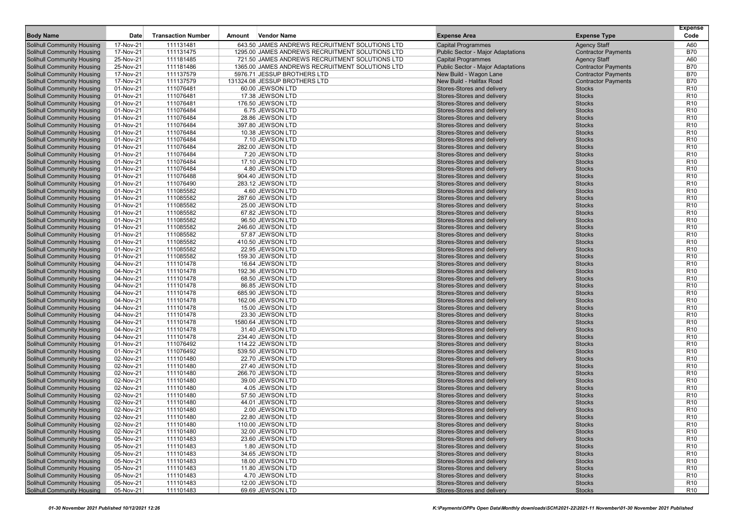| <b>Body Name</b>                                                | Date                   | <b>Transaction Number</b> | Amount | <b>Vendor Name</b>                              | <b>Expense Area</b>                                      | <b>Expense Type</b>            | <b>Expense</b><br>Code             |
|-----------------------------------------------------------------|------------------------|---------------------------|--------|-------------------------------------------------|----------------------------------------------------------|--------------------------------|------------------------------------|
| Solihull Community Housing                                      | 17-Nov-21              | 111131481                 |        | 643.50 JAMES ANDREWS RECRUITMENT SOLUTIONS LTD  | <b>Capital Programmes</b>                                | <b>Agency Staff</b>            | A60                                |
| <b>Solihull Community Housing</b>                               | 17-Nov-21              | 111131475                 |        | 1295.00 JAMES ANDREWS RECRUITMENT SOLUTIONS LTD | <b>Public Sector - Major Adaptations</b>                 | <b>Contractor Payments</b>     | <b>B70</b>                         |
| <b>Solihull Community Housing</b>                               | 25-Nov-21              | 111181485                 |        | 721.50 JAMES ANDREWS RECRUITMENT SOLUTIONS LTD  | <b>Capital Programmes</b>                                | <b>Agency Staff</b>            | A60                                |
| <b>Solihull Community Housing</b>                               | 25-Nov-21              | 111181486                 |        | 1365.00 JAMES ANDREWS RECRUITMENT SOLUTIONS LTD | Public Sector - Major Adaptations                        | <b>Contractor Payments</b>     | <b>B70</b>                         |
| <b>Solihull Community Housing</b>                               | 17-Nov-21              | 111137579                 |        | 5976.71 JESSUP BROTHERS LTD                     | New Build - Wagon Lane                                   | <b>Contractor Payments</b>     | <b>B70</b>                         |
| <b>Solihull Community Housing</b>                               | 17-Nov-21              | 111137579                 |        | 131324.08 JESSUP BROTHERS LTD                   | New Build - Halifax Road                                 | <b>Contractor Payments</b>     | <b>B70</b>                         |
| <b>Solihull Community Housing</b>                               | 01-Nov-21              | 111076481                 |        | 60.00 JEWSON LTD                                | Stores-Stores and delivery                               | <b>Stocks</b>                  | R <sub>10</sub>                    |
| <b>Solihull Community Housing</b>                               | 01-Nov-21              | 111076481                 |        | 17.38 JEWSON LTD                                | Stores-Stores and delivery                               | <b>Stocks</b>                  | R <sub>10</sub>                    |
| <b>Solihull Community Housing</b>                               | 01-Nov-21              | 111076481                 |        | 176.50 JEWSON LTD                               | Stores-Stores and delivery                               | <b>Stocks</b>                  | R <sub>10</sub>                    |
| <b>Solihull Community Housing</b>                               | 01-Nov-21              | 111076484                 |        | 6.75 JEWSON LTD                                 | Stores-Stores and delivery                               | <b>Stocks</b>                  | R <sub>10</sub>                    |
| <b>Solihull Community Housing</b>                               | 01-Nov-21              | 111076484                 |        | 28.86 JEWSON LTD                                | Stores-Stores and delivery                               | <b>Stocks</b>                  | R <sub>10</sub>                    |
| <b>Solihull Community Housing</b>                               | 01-Nov-21              | 111076484                 |        | 397.80 JEWSON LTD                               | Stores-Stores and delivery                               | <b>Stocks</b>                  | R <sub>10</sub>                    |
| Solihull Community Housing                                      | 01-Nov-21              | 111076484                 |        | 10.38 JEWSON LTD                                | Stores-Stores and delivery                               | <b>Stocks</b>                  | R <sub>10</sub>                    |
| <b>Solihull Community Housing</b>                               | 01-Nov-21              | 111076484                 |        | 7.10 JEWSON LTD                                 | Stores-Stores and delivery                               | <b>Stocks</b>                  | R <sub>10</sub>                    |
| <b>Solihull Community Housing</b>                               | 01-Nov-21              | 111076484                 |        | 282.00 JEWSON LTD                               | Stores-Stores and delivery                               | <b>Stocks</b>                  | R <sub>10</sub>                    |
| <b>Solihull Community Housing</b>                               | 01-Nov-21              | 111076484                 |        | 7.20 JEWSON LTD                                 | Stores-Stores and delivery                               | <b>Stocks</b>                  | R <sub>10</sub>                    |
| <b>Solihull Community Housing</b>                               | 01-Nov-21              | 111076484                 |        | 17.10 JEWSON LTD                                | Stores-Stores and delivery                               | <b>Stocks</b>                  | R <sub>10</sub>                    |
| <b>Solihull Community Housing</b>                               | 01-Nov-21              | 111076484                 |        | 4.80 JEWSON LTD                                 | Stores-Stores and delivery                               | <b>Stocks</b>                  | R <sub>10</sub>                    |
| <b>Solihull Community Housing</b>                               | 01-Nov-21              | 111076488                 |        | 904.40 JEWSON LTD                               | Stores-Stores and delivery                               | <b>Stocks</b>                  | R <sub>10</sub>                    |
| <b>Solihull Community Housing</b>                               | 01-Nov-21              | 111076490                 |        | 283.12 JEWSON LTD                               | Stores-Stores and delivery                               | <b>Stocks</b>                  | R <sub>10</sub>                    |
| <b>Solihull Community Housing</b>                               | 01-Nov-21              | 111085582                 |        | 4.60 JEWSON LTD                                 | Stores-Stores and delivery                               | <b>Stocks</b>                  | R <sub>10</sub>                    |
| <b>Solihull Community Housing</b>                               | 01-Nov-21              | 111085582                 |        | 287.60 JEWSON LTD                               | Stores-Stores and delivery                               | <b>Stocks</b>                  | R <sub>10</sub>                    |
| <b>Solihull Community Housing</b>                               | 01-Nov-21              | 111085582                 |        | 25.00 JEWSON LTD                                | Stores-Stores and delivery                               | <b>Stocks</b>                  | R <sub>10</sub>                    |
| <b>Solihull Community Housing</b>                               | 01-Nov-21              | 111085582                 |        | 67.82 JEWSON LTD                                | Stores-Stores and delivery                               | <b>Stocks</b>                  | R <sub>10</sub>                    |
| <b>Solihull Community Housing</b>                               | 01-Nov-21              | 111085582                 |        | 96.50 JEWSON LTD                                | Stores-Stores and delivery                               | <b>Stocks</b>                  | R <sub>10</sub>                    |
| <b>Solihull Community Housing</b>                               | 01-Nov-21              | 111085582                 |        | 246.60 JEWSON LTD                               | Stores-Stores and delivery                               | <b>Stocks</b>                  | R <sub>10</sub>                    |
| <b>Solihull Community Housing</b>                               | 01-Nov-21              | 111085582                 |        | 57.87 JEWSON LTD                                | Stores-Stores and delivery                               | <b>Stocks</b>                  | R <sub>10</sub>                    |
| <b>Solihull Community Housing</b>                               | 01-Nov-21              | 111085582                 |        | 410.50 JEWSON LTD                               | Stores-Stores and delivery                               | <b>Stocks</b>                  | R <sub>10</sub>                    |
| <b>Solihull Community Housing</b>                               | 01-Nov-21              | 111085582                 |        | 22.95 JEWSON LTD                                | Stores-Stores and delivery                               | <b>Stocks</b>                  | R <sub>10</sub>                    |
| <b>Solihull Community Housing</b>                               | 01-Nov-21              | 111085582                 |        | 159.30 JEWSON LTD                               | Stores-Stores and delivery                               | <b>Stocks</b>                  | R <sub>10</sub>                    |
| <b>Solihull Community Housing</b>                               | 04-Nov-21              | 111101478                 |        | 16.64 JEWSON LTD                                | Stores-Stores and delivery                               | <b>Stocks</b>                  | R <sub>10</sub>                    |
| Solihull Community Housing<br><b>Solihull Community Housing</b> | 04-Nov-21<br>04-Nov-21 | 111101478<br>111101478    |        | 192.36 JEWSON LTD<br>68.50 JEWSON LTD           | Stores-Stores and delivery<br>Stores-Stores and delivery | <b>Stocks</b><br><b>Stocks</b> | R <sub>10</sub><br>R <sub>10</sub> |
| <b>Solihull Community Housing</b>                               | 04-Nov-21              | 111101478                 |        | 86.85 JEWSON LTD                                | Stores-Stores and delivery                               | <b>Stocks</b>                  | R <sub>10</sub>                    |
| Solihull Community Housing                                      | 04-Nov-21              | 111101478                 |        | 685.90 JEWSON LTD                               | Stores-Stores and delivery                               | <b>Stocks</b>                  | R <sub>10</sub>                    |
| <b>Solihull Community Housing</b>                               | 04-Nov-21              | 111101478                 |        | 162.06 JEWSON LTD                               | Stores-Stores and delivery                               | <b>Stocks</b>                  | R <sub>10</sub>                    |
| <b>Solihull Community Housing</b>                               | 04-Nov-21              | 111101478                 |        | 15.00 JEWSON LTD                                | Stores-Stores and delivery                               | <b>Stocks</b>                  | R <sub>10</sub>                    |
| <b>Solihull Community Housing</b>                               | 04-Nov-21              | 111101478                 |        | 23.30 JEWSON LTD                                | Stores-Stores and delivery                               | <b>Stocks</b>                  | R <sub>10</sub>                    |
| <b>Solihull Community Housing</b>                               | 04-Nov-21              | 111101478                 |        | 1580.64 JEWSON LTD                              | Stores-Stores and delivery                               | <b>Stocks</b>                  | R <sub>10</sub>                    |
| <b>Solihull Community Housing</b>                               | 04-Nov-21              | 111101478                 |        | 31.40 JEWSON LTD                                | Stores-Stores and delivery                               | <b>Stocks</b>                  | R <sub>10</sub>                    |
| <b>Solihull Community Housing</b>                               | 04-Nov-21              | 111101478                 |        | 234.40 JEWSON LTD                               | Stores-Stores and delivery                               | <b>Stocks</b>                  | R <sub>10</sub>                    |
| <b>Solihull Community Housing</b>                               | 01-Nov-21              | 111076492                 |        | 114.22 JEWSON LTD                               | Stores-Stores and delivery                               | <b>Stocks</b>                  | R <sub>10</sub>                    |
| <b>Solihull Community Housing</b>                               | 01-Nov-21              | 111076492                 |        | 539.50 JEWSON LTD                               | Stores-Stores and delivery                               | <b>Stocks</b>                  | R <sub>10</sub>                    |
| <b>Solihull Community Housing</b>                               | 02-Nov-21              | 111101480                 |        | 22.70 JEWSON LTD                                | Stores-Stores and delivery                               | <b>Stocks</b>                  | R <sub>10</sub>                    |
| <b>Solihull Community Housing</b>                               | 02-Nov-21              | 111101480                 |        | 27.40 JEWSON LTD                                | Stores-Stores and delivery                               | <b>Stocks</b>                  | R <sub>10</sub>                    |
| <b>Solihull Community Housing</b>                               | 02-Nov-21              | 111101480                 |        | 266.70 JEWSON LTD                               | Stores-Stores and delivery                               | <b>Stocks</b>                  | R <sub>10</sub>                    |
| Solihull Community Housing                                      | 02-Nov-21              | 111101480                 |        | 39.00 JEWSON LTD                                | Stores-Stores and delivery                               | <b>Stocks</b>                  | R <sub>10</sub>                    |
| <b>Solihull Community Housing</b>                               | 02-Nov-21              | 111101480                 |        | 4.05 JEWSON LTD                                 | Stores-Stores and delivery                               | <b>Stocks</b>                  | R <sub>10</sub>                    |
| <b>Solihull Community Housing</b>                               | 02-Nov-21              | 111101480                 |        | 57.50 JEWSON LTD                                | Stores-Stores and delivery                               | <b>Stocks</b>                  | R <sub>10</sub>                    |
| <b>Solihull Community Housing</b>                               | 02-Nov-21              | 111101480                 |        | 44.01 JEWSON LTD                                | Stores-Stores and delivery                               | <b>Stocks</b>                  | R <sub>10</sub>                    |
| Solihull Community Housing                                      | 02-Nov-21              | 111101480                 |        | 2.00 JEWSON LTD                                 | Stores-Stores and delivery                               | <b>Stocks</b>                  | R <sub>10</sub>                    |
| Solihull Community Housing                                      | 02-Nov-21              | 111101480                 |        | 22.80 JEWSON LTD                                | Stores-Stores and delivery                               | <b>Stocks</b>                  | R <sub>10</sub>                    |
| Solihull Community Housing                                      | 02-Nov-21              | 111101480                 |        | 110.00 JEWSON LTD                               | Stores-Stores and delivery                               | <b>Stocks</b>                  | R <sub>10</sub>                    |
| <b>Solihull Community Housing</b>                               | 02-Nov-21              | 111101480                 |        | 32.00 JEWSON LTD                                | Stores-Stores and delivery                               | <b>Stocks</b>                  | R <sub>10</sub>                    |
| <b>Solihull Community Housing</b>                               | 05-Nov-21              | 111101483                 |        | 23.60 JEWSON LTD                                | Stores-Stores and delivery                               | <b>Stocks</b>                  | R <sub>10</sub>                    |
| Solihull Community Housing                                      | 05-Nov-21              | 111101483                 |        | 1.80 JEWSON LTD                                 | Stores-Stores and delivery                               | <b>Stocks</b>                  | R <sub>10</sub>                    |
| Solihull Community Housing                                      | 05-Nov-21              | 111101483                 |        | 34.65 JEWSON LTD                                | Stores-Stores and delivery                               | <b>Stocks</b>                  | R <sub>10</sub>                    |
| Solihull Community Housing                                      | 05-Nov-21              | 111101483                 |        | 18.00 JEWSON LTD                                | Stores-Stores and delivery                               | <b>Stocks</b>                  | R <sub>10</sub>                    |
| Solihull Community Housing                                      | 05-Nov-21              | 111101483                 |        | 11.80 JEWSON LTD                                | Stores-Stores and delivery                               | <b>Stocks</b>                  | R <sub>10</sub>                    |
| <b>Solihull Community Housing</b>                               | 05-Nov-21              | 111101483                 |        | 4.70 JEWSON LTD                                 | Stores-Stores and delivery                               | <b>Stocks</b>                  | R <sub>10</sub>                    |
| <b>Solihull Community Housing</b>                               | 05-Nov-21              | 111101483                 |        | 12.00 JEWSON LTD                                | Stores-Stores and delivery                               | <b>Stocks</b>                  | R <sub>10</sub>                    |
| Solihull Community Housing                                      | 05-Nov-21              | 111101483                 |        | 69.69 JEWSON LTD                                | Stores-Stores and delivery                               | <b>Stocks</b>                  | <b>R10</b>                         |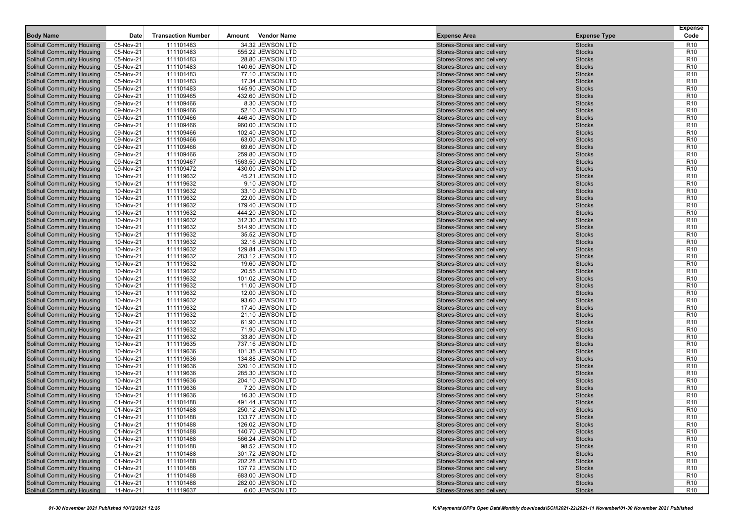| <b>Body Name</b>                  | Date      | <b>Transaction Number</b> | Amount | Vendor Name        | <b>Expense Area</b>                                      | <b>Expense Type</b> | <b>Expense</b><br>Code |
|-----------------------------------|-----------|---------------------------|--------|--------------------|----------------------------------------------------------|---------------------|------------------------|
| <b>Solihull Community Housing</b> | 05-Nov-21 | 111101483                 |        | 34.32 JEWSON LTD   | Stores-Stores and delivery                               | <b>Stocks</b>       | R <sub>10</sub>        |
| <b>Solihull Community Housing</b> | 05-Nov-21 | 111101483                 |        | 555.22 JEWSON LTD  | Stores-Stores and delivery                               | <b>Stocks</b>       | R <sub>10</sub>        |
| <b>Solihull Community Housing</b> | 05-Nov-21 | 111101483                 |        | 28.80 JEWSON LTD   | Stores-Stores and delivery                               | <b>Stocks</b>       | R <sub>10</sub>        |
| <b>Solihull Community Housing</b> | 05-Nov-21 | 111101483                 |        | 140.60 JEWSON LTD  | Stores-Stores and delivery                               | <b>Stocks</b>       | R <sub>10</sub>        |
| <b>Solihull Community Housing</b> | 05-Nov-21 | 111101483                 |        | 77.10 JEWSON LTD   | Stores-Stores and delivery                               | <b>Stocks</b>       | R <sub>10</sub>        |
| Solihull Community Housing        | 05-Nov-21 | 111101483                 |        | 17.34 JEWSON LTD   | Stores-Stores and delivery                               | <b>Stocks</b>       | R <sub>10</sub>        |
| <b>Solihull Community Housing</b> | 05-Nov-21 | 111101483                 |        | 145.90 JEWSON LTD  | Stores-Stores and delivery                               | <b>Stocks</b>       | R <sub>10</sub>        |
| <b>Solihull Community Housing</b> | 09-Nov-21 | 111109465                 |        | 432.60 JEWSON LTD  | Stores-Stores and delivery                               | <b>Stocks</b>       | R <sub>10</sub>        |
| <b>Solihull Community Housing</b> | 09-Nov-21 | 111109466                 |        | 8.30 JEWSON LTD    | Stores-Stores and delivery                               | <b>Stocks</b>       | R <sub>10</sub>        |
| <b>Solihull Community Housing</b> | 09-Nov-21 | 111109466                 |        | 52.10 JEWSON LTD   | Stores-Stores and delivery                               | <b>Stocks</b>       | R <sub>10</sub>        |
| <b>Solihull Community Housing</b> | 09-Nov-21 | 111109466                 |        | 446.40 JEWSON LTD  | Stores-Stores and delivery                               | <b>Stocks</b>       | R <sub>10</sub>        |
| <b>Solihull Community Housing</b> | 09-Nov-21 | 111109466                 |        | 960.00 JEWSON LTD  | Stores-Stores and delivery                               | <b>Stocks</b>       | R <sub>10</sub>        |
| <b>Solihull Community Housing</b> | 09-Nov-21 | 111109466                 |        | 102.40 JEWSON LTD  | Stores-Stores and delivery                               | <b>Stocks</b>       | R <sub>10</sub>        |
| <b>Solihull Community Housing</b> | 09-Nov-21 | 111109466                 |        | 63.00 JEWSON LTD   | Stores-Stores and delivery                               | <b>Stocks</b>       | R <sub>10</sub>        |
| <b>Solihull Community Housing</b> | 09-Nov-21 | 111109466                 |        | 69.60 JEWSON LTD   | Stores-Stores and delivery                               | <b>Stocks</b>       | R <sub>10</sub>        |
| <b>Solihull Community Housing</b> | 09-Nov-21 | 111109466                 |        | 259.80 JEWSON LTD  | Stores-Stores and delivery                               | <b>Stocks</b>       | R <sub>10</sub>        |
| <b>Solihull Community Housing</b> | 09-Nov-21 | 111109467                 |        | 1563.50 JEWSON LTD | Stores-Stores and delivery                               | <b>Stocks</b>       | R <sub>10</sub>        |
| <b>Solihull Community Housing</b> | 09-Nov-21 | 111109472                 |        | 430.00 JEWSON LTD  | Stores-Stores and delivery                               | <b>Stocks</b>       | R <sub>10</sub>        |
| <b>Solihull Community Housing</b> | 10-Nov-21 | 111119632                 |        | 45.21 JEWSON LTD   | Stores-Stores and delivery                               | <b>Stocks</b>       | R <sub>10</sub>        |
| <b>Solihull Community Housing</b> | 10-Nov-21 | 111119632                 |        | 9.10 JEWSON LTD    | Stores-Stores and delivery                               | <b>Stocks</b>       | R <sub>10</sub>        |
| <b>Solihull Community Housing</b> | 10-Nov-21 | 111119632                 |        | 33.10 JEWSON LTD   |                                                          | <b>Stocks</b>       | R <sub>10</sub>        |
|                                   | 10-Nov-21 |                           |        |                    | Stores-Stores and delivery                               |                     |                        |
| <b>Solihull Community Housing</b> |           | 111119632                 |        | 22.00 JEWSON LTD   | Stores-Stores and delivery<br>Stores-Stores and delivery | <b>Stocks</b>       | R <sub>10</sub>        |
| <b>Solihull Community Housing</b> | 10-Nov-21 | 111119632                 |        | 179.40 JEWSON LTD  |                                                          | <b>Stocks</b>       | R <sub>10</sub>        |
| <b>Solihull Community Housing</b> | 10-Nov-21 | 111119632                 |        | 444.20 JEWSON LTD  | Stores-Stores and delivery                               | <b>Stocks</b>       | R <sub>10</sub>        |
| <b>Solihull Community Housing</b> | 10-Nov-21 | 111119632                 |        | 312.30 JEWSON LTD  | Stores-Stores and delivery                               | <b>Stocks</b>       | R <sub>10</sub>        |
| <b>Solihull Community Housing</b> | 10-Nov-21 | 111119632                 |        | 514.90 JEWSON LTD  | Stores-Stores and delivery                               | <b>Stocks</b>       | R <sub>10</sub>        |
| <b>Solihull Community Housing</b> | 10-Nov-21 | 111119632                 |        | 35.52 JEWSON LTD   | Stores-Stores and delivery                               | <b>Stocks</b>       | R <sub>10</sub>        |
| <b>Solihull Community Housing</b> | 10-Nov-21 | 111119632                 |        | 32.16 JEWSON LTD   | Stores-Stores and delivery                               | <b>Stocks</b>       | R <sub>10</sub>        |
| <b>Solihull Community Housing</b> | 10-Nov-21 | 111119632                 |        | 129.84 JEWSON LTD  | Stores-Stores and delivery                               | <b>Stocks</b>       | R <sub>10</sub>        |
| <b>Solihull Community Housing</b> | 10-Nov-21 | 111119632                 |        | 283.12 JEWSON LTD  | Stores-Stores and delivery                               | <b>Stocks</b>       | R <sub>10</sub>        |
| <b>Solihull Community Housing</b> | 10-Nov-21 | 111119632                 |        | 19.60 JEWSON LTD   | Stores-Stores and delivery                               | <b>Stocks</b>       | R <sub>10</sub>        |
| <b>Solihull Community Housing</b> | 10-Nov-21 | 111119632                 |        | 20.55 JEWSON LTD   | Stores-Stores and delivery                               | <b>Stocks</b>       | R <sub>10</sub>        |
| <b>Solihull Community Housing</b> | 10-Nov-21 | 111119632                 |        | 101.02 JEWSON LTD  | Stores-Stores and delivery                               | <b>Stocks</b>       | R <sub>10</sub>        |
| <b>Solihull Community Housing</b> | 10-Nov-21 | 111119632                 |        | 11.00 JEWSON LTD   | Stores-Stores and delivery                               | <b>Stocks</b>       | R <sub>10</sub>        |
| <b>Solihull Community Housing</b> | 10-Nov-21 | 111119632                 |        | 12.00 JEWSON LTD   | Stores-Stores and delivery                               | <b>Stocks</b>       | R <sub>10</sub>        |
| <b>Solihull Community Housing</b> | 10-Nov-21 | 111119632                 |        | 93.60 JEWSON LTD   | Stores-Stores and delivery                               | <b>Stocks</b>       | R <sub>10</sub>        |
| <b>Solihull Community Housing</b> | 10-Nov-21 | 111119632                 |        | 17.40 JEWSON LTD   | Stores-Stores and delivery                               | <b>Stocks</b>       | R <sub>10</sub>        |
| <b>Solihull Community Housing</b> | 10-Nov-21 | 111119632                 |        | 21.10 JEWSON LTD   | Stores-Stores and delivery                               | <b>Stocks</b>       | R <sub>10</sub>        |
| <b>Solihull Community Housing</b> | 10-Nov-21 | 111119632                 |        | 61.90 JEWSON LTD   | Stores-Stores and delivery                               | <b>Stocks</b>       | R <sub>10</sub>        |
| <b>Solihull Community Housing</b> | 10-Nov-21 | 111119632                 |        | 71.90 JEWSON LTD   | Stores-Stores and delivery                               | <b>Stocks</b>       | R <sub>10</sub>        |
| <b>Solihull Community Housing</b> | 10-Nov-21 | 111119632                 |        | 33.80 JEWSON LTD   | Stores-Stores and delivery                               | <b>Stocks</b>       | R <sub>10</sub>        |
| <b>Solihull Community Housing</b> | 10-Nov-21 | 111119635                 |        | 737.16 JEWSON LTD  | Stores-Stores and delivery                               | <b>Stocks</b>       | R <sub>10</sub>        |
| <b>Solihull Community Housing</b> | 10-Nov-21 | 111119636                 |        | 101.35 JEWSON LTD  | Stores-Stores and delivery                               | <b>Stocks</b>       | R <sub>10</sub>        |
| <b>Solihull Community Housing</b> | 10-Nov-21 | 111119636                 |        | 134.88 JEWSON LTD  | Stores-Stores and delivery                               | <b>Stocks</b>       | R <sub>10</sub>        |
| <b>Solihull Community Housing</b> | 10-Nov-21 | 111119636                 |        | 320.10 JEWSON LTD  | Stores-Stores and delivery                               | <b>Stocks</b>       | R <sub>10</sub>        |
| <b>Solihull Community Housing</b> | 10-Nov-21 | 111119636                 |        | 285.30 JEWSON LTD  | Stores-Stores and delivery                               | <b>Stocks</b>       | R <sub>10</sub>        |
| <b>Solihull Community Housing</b> | 10-Nov-21 | 111119636                 |        | 204.10 JEWSON LTD  | Stores-Stores and delivery                               | <b>Stocks</b>       | R <sub>10</sub>        |
| <b>Solihull Community Housing</b> | 10-Nov-21 | 111119636                 |        | 7.20 JEWSON LTD    | Stores-Stores and delivery                               | <b>Stocks</b>       | R <sub>10</sub>        |
| <b>Solihull Community Housing</b> | 10-Nov-21 | 111119636                 |        | 16.30 JEWSON LTD   | Stores-Stores and delivery                               | <b>Stocks</b>       | R <sub>10</sub>        |
| Solihull Community Housing        | 01-Nov-21 | 111101488                 |        | 491.44 JEWSON LTD  | Stores-Stores and delivery                               | <b>Stocks</b>       | R <sub>10</sub>        |
| Solihull Community Housing        | 01-Nov-21 | 111101488                 |        | 250.12 JEWSON LTD  | Stores-Stores and delivery                               | <b>Stocks</b>       | R <sub>10</sub>        |
| <b>Solihull Community Housing</b> | 01-Nov-21 | 111101488                 |        | 133.77 JEWSON LTD  | Stores-Stores and delivery                               | <b>Stocks</b>       | R <sub>10</sub>        |
| <b>Solihull Community Housing</b> | 01-Nov-21 | 111101488                 |        | 126.02 JEWSON LTD  | Stores-Stores and delivery                               | <b>Stocks</b>       | R <sub>10</sub>        |
| <b>Solihull Community Housing</b> | 01-Nov-21 | 111101488                 |        | 140.70 JEWSON LTD  | Stores-Stores and delivery                               | <b>Stocks</b>       | R <sub>10</sub>        |
| <b>Solihull Community Housing</b> | 01-Nov-21 | 111101488                 |        | 566.24 JEWSON LTD  | Stores-Stores and delivery                               | <b>Stocks</b>       | R <sub>10</sub>        |
| <b>Solihull Community Housing</b> | 01-Nov-21 | 111101488                 |        | 98.52 JEWSON LTD   | Stores-Stores and delivery                               | <b>Stocks</b>       | R <sub>10</sub>        |
| <b>Solihull Community Housing</b> | 01-Nov-21 | 111101488                 |        | 301.72 JEWSON LTD  | Stores-Stores and delivery                               | <b>Stocks</b>       | R <sub>10</sub>        |
| <b>Solihull Community Housing</b> | 01-Nov-21 | 111101488                 |        | 202.28 JEWSON LTD  | Stores-Stores and delivery                               | <b>Stocks</b>       | R <sub>10</sub>        |
| <b>Solihull Community Housing</b> | 01-Nov-21 | 111101488                 |        | 137.72 JEWSON LTD  | Stores-Stores and delivery                               | <b>Stocks</b>       | R <sub>10</sub>        |
| <b>Solihull Community Housing</b> | 01-Nov-21 | 111101488                 |        | 683.00 JEWSON LTD  | Stores-Stores and delivery                               | <b>Stocks</b>       | R <sub>10</sub>        |
| <b>Solihull Community Housing</b> | 01-Nov-21 | 111101488                 |        | 282.00 JEWSON LTD  | Stores-Stores and delivery                               | <b>Stocks</b>       | R <sub>10</sub>        |
| <b>Solihull Community Housing</b> | 11-Nov-21 | 111119637                 |        | 6.00 JEWSON LTD    | Stores-Stores and delivery                               | <b>Stocks</b>       | R <sub>10</sub>        |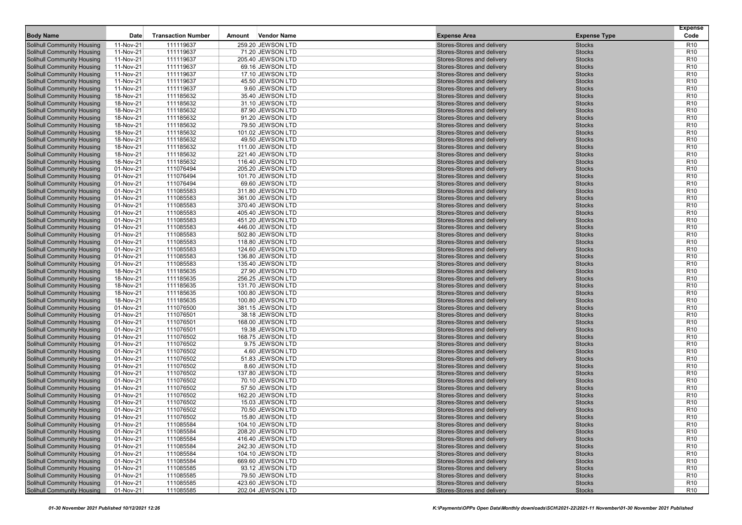|                                                                        |                        | <b>Transaction Number</b> |        | <b>Vendor Name</b>                   |                                                          |                                | <b>Expense</b><br>Code             |
|------------------------------------------------------------------------|------------------------|---------------------------|--------|--------------------------------------|----------------------------------------------------------|--------------------------------|------------------------------------|
| <b>Body Name</b>                                                       | Date                   |                           | Amount |                                      | <b>Expense Area</b>                                      | <b>Expense Type</b>            |                                    |
| Solihull Community Housing                                             | 11-Nov-21              | 111119637                 |        | 259.20 JEWSON LTD                    | Stores-Stores and delivery                               | <b>Stocks</b>                  | R <sub>10</sub>                    |
| Solihull Community Housing                                             | 11-Nov-21              | 111119637                 |        | 71.20 JEWSON LTD                     | Stores-Stores and delivery                               | <b>Stocks</b>                  | R <sub>10</sub>                    |
| <b>Solihull Community Housing</b><br>Solihull Community Housing        | 11-Nov-21<br>11-Nov-21 | 111119637                 |        | 205.40 JEWSON LTD                    | Stores-Stores and delivery                               | <b>Stocks</b><br><b>Stocks</b> | R <sub>10</sub><br>R <sub>10</sub> |
| <b>Solihull Community Housing</b>                                      | 11-Nov-21              | 111119637<br>111119637    |        | 69.16 JEWSON LTD<br>17.10 JEWSON LTD | Stores-Stores and delivery<br>Stores-Stores and delivery | <b>Stocks</b>                  | R <sub>10</sub>                    |
| <b>Solihull Community Housing</b>                                      | 11-Nov-21              | 111119637                 |        | 45.50 JEWSON LTD                     | Stores-Stores and delivery                               | <b>Stocks</b>                  | R <sub>10</sub>                    |
| <b>Solihull Community Housing</b>                                      | 11-Nov-21              | 111119637                 |        | 9.60 JEWSON LTD                      | Stores-Stores and delivery                               | <b>Stocks</b>                  | R <sub>10</sub>                    |
| <b>Solihull Community Housing</b>                                      | 18-Nov-21              | 111185632                 |        | 35.40 JEWSON LTD                     | Stores-Stores and delivery                               | <b>Stocks</b>                  | R <sub>10</sub>                    |
| <b>Solihull Community Housing</b>                                      | 18-Nov-21              | 111185632                 |        | 31.10 JEWSON LTD                     | Stores-Stores and delivery                               | <b>Stocks</b>                  | R <sub>10</sub>                    |
| <b>Solihull Community Housing</b>                                      | 18-Nov-21              | 111185632                 |        | 87.90 JEWSON LTD                     | Stores-Stores and delivery                               | <b>Stocks</b>                  | R <sub>10</sub>                    |
| <b>Solihull Community Housing</b>                                      | 18-Nov-21              | 111185632                 |        | 91.20 JEWSON LTD                     | Stores-Stores and delivery                               | <b>Stocks</b>                  | R <sub>10</sub>                    |
| <b>Solihull Community Housing</b>                                      | 18-Nov-21              | 111185632                 |        | 79.50 JEWSON LTD                     | Stores-Stores and delivery                               | <b>Stocks</b>                  | R <sub>10</sub>                    |
| Solihull Community Housing                                             | 18-Nov-21              | 111185632                 |        | 101.02 JEWSON LTD                    | Stores-Stores and delivery                               | <b>Stocks</b>                  | R <sub>10</sub>                    |
| <b>Solihull Community Housing</b>                                      | 18-Nov-21              | 111185632                 |        | 49.50 JEWSON LTD                     | Stores-Stores and delivery                               | <b>Stocks</b>                  | R <sub>10</sub>                    |
| <b>Solihull Community Housing</b>                                      | 18-Nov-21              | 111185632                 |        | 111.00 JEWSON LTD                    | Stores-Stores and delivery                               | <b>Stocks</b>                  | R <sub>10</sub>                    |
| <b>Solihull Community Housing</b>                                      | 18-Nov-21              | 111185632                 |        | 221.40 JEWSON LTD                    | Stores-Stores and delivery                               | <b>Stocks</b>                  | R <sub>10</sub>                    |
| <b>Solihull Community Housing</b>                                      | 18-Nov-21              | 111185632                 |        | 116.40 JEWSON LTD                    | Stores-Stores and delivery                               | <b>Stocks</b>                  | R <sub>10</sub>                    |
| <b>Solihull Community Housing</b>                                      | 01-Nov-21              | 111076494                 |        | 205.20 JEWSON LTD                    | Stores-Stores and delivery                               | <b>Stocks</b>                  | R <sub>10</sub>                    |
| <b>Solihull Community Housing</b>                                      | 01-Nov-21              | 111076494                 |        | 101.70 JEWSON LTD                    | Stores-Stores and delivery                               | <b>Stocks</b>                  | R <sub>10</sub>                    |
| <b>Solihull Community Housing</b>                                      | 01-Nov-21              | 111076494                 |        | 69.60 JEWSON LTD                     | Stores-Stores and delivery                               | <b>Stocks</b>                  | R <sub>10</sub>                    |
| <b>Solihull Community Housing</b>                                      | 01-Nov-21              | 111085583                 |        | 311.80 JEWSON LTD                    | Stores-Stores and delivery                               | <b>Stocks</b>                  | R <sub>10</sub>                    |
| <b>Solihull Community Housing</b>                                      | 01-Nov-21              | 111085583                 |        | 361.00 JEWSON LTD                    | Stores-Stores and delivery                               | <b>Stocks</b>                  | R <sub>10</sub>                    |
| <b>Solihull Community Housing</b>                                      | 01-Nov-21              | 111085583                 |        | 370.40 JEWSON LTD                    | Stores-Stores and delivery                               | <b>Stocks</b>                  | R <sub>10</sub>                    |
| <b>Solihull Community Housing</b>                                      | 01-Nov-21              | 111085583                 |        | 405.40 JEWSON LTD                    | Stores-Stores and delivery                               | <b>Stocks</b>                  | R <sub>10</sub>                    |
| <b>Solihull Community Housing</b>                                      | 01-Nov-21              | 111085583                 |        | 451.20 JEWSON LTD                    | Stores-Stores and delivery                               | <b>Stocks</b>                  | R <sub>10</sub>                    |
| <b>Solihull Community Housing</b>                                      | 01-Nov-21              | 111085583                 |        | 446.00 JEWSON LTD                    | Stores-Stores and delivery                               | <b>Stocks</b>                  | R <sub>10</sub>                    |
| <b>Solihull Community Housing</b>                                      | 01-Nov-21              | 111085583                 |        | 502.80 JEWSON LTD                    | Stores-Stores and delivery                               | <b>Stocks</b>                  | R <sub>10</sub>                    |
| <b>Solihull Community Housing</b>                                      | 01-Nov-21              | 111085583                 |        | 118.80 JEWSON LTD                    | Stores-Stores and delivery                               | <b>Stocks</b>                  | R <sub>10</sub>                    |
| <b>Solihull Community Housing</b>                                      | 01-Nov-21              | 111085583                 |        | 124.60 JEWSON LTD                    | Stores-Stores and delivery                               | <b>Stocks</b>                  | R <sub>10</sub>                    |
| <b>Solihull Community Housing</b>                                      | 01-Nov-21              | 111085583                 |        | 136.80 JEWSON LTD                    | Stores-Stores and delivery                               | <b>Stocks</b>                  | R <sub>10</sub>                    |
| <b>Solihull Community Housing</b>                                      | 01-Nov-21              | 111085583                 |        | 135.40 JEWSON LTD                    | Stores-Stores and delivery                               | <b>Stocks</b>                  | R <sub>10</sub>                    |
| <b>Solihull Community Housing</b>                                      | 18-Nov-21              | 111185635                 |        | 27.90 JEWSON LTD                     | Stores-Stores and delivery                               | <b>Stocks</b>                  | R <sub>10</sub>                    |
| <b>Solihull Community Housing</b>                                      | 18-Nov-21              | 111185635                 |        | 256.25 JEWSON LTD                    | Stores-Stores and delivery                               | <b>Stocks</b>                  | R <sub>10</sub>                    |
| <b>Solihull Community Housing</b>                                      | 18-Nov-21              | 111185635                 |        | 131.70 JEWSON LTD                    | Stores-Stores and delivery                               | <b>Stocks</b>                  | R <sub>10</sub>                    |
| <b>Solihull Community Housing</b>                                      | 18-Nov-21              | 111185635                 |        | 100.80 JEWSON LTD                    | Stores-Stores and delivery                               | <b>Stocks</b>                  | R <sub>10</sub>                    |
| <b>Solihull Community Housing</b>                                      | 18-Nov-21              | 111185635                 |        | 100.80 JEWSON LTD                    | Stores-Stores and delivery                               | <b>Stocks</b>                  | R <sub>10</sub>                    |
| <b>Solihull Community Housing</b>                                      | 01-Nov-21              | 111076500                 |        | 381.15 JEWSON LTD                    | Stores-Stores and delivery                               | <b>Stocks</b>                  | R <sub>10</sub>                    |
| Solihull Community Housing                                             | 01-Nov-21              | 111076501                 |        | 38.18 JEWSON LTD                     | Stores-Stores and delivery                               | <b>Stocks</b>                  | R <sub>10</sub>                    |
| <b>Solihull Community Housing</b>                                      | 01-Nov-21              | 111076501                 |        | 168.00 JEWSON LTD                    | Stores-Stores and delivery                               | <b>Stocks</b>                  | R <sub>10</sub>                    |
| <b>Solihull Community Housing</b>                                      | 01-Nov-21              | 111076501                 |        | 19.38 JEWSON LTD                     | Stores-Stores and delivery                               | <b>Stocks</b>                  | R <sub>10</sub>                    |
| <b>Solihull Community Housing</b><br><b>Solihull Community Housing</b> | 01-Nov-21<br>01-Nov-21 | 111076502<br>111076502    |        | 168.75 JEWSON LTD<br>9.75 JEWSON LTD | Stores-Stores and delivery<br>Stores-Stores and delivery | <b>Stocks</b><br><b>Stocks</b> | R <sub>10</sub><br>R <sub>10</sub> |
| <b>Solihull Community Housing</b>                                      | 01-Nov-21              | 111076502                 |        | 4.60 JEWSON LTD                      | Stores-Stores and delivery                               | <b>Stocks</b>                  | R <sub>10</sub>                    |
| <b>Solihull Community Housing</b>                                      | 01-Nov-21              | 111076502                 |        | 51.83 JEWSON LTD                     | Stores-Stores and delivery                               | <b>Stocks</b>                  | R <sub>10</sub>                    |
| <b>Solihull Community Housing</b>                                      | 01-Nov-21              | 111076502                 |        | 8.60 JEWSON LTD                      | Stores-Stores and delivery                               | <b>Stocks</b>                  | R <sub>10</sub>                    |
| <b>Solihull Community Housing</b>                                      | 01-Nov-21              | 111076502                 |        | 137.80 JEWSON LTD                    | Stores-Stores and delivery                               | <b>Stocks</b>                  | R <sub>10</sub>                    |
| <b>Solihull Community Housing</b>                                      | 01-Nov-21              | 111076502                 |        | 70.10 JEWSON LTD                     | Stores-Stores and delivery                               | <b>Stocks</b>                  | R <sub>10</sub>                    |
| <b>Solihull Community Housing</b>                                      | 01-Nov-21              | 111076502                 |        | 57.50 JEWSON LTD                     | Stores-Stores and delivery                               | <b>Stocks</b>                  | R <sub>10</sub>                    |
| <b>Solihull Community Housing</b>                                      | 01-Nov-21              | 111076502                 |        | 162.20 JEWSON LTD                    | Stores-Stores and delivery                               | <b>Stocks</b>                  | R <sub>10</sub>                    |
| Solihull Community Housing                                             | 01-Nov-21              | 111076502                 |        | 15.03 JEWSON LTD                     | Stores-Stores and delivery                               | <b>Stocks</b>                  | R <sub>10</sub>                    |
| Solihull Community Housing                                             | 01-Nov-21              | 111076502                 |        | 70.50 JEWSON LTD                     | Stores-Stores and delivery                               | <b>Stocks</b>                  | R <sub>10</sub>                    |
| <b>Solihull Community Housing</b>                                      | 01-Nov-21              | 111076502                 |        | 15.80 JEWSON LTD                     | Stores-Stores and delivery                               | <b>Stocks</b>                  | R <sub>10</sub>                    |
| <b>Solihull Community Housing</b>                                      | 01-Nov-21              | 111085584                 |        | 104.10 JEWSON LTD                    | Stores-Stores and delivery                               | <b>Stocks</b>                  | R <sub>10</sub>                    |
| <b>Solihull Community Housing</b>                                      | 01-Nov-21              | 111085584                 |        | 208.20 JEWSON LTD                    | Stores-Stores and delivery                               | <b>Stocks</b>                  | R <sub>10</sub>                    |
| <b>Solihull Community Housing</b>                                      | 01-Nov-21              | 111085584                 |        | 416.40 JEWSON LTD                    | Stores-Stores and delivery                               | <b>Stocks</b>                  | R <sub>10</sub>                    |
| <b>Solihull Community Housing</b>                                      | 01-Nov-21              | 111085584                 |        | 242.30 JEWSON LTD                    | Stores-Stores and delivery                               | <b>Stocks</b>                  | R <sub>10</sub>                    |
| <b>Solihull Community Housing</b>                                      | 01-Nov-21              | 111085584                 |        | 104.10 JEWSON LTD                    | Stores-Stores and delivery                               | <b>Stocks</b>                  | R <sub>10</sub>                    |
| <b>Solihull Community Housing</b>                                      | 01-Nov-21              | 111085584                 |        | 669.60 JEWSON LTD                    | Stores-Stores and delivery                               | <b>Stocks</b>                  | R <sub>10</sub>                    |
| <b>Solihull Community Housing</b>                                      | 01-Nov-21              | 111085585                 |        | 93.12 JEWSON LTD                     | Stores-Stores and delivery                               | <b>Stocks</b>                  | R <sub>10</sub>                    |
| <b>Solihull Community Housing</b>                                      | 01-Nov-21              | 111085585                 |        | 79.50 JEWSON LTD                     | Stores-Stores and delivery                               | <b>Stocks</b>                  | R <sub>10</sub>                    |
| <b>Solihull Community Housing</b>                                      | 01-Nov-21              | 111085585                 |        | 423.60 JEWSON LTD                    | Stores-Stores and delivery                               | <b>Stocks</b>                  | R <sub>10</sub>                    |
| <b>Solihull Community Housing</b>                                      | 01-Nov-21              | 111085585                 |        | 202.04 JEWSON LTD                    | Stores-Stores and delivery                               | <b>Stocks</b>                  | R <sub>10</sub>                    |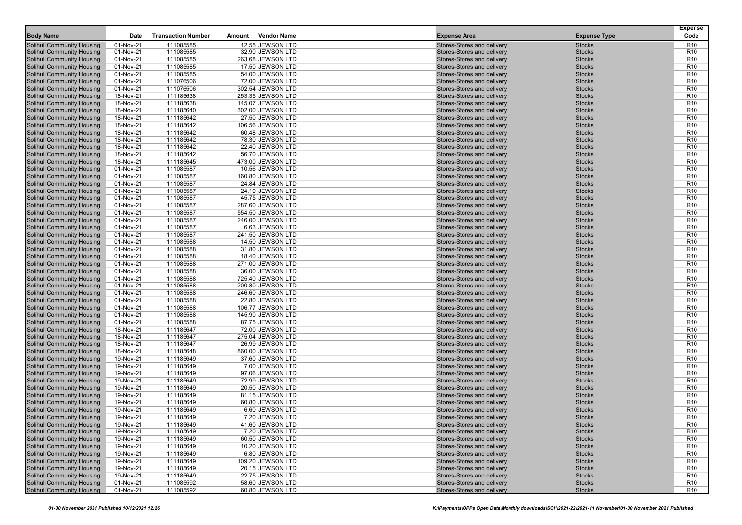|                                                                        |                        |                           |        |                                       |                                                          |                                | <b>Expense</b>                     |
|------------------------------------------------------------------------|------------------------|---------------------------|--------|---------------------------------------|----------------------------------------------------------|--------------------------------|------------------------------------|
| <b>Body Name</b>                                                       | Date                   | <b>Transaction Number</b> | Amount | <b>Vendor Name</b>                    | <b>Expense Area</b>                                      | <b>Expense Type</b>            | Code                               |
| Solihull Community Housing                                             | 01-Nov-21              | 111085585                 |        | 12.55 JEWSON LTD                      | Stores-Stores and delivery                               | <b>Stocks</b>                  | R <sub>10</sub>                    |
| <b>Solihull Community Housing</b>                                      | 01-Nov-21              | 111085585                 |        | 32.90 JEWSON LTD                      | Stores-Stores and delivery                               | <b>Stocks</b>                  | R <sub>10</sub>                    |
| <b>Solihull Community Housing</b><br><b>Solihull Community Housing</b> | 01-Nov-21<br>01-Nov-21 | 111085585<br>111085585    |        | 263.68 JEWSON LTD<br>17.50 JEWSON LTD | Stores-Stores and delivery<br>Stores-Stores and delivery | <b>Stocks</b><br><b>Stocks</b> | R <sub>10</sub><br>R <sub>10</sub> |
| <b>Solihull Community Housing</b>                                      | 01-Nov-21              | 111085585                 |        | 54.00 JEWSON LTD                      | Stores-Stores and delivery                               | <b>Stocks</b>                  | R <sub>10</sub>                    |
| <b>Solihull Community Housing</b>                                      | 01-Nov-21              | 111076506                 |        | 72.00 JEWSON LTD                      | Stores-Stores and delivery                               | <b>Stocks</b>                  | R <sub>10</sub>                    |
| <b>Solihull Community Housing</b>                                      | 01-Nov-21              | 111076506                 |        | 302.54 JEWSON LTD                     | Stores-Stores and delivery                               | <b>Stocks</b>                  | R <sub>10</sub>                    |
| Solihull Community Housing                                             | 18-Nov-21              | 111185638                 |        | 253.35 JEWSON LTD                     | Stores-Stores and delivery                               | <b>Stocks</b>                  | R <sub>10</sub>                    |
| Solihull Community Housing                                             | 18-Nov-21              | 111185638                 |        | 145.07 JEWSON LTD                     | Stores-Stores and delivery                               | <b>Stocks</b>                  | R <sub>10</sub>                    |
| <b>Solihull Community Housing</b>                                      | 18-Nov-21              | 111185640                 |        | 302.00 JEWSON LTD                     | Stores-Stores and delivery                               | <b>Stocks</b>                  | R <sub>10</sub>                    |
| <b>Solihull Community Housing</b>                                      | 18-Nov-21              | 111185642                 |        | 27.50 JEWSON LTD                      | Stores-Stores and delivery                               | <b>Stocks</b>                  | R <sub>10</sub>                    |
| <b>Solihull Community Housing</b>                                      | 18-Nov-21              | 111185642                 |        | 106.56 JEWSON LTD                     | Stores-Stores and delivery                               | <b>Stocks</b>                  | R <sub>10</sub>                    |
| Solihull Community Housing                                             | 18-Nov-21              | 111185642                 |        | 60.48 JEWSON LTD                      | Stores-Stores and delivery                               | <b>Stocks</b>                  | R <sub>10</sub>                    |
| <b>Solihull Community Housing</b>                                      | 18-Nov-21              | 111185642                 |        | 78.30 JEWSON LTD                      | Stores-Stores and delivery                               | <b>Stocks</b>                  | R <sub>10</sub>                    |
| <b>Solihull Community Housing</b>                                      | 18-Nov-21              | 111185642                 |        | 22.40 JEWSON LTD                      | Stores-Stores and delivery                               | <b>Stocks</b>                  | R <sub>10</sub>                    |
| <b>Solihull Community Housing</b>                                      | 18-Nov-21              | 111185642                 |        | 56.70 JEWSON LTD                      | Stores-Stores and delivery                               | <b>Stocks</b>                  | R <sub>10</sub>                    |
| <b>Solihull Community Housing</b>                                      | 18-Nov-21              | 111185645                 |        | 473.00 JEWSON LTD                     | Stores-Stores and delivery                               | <b>Stocks</b>                  | R <sub>10</sub>                    |
| <b>Solihull Community Housing</b>                                      | 01-Nov-21              | 111085587                 |        | 10.56 JEWSON LTD                      | Stores-Stores and delivery                               | <b>Stocks</b>                  | R <sub>10</sub>                    |
| Solihull Community Housing                                             | 01-Nov-21              | 111085587                 |        | 160.80 JEWSON LTD                     | Stores-Stores and delivery                               | <b>Stocks</b>                  | R <sub>10</sub>                    |
| <b>Solihull Community Housing</b>                                      | 01-Nov-21              | 111085587                 |        | 24.84 JEWSON LTD                      | Stores-Stores and delivery                               | <b>Stocks</b>                  | R <sub>10</sub>                    |
| <b>Solihull Community Housing</b>                                      | 01-Nov-21              | 111085587                 |        | 24.10 JEWSON LTD                      | Stores-Stores and delivery                               | <b>Stocks</b>                  | R <sub>10</sub>                    |
| <b>Solihull Community Housing</b>                                      | 01-Nov-21              | 111085587                 |        | 45.75 JEWSON LTD                      | Stores-Stores and delivery                               | <b>Stocks</b>                  | R <sub>10</sub>                    |
| <b>Solihull Community Housing</b>                                      | 01-Nov-21              | 111085587                 |        | 287.60 JEWSON LTD                     | Stores-Stores and delivery                               | <b>Stocks</b>                  | R <sub>10</sub>                    |
| Solihull Community Housing                                             | 01-Nov-21              | 111085587                 |        | 554.50 JEWSON LTD                     | Stores-Stores and delivery                               | <b>Stocks</b>                  | R <sub>10</sub>                    |
| <b>Solihull Community Housing</b>                                      | 01-Nov-21              | 111085587                 |        | 246.00 JEWSON LTD                     | Stores-Stores and delivery                               | <b>Stocks</b>                  | R <sub>10</sub>                    |
| <b>Solihull Community Housing</b>                                      | 01-Nov-21              | 111085587                 |        | 6.63 JEWSON LTD                       | Stores-Stores and delivery                               | <b>Stocks</b>                  | R <sub>10</sub>                    |
| <b>Solihull Community Housing</b>                                      | 01-Nov-21              | 111085587                 |        | 241.50 JEWSON LTD                     | Stores-Stores and delivery                               | <b>Stocks</b>                  | R <sub>10</sub>                    |
| <b>Solihull Community Housing</b>                                      | 01-Nov-21              | 111085588                 |        | 14.50 JEWSON LTD                      | Stores-Stores and delivery                               | <b>Stocks</b>                  | R <sub>10</sub>                    |
| <b>Solihull Community Housing</b>                                      | 01-Nov-21              | 111085588                 |        | 31.80 JEWSON LTD                      | Stores-Stores and delivery                               | <b>Stocks</b>                  | R <sub>10</sub>                    |
| <b>Solihull Community Housing</b>                                      | 01-Nov-21              | 111085588                 |        | 18.40 JEWSON LTD                      | Stores-Stores and delivery                               | <b>Stocks</b>                  | R <sub>10</sub>                    |
| <b>Solihull Community Housing</b>                                      | 01-Nov-21              | 111085588                 |        | 271.00 JEWSON LTD                     | Stores-Stores and delivery                               | <b>Stocks</b>                  | R <sub>10</sub>                    |
| <b>Solihull Community Housing</b>                                      | 01-Nov-21              | 111085588                 |        | 36.00 JEWSON LTD                      | Stores-Stores and delivery                               | <b>Stocks</b>                  | R <sub>10</sub>                    |
| <b>Solihull Community Housing</b>                                      | 01-Nov-21              | 111085588                 |        | 725.40 JEWSON LTD                     | Stores-Stores and delivery                               | <b>Stocks</b>                  | R <sub>10</sub>                    |
| <b>Solihull Community Housing</b>                                      | 01-Nov-21              | 111085588                 |        | 200.80 JEWSON LTD                     | Stores-Stores and delivery                               | <b>Stocks</b>                  | R <sub>10</sub>                    |
| <b>Solihull Community Housing</b>                                      | 01-Nov-21              | 111085588                 |        | 246.60 JEWSON LTD                     | Stores-Stores and delivery                               | <b>Stocks</b>                  | R <sub>10</sub>                    |
| <b>Solihull Community Housing</b>                                      | 01-Nov-21              | 111085588                 |        | 22.80 JEWSON LTD                      | Stores-Stores and delivery                               | <b>Stocks</b>                  | R <sub>10</sub>                    |
| <b>Solihull Community Housing</b>                                      | 01-Nov-21              | 111085588                 |        | 106.77 JEWSON LTD                     | Stores-Stores and delivery                               | <b>Stocks</b>                  | R <sub>10</sub>                    |
| <b>Solihull Community Housing</b>                                      | 01-Nov-21              | 111085588                 |        | 145.90 JEWSON LTD                     | Stores-Stores and delivery                               | <b>Stocks</b>                  | R <sub>10</sub>                    |
| <b>Solihull Community Housing</b>                                      | 01-Nov-21              | 111085588                 |        | 87.75 JEWSON LTD                      | Stores-Stores and delivery                               | <b>Stocks</b>                  | R <sub>10</sub>                    |
| Solihull Community Housing                                             | 18-Nov-21              | 111185647                 |        | 72.00 JEWSON LTD                      | Stores-Stores and delivery                               | <b>Stocks</b>                  | R <sub>10</sub><br>R <sub>10</sub> |
| <b>Solihull Community Housing</b><br><b>Solihull Community Housing</b> | 18-Nov-21<br>18-Nov-21 | 111185647<br>111185647    |        | 275.04 JEWSON LTD<br>26.99 JEWSON LTD | Stores-Stores and delivery<br>Stores-Stores and delivery | <b>Stocks</b><br><b>Stocks</b> | R <sub>10</sub>                    |
| <b>Solihull Community Housing</b>                                      | 18-Nov-21              | 111185648                 |        | 860.00 JEWSON LTD                     | Stores-Stores and delivery                               | <b>Stocks</b>                  | R <sub>10</sub>                    |
| <b>Solihull Community Housing</b>                                      | 19-Nov-21              | 111185649                 |        | 37.60 JEWSON LTD                      | Stores-Stores and delivery                               | <b>Stocks</b>                  | R <sub>10</sub>                    |
| Solihull Community Housing                                             | 19-Nov-21              | 111185649                 |        | 7.00 JEWSON LTD                       | Stores-Stores and delivery                               | <b>Stocks</b>                  | R <sub>10</sub>                    |
| Solihull Community Housing                                             | 19-Nov-21              | 111185649                 |        | 97.06 JEWSON LTD                      | Stores-Stores and delivery                               | <b>Stocks</b>                  | R <sub>10</sub>                    |
| Solihull Community Housing                                             | 19-Nov-21              | 111185649                 |        | 72.99 JEWSON LTD                      | Stores-Stores and delivery                               | <b>Stocks</b>                  | R <sub>10</sub>                    |
| <b>Solihull Community Housing</b>                                      | 19-Nov-21              | 111185649                 |        | 20.50 JEWSON LTD                      | Stores-Stores and delivery                               | <b>Stocks</b>                  | R <sub>10</sub>                    |
| <b>Solihull Community Housing</b>                                      | 19-Nov-21              | 111185649                 |        | 81.15 JEWSON LTD                      | Stores-Stores and delivery                               | <b>Stocks</b>                  | R <sub>10</sub>                    |
| Solihull Community Housing                                             | 19-Nov-21              | 111185649                 |        | 60.80 JEWSON LTD                      | Stores-Stores and delivery                               | <b>Stocks</b>                  | R <sub>10</sub>                    |
| <b>Solihull Community Housing</b>                                      | 19-Nov-21              | 111185649                 |        | 6.60 JEWSON LTD                       | Stores-Stores and delivery                               | <b>Stocks</b>                  | R <sub>10</sub>                    |
| Solihull Community Housing                                             | 19-Nov-21              | 111185649                 |        | 7.20 JEWSON LTD                       | Stores-Stores and delivery                               | <b>Stocks</b>                  | R <sub>10</sub>                    |
| <b>Solihull Community Housing</b>                                      | 19-Nov-21              | 111185649                 |        | 41.60 JEWSON LTD                      | Stores-Stores and delivery                               | <b>Stocks</b>                  | R <sub>10</sub>                    |
| <b>Solihull Community Housing</b>                                      | 19-Nov-21              | 111185649                 |        | 7.20 JEWSON LTD                       | Stores-Stores and delivery                               | Stocks                         | R <sub>10</sub>                    |
| <b>Solihull Community Housing</b>                                      | 19-Nov-21              | 111185649                 |        | 60.50 JEWSON LTD                      | Stores-Stores and delivery                               | <b>Stocks</b>                  | R <sub>10</sub>                    |
| Solihull Community Housing                                             | 19-Nov-21              | 111185649                 |        | 10.20 JEWSON LTD                      | Stores-Stores and delivery                               | <b>Stocks</b>                  | R <sub>10</sub>                    |
| Solihull Community Housing                                             | 19-Nov-21              | 111185649                 |        | 6.80 JEWSON LTD                       | Stores-Stores and delivery                               | <b>Stocks</b>                  | R <sub>10</sub>                    |
| Solihull Community Housing                                             | 19-Nov-21              | 111185649                 |        | 109.20 JEWSON LTD                     | Stores-Stores and delivery                               | <b>Stocks</b>                  | R <sub>10</sub>                    |
| Solihull Community Housing                                             | 19-Nov-21              | 111185649                 |        | 20.15 JEWSON LTD                      | Stores-Stores and delivery                               | Stocks                         | R <sub>10</sub>                    |
| <b>Solihull Community Housing</b>                                      | 19-Nov-21              | 111185649                 |        | 22.75 JEWSON LTD                      | Stores-Stores and delivery                               | <b>Stocks</b>                  | R <sub>10</sub>                    |
| Solihull Community Housing                                             | 01-Nov-21              | 111085592                 |        | 58.60 JEWSON LTD                      | Stores-Stores and delivery                               | <b>Stocks</b>                  | R <sub>10</sub>                    |
| <b>Solihull Community Housing</b>                                      | 01-Nov-21              | 111085592                 |        | 60.80 JEWSON LTD                      | Stores-Stores and delivery                               | <b>Stocks</b>                  | R <sub>10</sub>                    |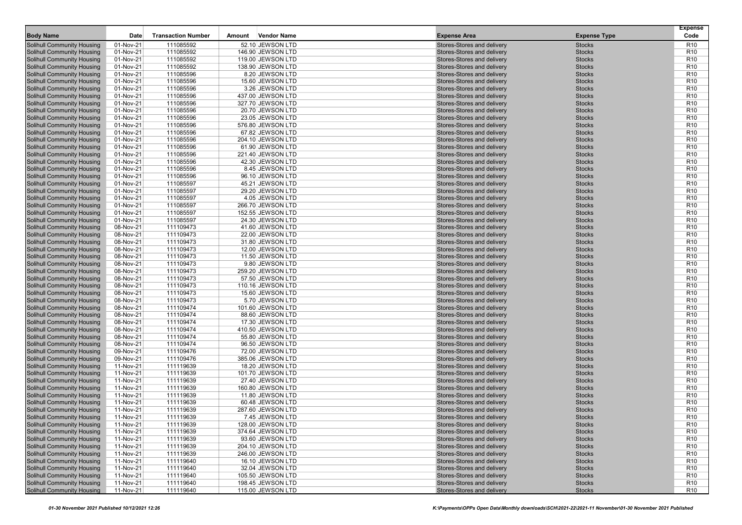|                                                                        |                        |                           |        |                                        |                                                          |                                | <b>Expense</b>                     |
|------------------------------------------------------------------------|------------------------|---------------------------|--------|----------------------------------------|----------------------------------------------------------|--------------------------------|------------------------------------|
| <b>Body Name</b>                                                       | Date                   | <b>Transaction Number</b> | Amount | <b>Vendor Name</b>                     | <b>Expense Area</b>                                      | <b>Expense Type</b>            | Code                               |
| Solihull Community Housing                                             | 01-Nov-21              | 111085592                 |        | 52.10 JEWSON LTD                       | Stores-Stores and delivery                               | <b>Stocks</b>                  | R <sub>10</sub>                    |
| <b>Solihull Community Housing</b>                                      | 01-Nov-21              | 111085592                 |        | 146.90 JEWSON LTD                      | Stores-Stores and delivery                               | <b>Stocks</b>                  | R <sub>10</sub>                    |
| <b>Solihull Community Housing</b><br><b>Solihull Community Housing</b> | 01-Nov-21<br>01-Nov-21 | 111085592<br>111085592    |        | 119.00 JEWSON LTD<br>138.90 JEWSON LTD | Stores-Stores and delivery<br>Stores-Stores and delivery | <b>Stocks</b><br><b>Stocks</b> | R <sub>10</sub><br>R <sub>10</sub> |
| <b>Solihull Community Housing</b>                                      | 01-Nov-21              | 111085596                 |        | 8.20 JEWSON LTD                        | Stores-Stores and delivery                               | <b>Stocks</b>                  | R <sub>10</sub>                    |
| <b>Solihull Community Housing</b>                                      | 01-Nov-21              | 111085596                 |        | 15.60 JEWSON LTD                       | Stores-Stores and delivery                               | <b>Stocks</b>                  | R <sub>10</sub>                    |
| <b>Solihull Community Housing</b>                                      | 01-Nov-21              | 111085596                 |        | 3.26 JEWSON LTD                        | Stores-Stores and delivery                               | <b>Stocks</b>                  | R <sub>10</sub>                    |
| Solihull Community Housing                                             | 01-Nov-21              | 111085596                 |        | 437.00 JEWSON LTD                      | Stores-Stores and delivery                               | <b>Stocks</b>                  | R <sub>10</sub>                    |
| Solihull Community Housing                                             | 01-Nov-21              | 111085596                 |        | 327.70 JEWSON LTD                      | Stores-Stores and delivery                               | <b>Stocks</b>                  | R <sub>10</sub>                    |
| <b>Solihull Community Housing</b>                                      | 01-Nov-21              | 111085596                 |        | 20.70 JEWSON LTD                       | Stores-Stores and delivery                               | <b>Stocks</b>                  | R <sub>10</sub>                    |
| <b>Solihull Community Housing</b>                                      | 01-Nov-21              | 111085596                 |        | 23.05 JEWSON LTD                       | Stores-Stores and delivery                               | <b>Stocks</b>                  | R <sub>10</sub>                    |
| Solihull Community Housing                                             | 01-Nov-21              | 111085596                 |        | 576.80 JEWSON LTD                      | Stores-Stores and delivery                               | <b>Stocks</b>                  | R <sub>10</sub>                    |
| Solihull Community Housing                                             | 01-Nov-21              | 111085596                 |        | 67.82 JEWSON LTD                       | Stores-Stores and delivery                               | <b>Stocks</b>                  | R <sub>10</sub>                    |
| <b>Solihull Community Housing</b>                                      | 01-Nov-21              | 111085596                 |        | 204.10 JEWSON LTD                      | Stores-Stores and delivery                               | <b>Stocks</b>                  | R <sub>10</sub>                    |
| <b>Solihull Community Housing</b>                                      | 01-Nov-21              | 111085596                 |        | 61.90 JEWSON LTD                       | Stores-Stores and delivery                               | <b>Stocks</b>                  | R <sub>10</sub>                    |
| <b>Solihull Community Housing</b>                                      | 01-Nov-21              | 111085596                 |        | 221.40 JEWSON LTD                      | Stores-Stores and delivery                               | <b>Stocks</b>                  | R <sub>10</sub>                    |
| <b>Solihull Community Housing</b>                                      | 01-Nov-21              | 111085596                 |        | 42.30 JEWSON LTD                       | Stores-Stores and delivery                               | <b>Stocks</b>                  | R <sub>10</sub>                    |
| <b>Solihull Community Housing</b>                                      | 01-Nov-21              | 111085596                 |        | 8.45 JEWSON LTD                        | Stores-Stores and delivery                               | <b>Stocks</b>                  | R <sub>10</sub>                    |
| Solihull Community Housing                                             | 01-Nov-21              | 111085596                 |        | 96.10 JEWSON LTD                       | Stores-Stores and delivery                               | <b>Stocks</b>                  | R <sub>10</sub>                    |
| <b>Solihull Community Housing</b>                                      | 01-Nov-21              | 111085597                 |        | 45.21 JEWSON LTD                       | Stores-Stores and delivery                               | <b>Stocks</b>                  | R <sub>10</sub>                    |
| <b>Solihull Community Housing</b>                                      | 01-Nov-21              | 111085597                 |        | 29.20 JEWSON LTD                       | Stores-Stores and delivery                               | <b>Stocks</b>                  | R <sub>10</sub>                    |
| <b>Solihull Community Housing</b>                                      | 01-Nov-21              | 111085597                 |        | 4.05 JEWSON LTD                        | Stores-Stores and delivery                               | <b>Stocks</b>                  | R <sub>10</sub>                    |
| <b>Solihull Community Housing</b>                                      | 01-Nov-21              | 111085597                 |        | 266.70 JEWSON LTD                      | Stores-Stores and delivery                               | <b>Stocks</b>                  | R <sub>10</sub>                    |
| Solihull Community Housing                                             | 01-Nov-21              | 111085597                 |        | 152.55 JEWSON LTD                      | Stores-Stores and delivery                               | <b>Stocks</b>                  | R <sub>10</sub>                    |
| <b>Solihull Community Housing</b>                                      | 01-Nov-21              | 111085597                 |        | 24.30 JEWSON LTD                       | Stores-Stores and delivery                               | <b>Stocks</b>                  | R <sub>10</sub>                    |
| <b>Solihull Community Housing</b>                                      | 08-Nov-21              | 111109473                 |        | 41.60 JEWSON LTD                       | Stores-Stores and delivery                               | <b>Stocks</b>                  | R <sub>10</sub>                    |
| <b>Solihull Community Housing</b>                                      | 08-Nov-21              | 111109473                 |        | 22.00 JEWSON LTD                       | Stores-Stores and delivery                               | <b>Stocks</b>                  | R <sub>10</sub>                    |
| <b>Solihull Community Housing</b>                                      | 08-Nov-21              | 111109473                 |        | 31.80 JEWSON LTD                       | Stores-Stores and delivery                               | <b>Stocks</b>                  | R <sub>10</sub>                    |
| Solihull Community Housing                                             | 08-Nov-21              | 111109473                 |        | 12.00 JEWSON LTD                       | Stores-Stores and delivery                               | <b>Stocks</b>                  | R <sub>10</sub>                    |
| <b>Solihull Community Housing</b>                                      | 08-Nov-21              | 111109473                 |        | 11.50 JEWSON LTD                       | Stores-Stores and delivery                               | <b>Stocks</b>                  | R <sub>10</sub>                    |
| Solihull Community Housing                                             | 08-Nov-21              | 111109473                 |        | 9.80 JEWSON LTD                        | Stores-Stores and delivery                               | <b>Stocks</b>                  | R <sub>10</sub>                    |
| <b>Solihull Community Housing</b>                                      | 08-Nov-21              | 111109473                 |        | 259.20 JEWSON LTD                      | Stores-Stores and delivery                               | <b>Stocks</b>                  | R <sub>10</sub>                    |
| <b>Solihull Community Housing</b>                                      | 08-Nov-21              | 111109473                 |        | 57.50 JEWSON LTD                       | Stores-Stores and delivery                               | <b>Stocks</b>                  | R <sub>10</sub>                    |
| <b>Solihull Community Housing</b>                                      | 08-Nov-21              | 111109473                 |        | 110.16 JEWSON LTD                      | Stores-Stores and delivery                               | <b>Stocks</b>                  | R <sub>10</sub><br>R <sub>10</sub> |
| <b>Solihull Community Housing</b><br><b>Solihull Community Housing</b> | 08-Nov-21<br>08-Nov-21 | 111109473<br>111109473    |        | 15.60 JEWSON LTD<br>5.70 JEWSON LTD    | Stores-Stores and delivery<br>Stores-Stores and delivery | <b>Stocks</b><br><b>Stocks</b> | R <sub>10</sub>                    |
| <b>Solihull Community Housing</b>                                      | 08-Nov-21              | 111109474                 |        | 101.60 JEWSON LTD                      | Stores-Stores and delivery                               | <b>Stocks</b>                  | R <sub>10</sub>                    |
| <b>Solihull Community Housing</b>                                      | 08-Nov-21              | 111109474                 |        | 88.60 JEWSON LTD                       | Stores-Stores and delivery                               | <b>Stocks</b>                  | R <sub>10</sub>                    |
| <b>Solihull Community Housing</b>                                      | 08-Nov-21              | 111109474                 |        | 17.30 JEWSON LTD                       | Stores-Stores and delivery                               | <b>Stocks</b>                  | R <sub>10</sub>                    |
| Solihull Community Housing                                             | 08-Nov-21              | 111109474                 |        | 410.50 JEWSON LTD                      | Stores-Stores and delivery                               | <b>Stocks</b>                  | R <sub>10</sub>                    |
| <b>Solihull Community Housing</b>                                      | 08-Nov-21              | 111109474                 |        | 55.80 JEWSON LTD                       | Stores-Stores and delivery                               | <b>Stocks</b>                  | R <sub>10</sub>                    |
| <b>Solihull Community Housing</b>                                      | 08-Nov-21              | 111109474                 |        | 96.50 JEWSON LTD                       | Stores-Stores and delivery                               | <b>Stocks</b>                  | R <sub>10</sub>                    |
| <b>Solihull Community Housing</b>                                      | 09-Nov-21              | 111109476                 |        | 72.00 JEWSON LTD                       | Stores-Stores and delivery                               | <b>Stocks</b>                  | R <sub>10</sub>                    |
| <b>Solihull Community Housing</b>                                      | 09-Nov-21              | 111109476                 |        | 385.06 JEWSON LTD                      | Stores-Stores and delivery                               | <b>Stocks</b>                  | R <sub>10</sub>                    |
| Solihull Community Housing                                             | 11-Nov-21              | 111119639                 |        | 18.20 JEWSON LTD                       | Stores-Stores and delivery                               | <b>Stocks</b>                  | R <sub>10</sub>                    |
| Solihull Community Housing                                             | 11-Nov-21              | 111119639                 |        | 101.70 JEWSON LTD                      | Stores-Stores and delivery                               | <b>Stocks</b>                  | R <sub>10</sub>                    |
| Solihull Community Housing                                             | 11-Nov-21              | 111119639                 |        | 27.40 JEWSON LTD                       | Stores-Stores and delivery                               | <b>Stocks</b>                  | R <sub>10</sub>                    |
| <b>Solihull Community Housing</b>                                      | 11-Nov-21              | 111119639                 |        | 160.80 JEWSON LTD                      | Stores-Stores and delivery                               | <b>Stocks</b>                  | R <sub>10</sub>                    |
| <b>Solihull Community Housing</b>                                      | 11-Nov-21              | 111119639                 |        | 11.80 JEWSON LTD                       | Stores-Stores and delivery                               | <b>Stocks</b>                  | R <sub>10</sub>                    |
| Solihull Community Housing                                             | 11-Nov-21              | 111119639                 |        | 60.48 JEWSON LTD                       | Stores-Stores and delivery                               | <b>Stocks</b>                  | R <sub>10</sub>                    |
| <b>Solihull Community Housing</b>                                      | 11-Nov-21              | 111119639                 |        | 287.60 JEWSON LTD                      | Stores-Stores and delivery                               | <b>Stocks</b>                  | R <sub>10</sub>                    |
| Solihull Community Housing                                             | 11-Nov-21              | 111119639                 |        | 7.45 JEWSON LTD                        | Stores-Stores and delivery                               | <b>Stocks</b>                  | R <sub>10</sub>                    |
| <b>Solihull Community Housing</b>                                      | 11-Nov-21              | 111119639                 |        | 128.00 JEWSON LTD                      | Stores-Stores and delivery                               | <b>Stocks</b>                  | R <sub>10</sub>                    |
| <b>Solihull Community Housing</b>                                      | 11-Nov-21              | 111119639                 |        | 374.64 JEWSON LTD                      | Stores-Stores and delivery                               | Stocks                         | R <sub>10</sub>                    |
| <b>Solihull Community Housing</b>                                      | 11-Nov-21              | 111119639                 |        | 93.60 JEWSON LTD                       | Stores-Stores and delivery                               | <b>Stocks</b>                  | R <sub>10</sub>                    |
| Solihull Community Housing                                             | 11-Nov-21              | 111119639                 |        | 204.10 JEWSON LTD                      | Stores-Stores and delivery                               | <b>Stocks</b>                  | R <sub>10</sub>                    |
| Solihull Community Housing                                             | 11-Nov-21              | 111119639                 |        | 246.00 JEWSON LTD                      | Stores-Stores and delivery                               | <b>Stocks</b>                  | R <sub>10</sub>                    |
| Solihull Community Housing                                             | 11-Nov-21              | 111119640                 |        | 16.10 JEWSON LTD                       | Stores-Stores and delivery                               | <b>Stocks</b>                  | R <sub>10</sub>                    |
| Solihull Community Housing                                             | 11-Nov-21              | 111119640                 |        | 32.04 JEWSON LTD                       | Stores-Stores and delivery                               | Stocks                         | R <sub>10</sub>                    |
| <b>Solihull Community Housing</b>                                      | 11-Nov-21              | 111119640                 |        | 105.50 JEWSON LTD                      | Stores-Stores and delivery                               | <b>Stocks</b>                  | R <sub>10</sub>                    |
| Solihull Community Housing                                             | 11-Nov-21              | 111119640                 |        | 198.45 JEWSON LTD                      | Stores-Stores and delivery                               | <b>Stocks</b>                  | R <sub>10</sub>                    |
| <b>Solihull Community Housing</b>                                      | 11-Nov-21              | 111119640                 |        | 115.00 JEWSON LTD                      | Stores-Stores and delivery                               | <b>Stocks</b>                  | R <sub>10</sub>                    |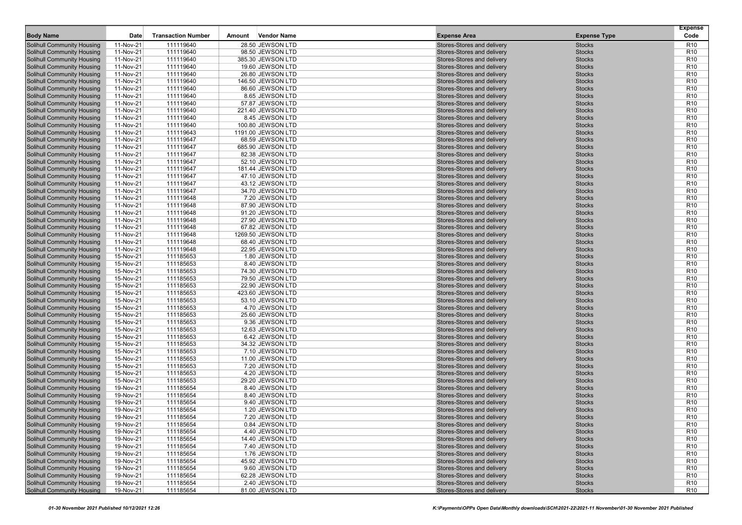|                                                                        |                        |                           |        |                                       |                                                          |                                | <b>Expense</b>                     |
|------------------------------------------------------------------------|------------------------|---------------------------|--------|---------------------------------------|----------------------------------------------------------|--------------------------------|------------------------------------|
| <b>Body Name</b>                                                       | Date                   | <b>Transaction Number</b> | Amount | <b>Vendor Name</b>                    | <b>Expense Area</b>                                      | <b>Expense Type</b>            | Code                               |
| Solihull Community Housing                                             | 11-Nov-21              | 111119640                 |        | 28.50 JEWSON LTD                      | Stores-Stores and delivery                               | <b>Stocks</b>                  | R <sub>10</sub>                    |
| Solihull Community Housing                                             | 11-Nov-21              | 111119640                 |        | 98.50 JEWSON LTD                      | Stores-Stores and delivery                               | <b>Stocks</b>                  | R <sub>10</sub>                    |
| <b>Solihull Community Housing</b>                                      | 11-Nov-21              | 111119640                 |        | 385.30 JEWSON LTD                     | Stores-Stores and delivery                               | <b>Stocks</b>                  | R <sub>10</sub>                    |
| Solihull Community Housing                                             | 11-Nov-21              | 111119640<br>111119640    |        | 19.60 JEWSON LTD<br>26.80 JEWSON LTD  | Stores-Stores and delivery<br>Stores-Stores and delivery | <b>Stocks</b>                  | R <sub>10</sub><br>R <sub>10</sub> |
| <b>Solihull Community Housing</b>                                      | 11-Nov-21              | 111119640                 |        |                                       |                                                          | <b>Stocks</b>                  | R <sub>10</sub>                    |
| <b>Solihull Community Housing</b><br><b>Solihull Community Housing</b> | 11-Nov-21<br>11-Nov-21 | 111119640                 |        | 146.50 JEWSON LTD<br>86.60 JEWSON LTD | Stores-Stores and delivery<br>Stores-Stores and delivery | <b>Stocks</b><br><b>Stocks</b> | R <sub>10</sub>                    |
| <b>Solihull Community Housing</b>                                      | 11-Nov-21              | 111119640                 |        | 8.65 JEWSON LTD                       | Stores-Stores and delivery                               | <b>Stocks</b>                  | R <sub>10</sub>                    |
| <b>Solihull Community Housing</b>                                      | 11-Nov-21              | 111119640                 |        | 57.87 JEWSON LTD                      | Stores-Stores and delivery                               | <b>Stocks</b>                  | R <sub>10</sub>                    |
| <b>Solihull Community Housing</b>                                      | 11-Nov-21              | 111119640                 |        | 221.40 JEWSON LTD                     | Stores-Stores and delivery                               | <b>Stocks</b>                  | R <sub>10</sub>                    |
| <b>Solihull Community Housing</b>                                      | 11-Nov-21              | 111119640                 |        | 8.45 JEWSON LTD                       | Stores-Stores and delivery                               | <b>Stocks</b>                  | R <sub>10</sub>                    |
| Solihull Community Housing                                             | 11-Nov-21              | 111119640                 |        | 100.80 JEWSON LTD                     | Stores-Stores and delivery                               | <b>Stocks</b>                  | R <sub>10</sub>                    |
| Solihull Community Housing                                             | 11-Nov-21              | 111119643                 |        | 1191.00 JEWSON LTD                    | Stores-Stores and delivery                               | <b>Stocks</b>                  | R <sub>10</sub>                    |
| <b>Solihull Community Housing</b>                                      | 11-Nov-21              | 111119647                 |        | 68.59 JEWSON LTD                      | Stores-Stores and delivery                               | <b>Stocks</b>                  | R <sub>10</sub>                    |
| Solihull Community Housing                                             | 11-Nov-21              | 111119647                 |        | 685.90 JEWSON LTD                     | Stores-Stores and delivery                               | <b>Stocks</b>                  | R <sub>10</sub>                    |
| <b>Solihull Community Housing</b>                                      | 11-Nov-21              | 111119647                 |        | 82.38 JEWSON LTD                      | Stores-Stores and delivery                               | <b>Stocks</b>                  | R <sub>10</sub>                    |
| Solihull Community Housing                                             | 11-Nov-21              | 111119647                 |        | 52.10 JEWSON LTD                      | Stores-Stores and delivery                               | <b>Stocks</b>                  | R <sub>10</sub>                    |
| Solihull Community Housing                                             | 11-Nov-21              | 111119647                 |        | 181.44 JEWSON LTD                     | Stores-Stores and delivery                               | <b>Stocks</b>                  | R <sub>10</sub>                    |
| <b>Solihull Community Housing</b>                                      | 11-Nov-21              | 111119647                 |        | 47.10 JEWSON LTD                      | Stores-Stores and delivery                               | <b>Stocks</b>                  | R <sub>10</sub>                    |
| Solihull Community Housing                                             | 11-Nov-21              | 111119647                 |        | 43.12 JEWSON LTD                      | Stores-Stores and delivery                               | <b>Stocks</b>                  | R <sub>10</sub>                    |
| <b>Solihull Community Housing</b>                                      | 11-Nov-21              | 111119647                 |        | 34.70 JEWSON LTD                      | Stores-Stores and delivery                               | <b>Stocks</b>                  | R <sub>10</sub>                    |
| Solihull Community Housing                                             | 11-Nov-21              | 111119648                 |        | 7.20 JEWSON LTD                       | Stores-Stores and delivery                               | <b>Stocks</b>                  | R <sub>10</sub>                    |
| <b>Solihull Community Housing</b>                                      | 11-Nov-21              | 111119648                 |        | 87.90 JEWSON LTD                      | Stores-Stores and delivery                               | <b>Stocks</b>                  | R <sub>10</sub>                    |
| <b>Solihull Community Housing</b>                                      | 11-Nov-21              | 111119648                 |        | 91.20 JEWSON LTD                      | Stores-Stores and delivery                               | <b>Stocks</b>                  | R <sub>10</sub>                    |
| Solihull Community Housing                                             | 11-Nov-21              | 111119648                 |        | 27.90 JEWSON LTD                      | Stores-Stores and delivery                               | <b>Stocks</b>                  | R <sub>10</sub>                    |
| Solihull Community Housing                                             | 11-Nov-21              | 111119648                 |        | 67.82 JEWSON LTD                      | Stores-Stores and delivery                               | <b>Stocks</b>                  | R <sub>10</sub>                    |
| <b>Solihull Community Housing</b>                                      | 11-Nov-21              | 111119648                 |        | 1269.50 JEWSON LTD                    | Stores-Stores and delivery                               | <b>Stocks</b>                  | R <sub>10</sub>                    |
| <b>Solihull Community Housing</b>                                      | 11-Nov-21              | 111119648                 |        | 68.40 JEWSON LTD                      | Stores-Stores and delivery                               | <b>Stocks</b>                  | R <sub>10</sub>                    |
| Solihull Community Housing                                             | 11-Nov-21              | 111119648                 |        | 22.95 JEWSON LTD                      | Stores-Stores and delivery                               | <b>Stocks</b>                  | R <sub>10</sub>                    |
| Solihull Community Housing                                             | 15-Nov-21              | 111185653                 |        | 1.80 JEWSON LTD                       | Stores-Stores and delivery                               | <b>Stocks</b>                  | R <sub>10</sub>                    |
| <b>Solihull Community Housing</b>                                      | 15-Nov-21              | 111185653                 |        | 8.40 JEWSON LTD                       | Stores-Stores and delivery                               | <b>Stocks</b>                  | R <sub>10</sub>                    |
| <b>Solihull Community Housing</b>                                      | 15-Nov-21              | 111185653                 |        | 74.30 JEWSON LTD                      | Stores-Stores and delivery                               | <b>Stocks</b>                  | R <sub>10</sub>                    |
| Solihull Community Housing                                             | 15-Nov-21              | 111185653                 |        | 79.50 JEWSON LTD                      | Stores-Stores and delivery                               | <b>Stocks</b>                  | R <sub>10</sub>                    |
| <b>Solihull Community Housing</b>                                      | 15-Nov-21              | 111185653                 |        | 22.90 JEWSON LTD                      | Stores-Stores and delivery                               | <b>Stocks</b>                  | R <sub>10</sub>                    |
| <b>Solihull Community Housing</b>                                      | 15-Nov-21              | 111185653                 |        | 423.60 JEWSON LTD                     | Stores-Stores and delivery                               | <b>Stocks</b>                  | R <sub>10</sub>                    |
| <b>Solihull Community Housing</b>                                      | 15-Nov-21              | 111185653                 |        | 53.10 JEWSON LTD                      | Stores-Stores and delivery                               | <b>Stocks</b>                  | R <sub>10</sub>                    |
| <b>Solihull Community Housing</b>                                      | 15-Nov-21              | 111185653                 |        | 4.70 JEWSON LTD                       | Stores-Stores and delivery                               | <b>Stocks</b>                  | R <sub>10</sub>                    |
| Solihull Community Housing                                             | 15-Nov-21              | 111185653                 |        | 25.60 JEWSON LTD                      | Stores-Stores and delivery                               | <b>Stocks</b>                  | R <sub>10</sub>                    |
| Solihull Community Housing                                             | 15-Nov-21              | 111185653                 |        | 9.36 JEWSON LTD                       | Stores-Stores and delivery                               | <b>Stocks</b>                  | R <sub>10</sub>                    |
| <b>Solihull Community Housing</b>                                      | 15-Nov-21              | 111185653                 |        | 12.63 JEWSON LTD                      | Stores-Stores and delivery                               | <b>Stocks</b>                  | R <sub>10</sub>                    |
| <b>Solihull Community Housing</b>                                      | 15-Nov-21              | 111185653                 |        | 6.42 JEWSON LTD                       | Stores-Stores and delivery                               | <b>Stocks</b>                  | R <sub>10</sub>                    |
| <b>Solihull Community Housing</b>                                      | 15-Nov-21              | 111185653                 |        | 34.32 JEWSON LTD                      | Stores-Stores and delivery                               | <b>Stocks</b>                  | R <sub>10</sub>                    |
| <b>Solihull Community Housing</b>                                      | 15-Nov-21              | 111185653                 |        | 7.10 JEWSON LTD                       | Stores-Stores and delivery                               | <b>Stocks</b>                  | R <sub>10</sub>                    |
| <b>Solihull Community Housing</b>                                      | 15-Nov-21              | 111185653                 |        | 11.00 JEWSON LTD                      | Stores-Stores and delivery                               | <b>Stocks</b>                  | R <sub>10</sub>                    |
| <b>Solihull Community Housing</b>                                      | 15-Nov-21              | 111185653                 |        | 7.20 JEWSON LTD                       | Stores-Stores and delivery                               | <b>Stocks</b>                  | R <sub>10</sub>                    |
| <b>Solihull Community Housing</b>                                      | 15-Nov-21              | 111185653                 |        | 4.20 JEWSON LTD                       | Stores-Stores and delivery                               | <b>Stocks</b>                  | R <sub>10</sub>                    |
| <b>Solihull Community Housing</b>                                      | 15-Nov-21              | 111185653                 |        | 29.20 JEWSON LTD                      | Stores-Stores and delivery                               | <b>Stocks</b>                  | R <sub>10</sub>                    |
| <b>Solihull Community Housing</b>                                      | 19-Nov-21              | 111185654                 |        | 8.40 JEWSON LTD                       | Stores-Stores and delivery                               | <b>Stocks</b>                  | R <sub>10</sub>                    |
| <b>Solihull Community Housing</b>                                      | 19-Nov-21              | 111185654                 |        | 8.40 JEWSON LTD                       | Stores-Stores and delivery                               | <b>Stocks</b>                  | R <sub>10</sub>                    |
| Solihull Community Housing                                             | 19-Nov-21              | 111185654                 |        | 9.40 JEWSON LTD                       | Stores-Stores and delivery                               | <b>Stocks</b>                  | R <sub>10</sub>                    |
| Solihull Community Housing                                             | 19-Nov-21              | 111185654                 |        | 1.20 JEWSON LTD                       | Stores-Stores and delivery                               | <b>Stocks</b>                  | R <sub>10</sub>                    |
| <b>Solihull Community Housing</b>                                      | 19-Nov-21              | 111185654                 |        | 7.20 JEWSON LTD                       | Stores-Stores and delivery                               | <b>Stocks</b>                  | R <sub>10</sub>                    |
| <b>Solihull Community Housing</b>                                      | 19-Nov-21              | 111185654                 |        | 0.84 JEWSON LTD                       | Stores-Stores and delivery                               | <b>Stocks</b>                  | R <sub>10</sub>                    |
| <b>Solihull Community Housing</b>                                      | 19-Nov-21              | 111185654                 |        | 4.40 JEWSON LTD                       | Stores-Stores and delivery                               | <b>Stocks</b>                  | R <sub>10</sub>                    |
| <b>Solihull Community Housing</b>                                      | 19-Nov-21              | 111185654                 |        | 14.40 JEWSON LTD                      | Stores-Stores and delivery                               | <b>Stocks</b>                  | R <sub>10</sub>                    |
| <b>Solihull Community Housing</b>                                      | 19-Nov-21              | 111185654                 |        | 7.40 JEWSON LTD                       | Stores-Stores and delivery                               | <b>Stocks</b>                  | R <sub>10</sub>                    |
| <b>Solihull Community Housing</b>                                      | 19-Nov-21              | 111185654                 |        | 1.76 JEWSON LTD                       | Stores-Stores and delivery                               | <b>Stocks</b>                  | R <sub>10</sub>                    |
| <b>Solihull Community Housing</b>                                      | 19-Nov-21              | 111185654                 |        | 45.92 JEWSON LTD                      | Stores-Stores and delivery                               | <b>Stocks</b>                  | R <sub>10</sub>                    |
| <b>Solihull Community Housing</b>                                      | 19-Nov-21              | 111185654                 |        | 9.60 JEWSON LTD                       | Stores-Stores and delivery                               | Stocks                         | R <sub>10</sub>                    |
| <b>Solihull Community Housing</b>                                      | 19-Nov-21              | 111185654                 |        | 62.28 JEWSON LTD                      | Stores-Stores and delivery                               | <b>Stocks</b>                  | R <sub>10</sub>                    |
| <b>Solihull Community Housing</b>                                      | 19-Nov-21              | 111185654                 |        | 2.40 JEWSON LTD                       | Stores-Stores and delivery                               | <b>Stocks</b>                  | R <sub>10</sub>                    |
| <b>Solihull Community Housing</b>                                      | 19-Nov-21              | 111185654                 |        | 81.00 JEWSON LTD                      | Stores-Stores and delivery                               | <b>Stocks</b>                  | R <sub>10</sub>                    |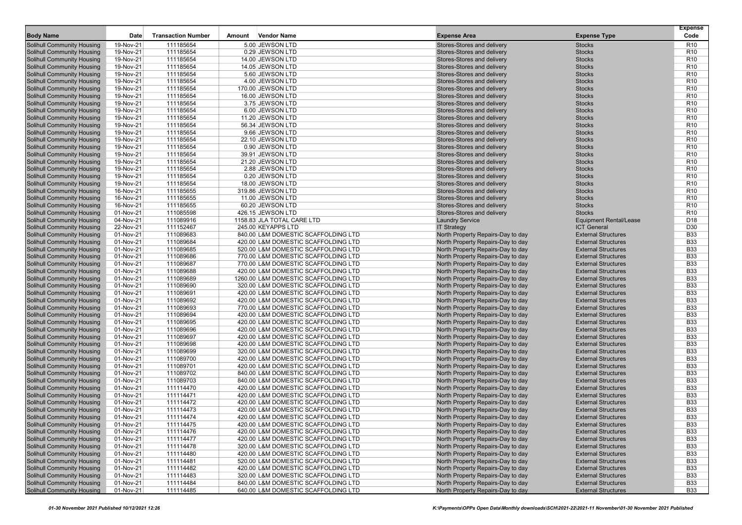|                                                                        | Date                   | <b>Transaction Number</b> |        |                                                                            | <b>Expense Area</b>                                                    |                                                          | <b>Expense</b><br>Code             |
|------------------------------------------------------------------------|------------------------|---------------------------|--------|----------------------------------------------------------------------------|------------------------------------------------------------------------|----------------------------------------------------------|------------------------------------|
| <b>Body Name</b>                                                       |                        |                           | Amount | <b>Vendor Name</b>                                                         |                                                                        | <b>Expense Type</b>                                      |                                    |
| Solihull Community Housing                                             | 19-Nov-21              | 111185654                 |        | 5.00 JEWSON LTD<br>0.29 JEWSON LTD                                         | Stores-Stores and delivery                                             | <b>Stocks</b>                                            | R <sub>10</sub>                    |
| <b>Solihull Community Housing</b><br><b>Solihull Community Housing</b> | 19-Nov-21<br>19-Nov-21 | 111185654<br>111185654    |        | 14.00 JEWSON LTD                                                           | Stores-Stores and delivery<br>Stores-Stores and delivery               | <b>Stocks</b><br><b>Stocks</b>                           | R <sub>10</sub><br>R <sub>10</sub> |
| <b>Solihull Community Housing</b>                                      | 19-Nov-21              | 111185654                 |        | 14.05 JEWSON LTD                                                           | Stores-Stores and delivery                                             | <b>Stocks</b>                                            | R <sub>10</sub>                    |
| <b>Solihull Community Housing</b>                                      | 19-Nov-21              | 111185654                 |        | 5.60 JEWSON LTD                                                            | Stores-Stores and delivery                                             | <b>Stocks</b>                                            | R <sub>10</sub>                    |
| <b>Solihull Community Housing</b>                                      | 19-Nov-21              | 111185654                 |        | 4.00 JEWSON LTD                                                            | Stores-Stores and delivery                                             | <b>Stocks</b>                                            | R <sub>10</sub>                    |
| <b>Solihull Community Housing</b>                                      | 19-Nov-21              | 111185654                 |        | 170.00 JEWSON LTD                                                          | Stores-Stores and delivery                                             | <b>Stocks</b>                                            | R <sub>10</sub>                    |
| <b>Solihull Community Housing</b>                                      | 19-Nov-21              | 111185654                 |        | 16.00 JEWSON LTD                                                           | Stores-Stores and delivery                                             | <b>Stocks</b>                                            | R <sub>10</sub>                    |
| <b>Solihull Community Housing</b>                                      | 19-Nov-21              | 111185654                 |        | 3.75 JEWSON LTD                                                            | Stores-Stores and delivery                                             | <b>Stocks</b>                                            | R <sub>10</sub>                    |
| <b>Solihull Community Housing</b>                                      | 19-Nov-21              | 111185654                 |        | 6.00 JEWSON LTD                                                            | Stores-Stores and delivery                                             | <b>Stocks</b>                                            | R <sub>10</sub>                    |
| <b>Solihull Community Housing</b>                                      | 19-Nov-21              | 111185654                 |        | 11.20 JEWSON LTD                                                           | Stores-Stores and delivery                                             | <b>Stocks</b>                                            | R <sub>10</sub>                    |
| <b>Solihull Community Housing</b>                                      | 19-Nov-21              | 111185654                 |        | 56.34 JEWSON LTD                                                           | Stores-Stores and delivery                                             | <b>Stocks</b>                                            | R <sub>10</sub>                    |
| <b>Solihull Community Housing</b>                                      | 19-Nov-21              | 111185654                 |        | 9.66 JEWSON LTD                                                            | Stores-Stores and delivery                                             | <b>Stocks</b>                                            | R <sub>10</sub>                    |
| <b>Solihull Community Housing</b>                                      | 19-Nov-21              | 111185654                 |        | 22.10 JEWSON LTD                                                           | Stores-Stores and delivery                                             | <b>Stocks</b>                                            | R <sub>10</sub>                    |
| <b>Solihull Community Housing</b>                                      | 19-Nov-21              | 111185654                 |        | 0.90 JEWSON LTD                                                            | Stores-Stores and delivery                                             | <b>Stocks</b>                                            | R <sub>10</sub>                    |
| <b>Solihull Community Housing</b>                                      | 19-Nov-21              | 111185654                 |        | 39.91 JEWSON LTD                                                           | Stores-Stores and delivery                                             | <b>Stocks</b>                                            | R <sub>10</sub>                    |
| <b>Solihull Community Housing</b>                                      | 19-Nov-21              | 111185654                 |        | 21.20 JEWSON LTD                                                           | Stores-Stores and delivery                                             | <b>Stocks</b>                                            | R <sub>10</sub>                    |
| <b>Solihull Community Housing</b>                                      | 19-Nov-21              | 111185654                 |        | 2.88 JEWSON LTD                                                            | Stores-Stores and delivery                                             | <b>Stocks</b>                                            | R <sub>10</sub>                    |
| <b>Solihull Community Housing</b>                                      | 19-Nov-21              | 111185654                 |        | 0.20 JEWSON LTD                                                            | Stores-Stores and delivery                                             | <b>Stocks</b>                                            | R <sub>10</sub>                    |
| <b>Solihull Community Housing</b>                                      | 19-Nov-21              | 111185654                 |        | 18.00 JEWSON LTD                                                           | Stores-Stores and delivery                                             | <b>Stocks</b>                                            | R <sub>10</sub>                    |
| <b>Solihull Community Housing</b>                                      | 16-Nov-21              | 111185655                 |        | 319.86 JEWSON LTD                                                          | Stores-Stores and delivery                                             | <b>Stocks</b>                                            | R <sub>10</sub>                    |
| <b>Solihull Community Housing</b>                                      | 16-Nov-21              | 111185655                 |        | 11.00 JEWSON LTD                                                           | Stores-Stores and delivery                                             | <b>Stocks</b>                                            | R <sub>10</sub>                    |
| <b>Solihull Community Housing</b>                                      | 16-Nov-21              | 111185655                 |        | 60.20 JEWSON LTD                                                           | Stores-Stores and delivery                                             | <b>Stocks</b>                                            | R <sub>10</sub>                    |
| Solihull Community Housing                                             | 01-Nov-21              | 111085598                 |        | 426.15 JEWSON LTD                                                          | Stores-Stores and delivery                                             | <b>Stocks</b>                                            | R <sub>10</sub>                    |
| <b>Solihull Community Housing</b>                                      | 04-Nov-21              | 111089916                 |        | 1158.83 JLA TOTAL CARE LTD                                                 | <b>Laundry Service</b>                                                 | <b>Equipment Rental/Lease</b>                            | D <sub>18</sub>                    |
| <b>Solihull Community Housing</b>                                      | 22-Nov-21              | 111152467                 |        | 245.00 KEYAPPS LTD                                                         | <b>IT Strategy</b>                                                     | <b>ICT General</b>                                       | D <sub>30</sub>                    |
| <b>Solihull Community Housing</b>                                      | 01-Nov-21              | 111089683                 |        | 840.00 L&M DOMESTIC SCAFFOLDING LTD                                        | North Property Repairs-Day to day                                      | <b>External Structures</b>                               | <b>B33</b>                         |
| <b>Solihull Community Housing</b>                                      | 01-Nov-21              | 111089684                 |        | 420.00 L&M DOMESTIC SCAFFOLDING LTD                                        | North Property Repairs-Day to day                                      | <b>External Structures</b>                               | <b>B33</b>                         |
| <b>Solihull Community Housing</b>                                      | 01-Nov-21              | 111089685                 |        | 520.00 L&M DOMESTIC SCAFFOLDING LTD                                        | North Property Repairs-Day to day<br>North Property Repairs-Day to day | <b>External Structures</b>                               | <b>B33</b>                         |
| <b>Solihull Community Housing</b><br><b>Solihull Community Housing</b> | 01-Nov-21<br>01-Nov-21 | 111089686<br>111089687    |        | 770.00 L&M DOMESTIC SCAFFOLDING LTD<br>770.00 L&M DOMESTIC SCAFFOLDING LTD | North Property Repairs-Day to day                                      | <b>External Structures</b><br><b>External Structures</b> | <b>B33</b><br><b>B33</b>           |
| <b>Solihull Community Housing</b>                                      | 01-Nov-21              | 111089688                 |        | 420.00 L&M DOMESTIC SCAFFOLDING LTD                                        | North Property Repairs-Day to day                                      | <b>External Structures</b>                               | <b>B33</b>                         |
| <b>Solihull Community Housing</b>                                      | 01-Nov-21              | 111089689                 |        | 1260.00 L&M DOMESTIC SCAFFOLDING LTD                                       | North Property Repairs-Day to day                                      | <b>External Structures</b>                               | <b>B33</b>                         |
| <b>Solihull Community Housing</b>                                      | 01-Nov-21              | 111089690                 |        | 320.00 L&M DOMESTIC SCAFFOLDING LTD                                        | North Property Repairs-Day to day                                      | <b>External Structures</b>                               | <b>B33</b>                         |
| Solihull Community Housing                                             | 01-Nov-21              | 111089691                 |        | 420.00 L&M DOMESTIC SCAFFOLDING LTD                                        | North Property Repairs-Day to day                                      | <b>External Structures</b>                               | <b>B33</b>                         |
| <b>Solihull Community Housing</b>                                      | 01-Nov-21              | 111089692                 |        | 420.00 L&M DOMESTIC SCAFFOLDING LTD                                        | North Property Repairs-Day to day                                      | <b>External Structures</b>                               | <b>B33</b>                         |
| <b>Solihull Community Housing</b>                                      | 01-Nov-21              | 111089693                 |        | 770.00 L&M DOMESTIC SCAFFOLDING LTD                                        | North Property Repairs-Day to day                                      | <b>External Structures</b>                               | <b>B33</b>                         |
| <b>Solihull Community Housing</b>                                      | 01-Nov-21              | 111089694                 |        | 420.00 L&M DOMESTIC SCAFFOLDING LTD                                        | North Property Repairs-Day to day                                      | <b>External Structures</b>                               | <b>B33</b>                         |
| <b>Solihull Community Housing</b>                                      | 01-Nov-21              | 111089695                 |        | 420.00 L&M DOMESTIC SCAFFOLDING LTD                                        | North Property Repairs-Day to day                                      | <b>External Structures</b>                               | <b>B33</b>                         |
| <b>Solihull Community Housing</b>                                      | 01-Nov-21              | 111089696                 |        | 420.00 L&M DOMESTIC SCAFFOLDING LTD                                        | North Property Repairs-Day to day                                      | <b>External Structures</b>                               | <b>B33</b>                         |
| <b>Solihull Community Housing</b>                                      | 01-Nov-21              | 111089697                 |        | 420.00 L&M DOMESTIC SCAFFOLDING LTD                                        | North Property Repairs-Day to day                                      | <b>External Structures</b>                               | <b>B33</b>                         |
| <b>Solihull Community Housing</b>                                      | 01-Nov-21              | 111089698                 |        | 420.00 L&M DOMESTIC SCAFFOLDING LTD                                        | North Property Repairs-Day to day                                      | <b>External Structures</b>                               | <b>B33</b>                         |
| <b>Solihull Community Housing</b>                                      | 01-Nov-21              | 111089699                 |        | 320.00 L&M DOMESTIC SCAFFOLDING LTD                                        | North Property Repairs-Day to day                                      | <b>External Structures</b>                               | <b>B33</b>                         |
| <b>Solihull Community Housing</b>                                      | 01-Nov-21              | 111089700                 |        | 420.00 L&M DOMESTIC SCAFFOLDING LTD                                        | North Property Repairs-Day to day                                      | <b>External Structures</b>                               | <b>B33</b>                         |
| Solihull Community Housing                                             | 01-Nov-21              | 111089701                 |        | 420.00 L&M DOMESTIC SCAFFOLDING LTD                                        | North Property Repairs-Day to day                                      | <b>External Structures</b>                               | <b>B33</b>                         |
| <b>Solihull Community Housing</b>                                      | 01-Nov-21              | 111089702                 |        | 840.00 L&M DOMESTIC SCAFFOLDING LTD                                        | North Property Repairs-Day to day                                      | <b>External Structures</b>                               | <b>B33</b>                         |
| <b>Solihull Community Housing</b>                                      | 01-Nov-21              | 111089703                 |        | 840.00 L&M DOMESTIC SCAFFOLDING LTD                                        | North Property Repairs-Day to day                                      | <b>External Structures</b>                               | <b>B33</b>                         |
| <b>Solihull Community Housing</b>                                      | 01-Nov-21              | 111114470                 |        | 420.00 L&M DOMESTIC SCAFFOLDING LTD                                        | North Property Repairs-Day to day                                      | <b>External Structures</b>                               | <b>B33</b>                         |
| <b>Solihull Community Housing</b>                                      | 01-Nov-21              | 111114471                 |        | 420.00 L&M DOMESTIC SCAFFOLDING LTD                                        | North Property Repairs-Day to day                                      | <b>External Structures</b>                               | <b>B33</b>                         |
| <b>Solihull Community Housing</b>                                      | 01-Nov-21              | 111114472                 |        | 420.00 L&M DOMESTIC SCAFFOLDING LTD                                        | North Property Repairs-Day to day                                      | <b>External Structures</b>                               | <b>B33</b>                         |
| <b>Solihull Community Housing</b>                                      | 01-Nov-21              | 111114473                 |        | 420.00 L&M DOMESTIC SCAFFOLDING LTD                                        | North Property Repairs-Day to day                                      | <b>External Structures</b>                               | <b>B33</b>                         |
| <b>Solihull Community Housing</b>                                      | 01-Nov-21              | 111114474                 |        | 420.00 L&M DOMESTIC SCAFFOLDING LTD                                        | North Property Repairs-Day to day                                      | <b>External Structures</b>                               | <b>B33</b>                         |
| <b>Solihull Community Housing</b>                                      | 01-Nov-21              | 111114475                 |        | 420.00 L&M DOMESTIC SCAFFOLDING LTD                                        | North Property Repairs-Day to day                                      | <b>External Structures</b>                               | <b>B33</b>                         |
| <b>Solihull Community Housing</b>                                      | 01-Nov-21              | 111114476                 |        | 420.00 L&M DOMESTIC SCAFFOLDING LTD                                        | North Property Repairs-Day to day                                      | <b>External Structures</b>                               | <b>B33</b>                         |
| <b>Solihull Community Housing</b>                                      | 01-Nov-21              | 111114477                 |        | 420.00 L&M DOMESTIC SCAFFOLDING LTD                                        | North Property Repairs-Day to day                                      | <b>External Structures</b>                               | <b>B33</b>                         |
| <b>Solihull Community Housing</b>                                      | 01-Nov-21              | 111114478                 |        | 320.00 L&M DOMESTIC SCAFFOLDING LTD                                        | North Property Repairs-Day to day                                      | <b>External Structures</b>                               | <b>B33</b>                         |
| Solihull Community Housing                                             | 01-Nov-21              | 111114480                 |        | 420.00 L&M DOMESTIC SCAFFOLDING LTD                                        | North Property Repairs-Day to day                                      | <b>External Structures</b>                               | <b>B33</b>                         |
| <b>Solihull Community Housing</b><br>Solihull Community Housing        | 01-Nov-21              | 111114481                 |        | 520.00 L&M DOMESTIC SCAFFOLDING LTD                                        | North Property Repairs-Day to day                                      | <b>External Structures</b>                               | <b>B33</b>                         |
| <b>Solihull Community Housing</b>                                      | 01-Nov-21<br>01-Nov-21 | 111114482<br>111114483    |        | 420.00 L&M DOMESTIC SCAFFOLDING LTD<br>320.00 L&M DOMESTIC SCAFFOLDING LTD | North Property Repairs-Day to day<br>North Property Repairs-Day to day | <b>External Structures</b><br><b>External Structures</b> | <b>B33</b><br><b>B33</b>           |
| Solihull Community Housing                                             | 01-Nov-21              | 111114484                 |        | 840.00 L&M DOMESTIC SCAFFOLDING LTD                                        | North Property Repairs-Day to day                                      | <b>External Structures</b>                               | <b>B33</b>                         |
| <b>Solihull Community Housing</b>                                      | 01-Nov-21              | 111114485                 |        | 640.00 L&M DOMESTIC SCAFFOLDING LTD                                        | North Property Repairs-Day to day                                      | <b>External Structures</b>                               | <b>B33</b>                         |
|                                                                        |                        |                           |        |                                                                            |                                                                        |                                                          |                                    |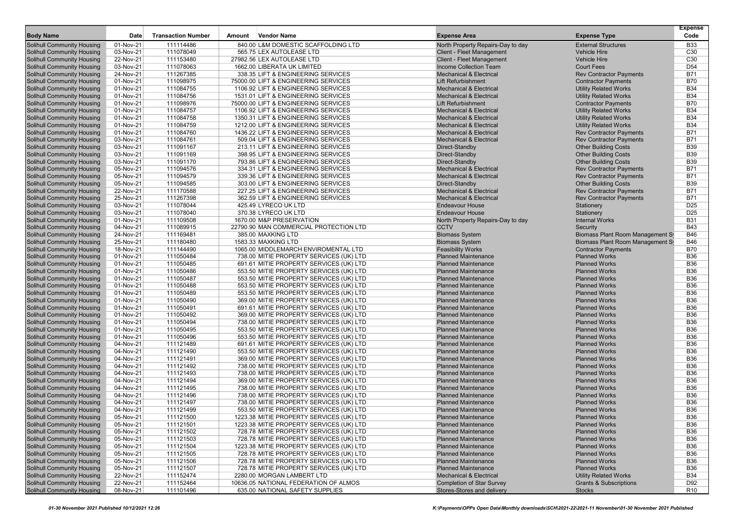|                                                                        |                        |                           |        |                                                                                 |                                                        |                                                                      | <b>Expense</b>                     |
|------------------------------------------------------------------------|------------------------|---------------------------|--------|---------------------------------------------------------------------------------|--------------------------------------------------------|----------------------------------------------------------------------|------------------------------------|
| <b>Body Name</b>                                                       | Date                   | <b>Transaction Number</b> | Amount | <b>Vendor Name</b>                                                              | <b>Expense Area</b>                                    | <b>Expense Type</b>                                                  | Code                               |
| Solihull Community Housing                                             | 01-Nov-21              | 111114486                 |        | 840.00 L&M DOMESTIC SCAFFOLDING LTD                                             | North Property Repairs-Day to day                      | <b>External Structures</b>                                           | <b>B33</b>                         |
| <b>Solihull Community Housing</b>                                      | 03-Nov-21              | 111078049                 |        | 565.75 LEX AUTOLEASE LTD                                                        | <b>Client - Fleet Management</b>                       | <b>Vehicle Hire</b>                                                  | C <sub>30</sub>                    |
| <b>Solihull Community Housing</b>                                      | 22-Nov-21              | 111153480                 |        | 27982.56 LEX AUTOLEASE LTD                                                      | <b>Client - Fleet Management</b>                       | <b>Vehicle Hire</b>                                                  | C <sub>30</sub>                    |
| <b>Solihull Community Housing</b>                                      | 03-Nov-21              | 111078063                 |        | 1662.00 LIBERATA UK LIMITED                                                     | <b>Income Collection Team</b>                          | <b>Court Fees</b>                                                    | D <sub>54</sub>                    |
| <b>Solihull Community Housing</b>                                      | 24-Nov-21              | 111267385                 |        | 338.35 LIFT & ENGINEERING SERVICES                                              | <b>Mechanical &amp; Electrical</b>                     | <b>Rev Contractor Payments</b>                                       | <b>B71</b>                         |
| <b>Solihull Community Housing</b>                                      | 01-Nov-21              | 111098975                 |        | 75000.00 LIFT & ENGINEERING SERVICES                                            | <b>Lift Refurbishment</b>                              | <b>Contractor Payments</b>                                           | <b>B70</b>                         |
| <b>Solihull Community Housing</b>                                      | 01-Nov-21              | 111084755                 |        | 1106.92 LIFT & ENGINEERING SERVICES                                             | <b>Mechanical &amp; Electrical</b>                     | <b>Utility Related Works</b>                                         | <b>B34</b>                         |
| <b>Solihull Community Housing</b>                                      | 01-Nov-21              | 111084756                 |        | 1531.01 LIFT & ENGINEERING SERVICES                                             | <b>Mechanical &amp; Electrical</b>                     | <b>Utility Related Works</b>                                         | <b>B34</b>                         |
| <b>Solihull Community Housing</b>                                      | 01-Nov-21              | 111098976                 |        | 75000.00 LIFT & ENGINEERING SERVICES                                            | <b>Lift Refurbishment</b>                              | <b>Contractor Payments</b>                                           | <b>B70</b>                         |
| <b>Solihull Community Housing</b>                                      | 01-Nov-21              | 111084757                 |        | 1106.92 LIFT & ENGINEERING SERVICES                                             | <b>Mechanical &amp; Electrical</b>                     | <b>Utility Related Works</b>                                         | <b>B34</b>                         |
| <b>Solihull Community Housing</b>                                      | $01-Nov-21$            | 111084758                 |        | 1350.31 LIFT & ENGINEERING SERVICES                                             | <b>Mechanical &amp; Electrical</b>                     | <b>Utility Related Works</b>                                         | <b>B34</b>                         |
| <b>Solihull Community Housing</b>                                      | 01-Nov-21              | 111084759                 |        | 1212.00 LIFT & ENGINEERING SERVICES                                             | <b>Mechanical &amp; Electrical</b>                     | <b>Utility Related Works</b>                                         | <b>B34</b>                         |
| <b>Solihull Community Housing</b>                                      | 01-Nov-21              | 111084760                 |        | 1436.22 LIFT & ENGINEERING SERVICES                                             | <b>Mechanical &amp; Electrical</b>                     | <b>Rev Contractor Payments</b>                                       | <b>B71</b>                         |
| <b>Solihull Community Housing</b>                                      | 03-Nov-21              | 111084761                 |        | 509.04 LIFT & ENGINEERING SERVICES                                              | <b>Mechanical &amp; Electrical</b>                     | <b>Rev Contractor Payments</b>                                       | <b>B71</b>                         |
| <b>Solihull Community Housing</b>                                      | 03-Nov-21              | 111091167                 |        | 213.11 LIFT & ENGINEERING SERVICES                                              | Direct-Standby                                         | <b>Other Building Costs</b>                                          | <b>B39</b>                         |
| <b>Solihull Community Housing</b>                                      | 03-Nov-21              | 111091169                 |        | 398.95 LIFT & ENGINEERING SERVICES                                              | Direct-Standby                                         | <b>Other Building Costs</b>                                          | <b>B39</b>                         |
| <b>Solihull Community Housing</b>                                      | 03-Nov-21              | 111091170                 |        | 793.86 LIFT & ENGINEERING SERVICES                                              | Direct-Standby                                         | <b>Other Building Costs</b>                                          | <b>B39</b>                         |
| <b>Solihull Community Housing</b>                                      | 05-Nov-21              | 111094576                 |        | 334.31 LIFT & ENGINEERING SERVICES                                              | <b>Mechanical &amp; Electrical</b>                     | <b>Rev Contractor Payments</b>                                       | <b>B71</b>                         |
| <b>Solihull Community Housing</b>                                      | 05-Nov-21              | 111094579                 |        | 339.36 LIFT & ENGINEERING SERVICES                                              | <b>Mechanical &amp; Electrical</b>                     | <b>Rev Contractor Payments</b>                                       | <b>B71</b>                         |
| <b>Solihull Community Housing</b>                                      | 05-Nov-21              | 111094585                 |        | 303.00 LIFT & ENGINEERING SERVICES                                              | Direct-Standby                                         | <b>Other Building Costs</b>                                          | <b>B39</b>                         |
| <b>Solihull Community Housing</b>                                      | 22-Nov-21              | 111170588                 |        | 227.25 LIFT & ENGINEERING SERVICES                                              | <b>Mechanical &amp; Electrical</b>                     | <b>Rev Contractor Payments</b>                                       | <b>B71</b>                         |
| <b>Solihull Community Housing</b>                                      | 25-Nov-21              | 111267398                 |        | 362.59 LIFT & ENGINEERING SERVICES                                              | <b>Mechanical &amp; Electrical</b>                     | <b>Rev Contractor Payments</b>                                       | <b>B71</b>                         |
| <b>Solihull Community Housing</b>                                      | 03-Nov-21              | 111078044                 |        | 425.49 LYRECO UK LTD                                                            | <b>Endeavour House</b>                                 | Stationery                                                           | D <sub>25</sub><br>D <sub>25</sub> |
| <b>Solihull Community Housing</b>                                      | 03-Nov-21              | 111078040                 |        | 370.38 LYRECO UK LTD                                                            | <b>Endeavour House</b>                                 | Stationery                                                           |                                    |
| <b>Solihull Community Housing</b>                                      | 01-Nov-21              | 111109508                 |        | 1670.00 M&P PRESERVATION                                                        | North Property Repairs-Day to day                      | <b>Internal Works</b>                                                | <b>B31</b>                         |
| <b>Solihull Community Housing</b>                                      | 04-Nov-21              | 111089915                 |        | 22790.90 MAN COMMERCIAL PROTECTION LTD                                          | <b>CCTV</b>                                            | Security                                                             | <b>B43</b>                         |
| <b>Solihull Community Housing</b>                                      | 24-Nov-21              | 111169481                 |        | 385.00 MAXKING LTD                                                              | <b>Biomass System</b>                                  | Biomass Plant Room Management Sy<br>Biomass Plant Room Management Sy | <b>B46</b>                         |
| <b>Solihull Community Housing</b>                                      | 25-Nov-21              | 111180480                 |        | 1583.33 MAXKING LTD                                                             | <b>Biomass System</b>                                  |                                                                      | <b>B46</b><br><b>B70</b>           |
| <b>Solihull Community Housing</b>                                      | 18-Nov-21              | 111144490                 |        | 1065.00 MIDDLEMARCH ENVIROMENTAL LTD<br>738.00 MITIE PROPERTY SERVICES (UK) LTD | <b>Feasibility Works</b><br><b>Planned Maintenance</b> | <b>Contractor Payments</b><br><b>Planned Works</b>                   | <b>B36</b>                         |
| <b>Solihull Community Housing</b><br><b>Solihull Community Housing</b> | 01-Nov-21<br>01-Nov-21 | 111050484<br>111050485    |        | 691.61 MITIE PROPERTY SERVICES (UK) LTD                                         | <b>Planned Maintenance</b>                             | <b>Planned Works</b>                                                 | <b>B36</b>                         |
| <b>Solihull Community Housing</b>                                      | 01-Nov-21              | 111050486                 |        | 553.50 MITIE PROPERTY SERVICES (UK) LTD                                         | <b>Planned Maintenance</b>                             | <b>Planned Works</b>                                                 | <b>B36</b>                         |
| <b>Solihull Community Housing</b>                                      | 01-Nov-21              | 111050487                 |        | 553.50 MITIE PROPERTY SERVICES (UK) LTD                                         | <b>Planned Maintenance</b>                             | <b>Planned Works</b>                                                 | <b>B36</b>                         |
| <b>Solihull Community Housing</b>                                      | 01-Nov-21              | 111050488                 |        | 553.50 MITIE PROPERTY SERVICES (UK) LTD                                         | <b>Planned Maintenance</b>                             | <b>Planned Works</b>                                                 | <b>B36</b>                         |
| <b>Solihull Community Housing</b>                                      | 01-Nov-21              | 111050489                 |        | 553.50 MITIE PROPERTY SERVICES (UK) LTD                                         | <b>Planned Maintenance</b>                             | <b>Planned Works</b>                                                 | <b>B36</b>                         |
| <b>Solihull Community Housing</b>                                      | 01-Nov-21              | 111050490                 |        | 369.00 MITIE PROPERTY SERVICES (UK) LTD                                         | <b>Planned Maintenance</b>                             | <b>Planned Works</b>                                                 | <b>B36</b>                         |
| <b>Solihull Community Housing</b>                                      | 01-Nov-21              | 111050491                 |        | 691.61 MITIE PROPERTY SERVICES (UK) LTD                                         | <b>Planned Maintenance</b>                             | <b>Planned Works</b>                                                 | <b>B36</b>                         |
| <b>Solihull Community Housing</b>                                      | 01-Nov-21              | 111050492                 |        | 369.00 MITIE PROPERTY SERVICES (UK) LTD                                         | <b>Planned Maintenance</b>                             | <b>Planned Works</b>                                                 | <b>B36</b>                         |
| <b>Solihull Community Housing</b>                                      | 01-Nov-21              | 111050494                 |        | 738.00 MITIE PROPERTY SERVICES (UK) LTD                                         | <b>Planned Maintenance</b>                             | <b>Planned Works</b>                                                 | <b>B36</b>                         |
| <b>Solihull Community Housing</b>                                      | 01-Nov-21              | 111050495                 |        | 553.50 MITIE PROPERTY SERVICES (UK) LTD                                         | <b>Planned Maintenance</b>                             | <b>Planned Works</b>                                                 | <b>B36</b>                         |
| <b>Solihull Community Housing</b>                                      | 01-Nov-21              | 111050496                 |        | 553.50 MITIE PROPERTY SERVICES (UK) LTD                                         | <b>Planned Maintenance</b>                             | <b>Planned Works</b>                                                 | <b>B36</b>                         |
| <b>Solihull Community Housing</b>                                      | 04-Nov-21              | 111121489                 |        | 691.61 MITIE PROPERTY SERVICES (UK) LTD                                         | <b>Planned Maintenance</b>                             | <b>Planned Works</b>                                                 | <b>B36</b>                         |
| <b>Solihull Community Housing</b>                                      | 04-Nov-21              | 111121490                 |        | 553.50 MITIE PROPERTY SERVICES (UK) LTD                                         | <b>Planned Maintenance</b>                             | <b>Planned Works</b>                                                 | <b>B36</b>                         |
| <b>Solihull Community Housing</b>                                      | 04-Nov-21              | 111121491                 |        | 369.00 MITIE PROPERTY SERVICES (UK) LTD                                         | <b>Planned Maintenance</b>                             | <b>Planned Works</b>                                                 | <b>B36</b>                         |
| <b>Solihull Community Housing</b>                                      | 04-Nov-21              | 111121492                 |        | 738.00 MITIE PROPERTY SERVICES (UK) LTD                                         | <b>Planned Maintenance</b>                             | <b>Planned Works</b>                                                 | <b>B36</b>                         |
| <b>Solihull Community Housing</b>                                      | 04-Nov-21              | 111121493                 |        | 738.00 MITIE PROPERTY SERVICES (UK) LTD                                         | <b>Planned Maintenance</b>                             | <b>Planned Works</b>                                                 | <b>B36</b>                         |
| <b>Solihull Community Housing</b>                                      | 04-Nov-21              | 111121494                 |        | 369.00 MITIE PROPERTY SERVICES (UK) LTD                                         | <b>Planned Maintenance</b>                             | <b>Planned Works</b>                                                 | <b>B36</b>                         |
| <b>Solihull Community Housing</b>                                      | 04-Nov-21              | 111121495                 |        | 738.00 MITIE PROPERTY SERVICES (UK) LTD                                         | <b>Planned Maintenance</b>                             | <b>Planned Works</b>                                                 | <b>B36</b>                         |
| <b>Solihull Community Housing</b>                                      | 04-Nov-21              | 111121496                 |        | 738.00 MITIE PROPERTY SERVICES (UK) LTD                                         | <b>Planned Maintenance</b>                             | <b>Planned Works</b>                                                 | <b>B36</b>                         |
| <b>Solihull Community Housing</b>                                      | 04-Nov-21              | 111121497                 |        | 738.00 MITIE PROPERTY SERVICES (UK) LTD                                         | <b>Planned Maintenance</b>                             | <b>Planned Works</b>                                                 | <b>B36</b>                         |
| <b>Solihull Community Housing</b>                                      | 04-Nov-21              | 111121499                 |        | 553.50 MITIE PROPERTY SERVICES (UK) LTD                                         | <b>Planned Maintenance</b>                             | <b>Planned Works</b>                                                 | <b>B36</b>                         |
| <b>Solihull Community Housing</b>                                      | 05-Nov-21              | 111121500                 |        | 1223.38 MITIE PROPERTY SERVICES (UK) LTD                                        | <b>Planned Maintenance</b>                             | <b>Planned Works</b>                                                 | <b>B36</b>                         |
| <b>Solihull Community Housing</b>                                      | 05-Nov-21              | 111121501                 |        | 1223.38 MITIE PROPERTY SERVICES (UK) LTD                                        | <b>Planned Maintenance</b>                             | <b>Planned Works</b>                                                 | <b>B36</b>                         |
| <b>Solihull Community Housing</b>                                      | 05-Nov-21              | 111121502                 |        | 728.78 MITIE PROPERTY SERVICES (UK) LTD                                         | <b>Planned Maintenance</b>                             | <b>Planned Works</b>                                                 | <b>B36</b>                         |
| <b>Solihull Community Housing</b>                                      | 05-Nov-21              | 111121503                 |        | 728.78 MITIE PROPERTY SERVICES (UK) LTD                                         | <b>Planned Maintenance</b>                             | <b>Planned Works</b>                                                 | <b>B36</b>                         |
| <b>Solihull Community Housing</b>                                      | 05-Nov-21              | 111121504                 |        | 1223.38 MITIE PROPERTY SERVICES (UK) LTD                                        | <b>Planned Maintenance</b>                             | <b>Planned Works</b>                                                 | <b>B36</b>                         |
| <b>Solihull Community Housing</b>                                      | 05-Nov-21              | 111121505                 |        | 728.78 MITIE PROPERTY SERVICES (UK) LTD                                         | <b>Planned Maintenance</b>                             | <b>Planned Works</b>                                                 | <b>B36</b>                         |
| <b>Solihull Community Housing</b>                                      | 05-Nov-21              | 111121506                 |        | 728.78 MITIE PROPERTY SERVICES (UK) LTD                                         | <b>Planned Maintenance</b>                             | <b>Planned Works</b>                                                 | <b>B36</b>                         |
| <b>Solihull Community Housing</b>                                      | 05-Nov-21              | 111121507                 |        | 728.78 MITIE PROPERTY SERVICES (UK) LTD                                         | <b>Planned Maintenance</b>                             | <b>Planned Works</b>                                                 | <b>B36</b>                         |
| <b>Solihull Community Housing</b>                                      | 22-Nov-21              | 111152474                 |        | 2280.00 MORGAN LAMBERT LTD                                                      | <b>Mechanical &amp; Electrical</b>                     | <b>Utility Related Works</b>                                         | <b>B34</b>                         |
| <b>Solihull Community Housing</b>                                      | 22-Nov-21              | 111152464                 |        | 10636.05 NATIONAL FEDERATION OF ALMOS                                           | <b>Completion of Star Survey</b>                       | <b>Grants &amp; Subscriptions</b>                                    | D92                                |
| <b>Solihull Community Housing</b>                                      | 08-Nov-21              | 111101496                 |        | 635.00 NATIONAL SAFETY SUPPLIES                                                 | Stores-Stores and delivery                             | <b>Stocks</b>                                                        | R <sub>10</sub>                    |
|                                                                        |                        |                           |        |                                                                                 |                                                        |                                                                      |                                    |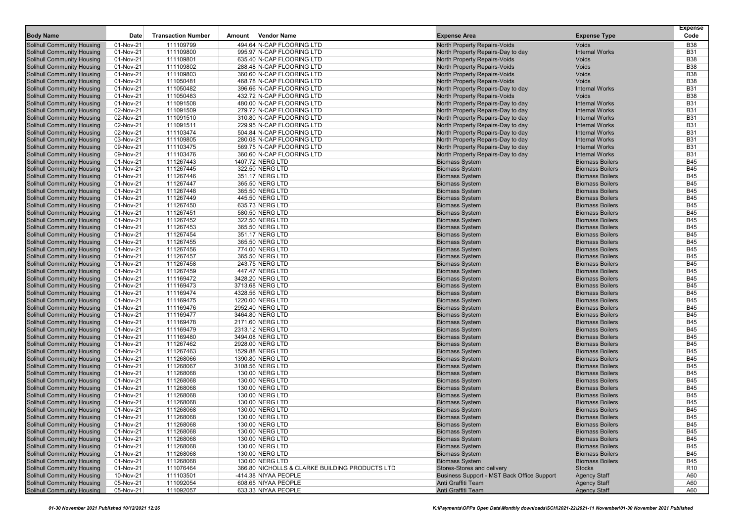|                                                                        |                        |                           |        |                                                        |                                                                     |                                                  | <b>Expense</b>           |
|------------------------------------------------------------------------|------------------------|---------------------------|--------|--------------------------------------------------------|---------------------------------------------------------------------|--------------------------------------------------|--------------------------|
| <b>Body Name</b>                                                       | Date                   | <b>Transaction Number</b> | Amount | <b>Vendor Name</b>                                     | <b>Expense Area</b>                                                 | <b>Expense Type</b>                              | Code                     |
| Solihull Community Housing                                             | 01-Nov-21              | 111109799                 |        | 494.64 N-CAP FLOORING LTD                              | North Property Repairs-Voids                                        | Voids                                            | <b>B38</b>               |
| <b>Solihull Community Housing</b>                                      | 01-Nov-21              | 111109800                 |        | 995.97 N-CAP FLOORING LTD                              | North Property Repairs-Day to day                                   | <b>Internal Works</b>                            | <b>B31</b>               |
| <b>Solihull Community Housing</b>                                      | 01-Nov-21              | 111109801                 |        | 635.40 N-CAP FLOORING LTD                              | North Property Repairs-Voids                                        | Voids                                            | <b>B38</b>               |
| <b>Solihull Community Housing</b><br><b>Solihull Community Housing</b> | 01-Nov-21              | 111109802                 |        | 288.48 N-CAP FLOORING LTD                              | North Property Repairs-Voids<br><b>North Property Repairs-Voids</b> | Voids                                            | <b>B38</b>               |
| <b>Solihull Community Housing</b>                                      | 01-Nov-21<br>01-Nov-21 | 111109803                 |        | 360.60 N-CAP FLOORING LTD<br>468.78 N-CAP FLOORING LTD |                                                                     | <b>Voids</b><br><b>Voids</b>                     | <b>B38</b><br><b>B38</b> |
| <b>Solihull Community Housing</b>                                      | 01-Nov-21              | 111050481<br>111050482    |        | 396.66 N-CAP FLOORING LTD                              | North Property Repairs-Voids<br>North Property Repairs-Day to day   | <b>Internal Works</b>                            | <b>B31</b>               |
| <b>Solihull Community Housing</b>                                      | 01-Nov-21              | 111050483                 |        | 432.72 N-CAP FLOORING LTD                              | North Property Repairs-Voids                                        | <b>Voids</b>                                     | <b>B38</b>               |
| <b>Solihull Community Housing</b>                                      | 01-Nov-21              | 111091508                 |        | 480.00 N-CAP FLOORING LTD                              | North Property Repairs-Day to day                                   | <b>Internal Works</b>                            | <b>B31</b>               |
| <b>Solihull Community Housing</b>                                      | 02-Nov-21              | 111091509                 |        | 279.72 N-CAP FLOORING LTD                              | North Property Repairs-Day to day                                   | <b>Internal Works</b>                            | <b>B31</b>               |
| <b>Solihull Community Housing</b>                                      | 02-Nov-21              | 111091510                 |        | 310.80 N-CAP FLOORING LTD                              | North Property Repairs-Day to day                                   | <b>Internal Works</b>                            | <b>B31</b>               |
| <b>Solihull Community Housing</b>                                      | 02-Nov-21              | 111091511                 |        | 229.95 N-CAP FLOORING LTD                              | North Property Repairs-Day to day                                   | <b>Internal Works</b>                            | <b>B31</b>               |
| <b>Solihull Community Housing</b>                                      | 02-Nov-21              | 111103474                 |        | 504.84 N-CAP FLOORING LTD                              | North Property Repairs-Day to day                                   | <b>Internal Works</b>                            | <b>B31</b>               |
| <b>Solihull Community Housing</b>                                      | 03-Nov-21              | 111109805                 |        | 280.08 N-CAP FLOORING LTD                              | North Property Repairs-Day to day                                   | <b>Internal Works</b>                            | <b>B31</b>               |
| <b>Solihull Community Housing</b>                                      | 09-Nov-21              | 111103475                 |        | 569.75 N-CAP FLOORING LTD                              | North Property Repairs-Day to day                                   | <b>Internal Works</b>                            | <b>B31</b>               |
| <b>Solihull Community Housing</b>                                      | 09-Nov-21              | 111103476                 |        | 360.60 N-CAP FLOORING LTD                              | North Property Repairs-Day to day                                   | <b>Internal Works</b>                            | <b>B31</b>               |
| <b>Solihull Community Housing</b>                                      | 01-Nov-21              | 111267443                 |        | 1407.72 NERG LTD                                       | <b>Biomass System</b>                                               | <b>Biomass Boilers</b>                           | <b>B45</b>               |
| <b>Solihull Community Housing</b>                                      | 01-Nov-21              | 111267445                 |        | 322.50 NERG LTD                                        | <b>Biomass System</b>                                               | <b>Biomass Boilers</b>                           | <b>B45</b>               |
| <b>Solihull Community Housing</b>                                      | 01-Nov-21              | 111267446                 |        | 351.17 NERG LTD                                        | <b>Biomass System</b>                                               | <b>Biomass Boilers</b>                           | <b>B45</b>               |
| <b>Solihull Community Housing</b>                                      | 01-Nov-21              | 111267447                 |        | 365.50 NERG LTD                                        | <b>Biomass System</b>                                               | <b>Biomass Boilers</b>                           | <b>B45</b>               |
| <b>Solihull Community Housing</b>                                      | 01-Nov-21              | 111267448                 |        | 365.50 NERG LTD                                        | <b>Biomass System</b>                                               | <b>Biomass Boilers</b>                           | <b>B45</b>               |
| <b>Solihull Community Housing</b>                                      | 01-Nov-21              | 111267449                 |        | 445.50 NERG LTD                                        | <b>Biomass System</b>                                               | <b>Biomass Boilers</b>                           | <b>B45</b>               |
| <b>Solihull Community Housing</b>                                      | 01-Nov-21              | 111267450                 |        | 635.73 NERG LTD                                        | <b>Biomass System</b>                                               | <b>Biomass Boilers</b>                           | <b>B45</b>               |
| Solihull Community Housing                                             | 01-Nov-21              | 111267451                 |        | 580.50 NERG LTD                                        | <b>Biomass System</b>                                               | <b>Biomass Boilers</b>                           | <b>B45</b>               |
| <b>Solihull Community Housing</b>                                      | 01-Nov-21              | 111267452                 |        | 322.50 NERG LTD                                        | <b>Biomass System</b>                                               | <b>Biomass Boilers</b>                           | <b>B45</b>               |
| <b>Solihull Community Housing</b>                                      | 01-Nov-21              | 111267453                 |        | 365.50 NERG LTD                                        | <b>Biomass System</b>                                               | <b>Biomass Boilers</b>                           | <b>B45</b>               |
| <b>Solihull Community Housing</b>                                      | 01-Nov-21              | 111267454                 |        | 351.17 NERG LTD                                        | <b>Biomass System</b>                                               | <b>Biomass Boilers</b>                           | <b>B45</b>               |
| <b>Solihull Community Housing</b>                                      | 01-Nov-21              | 111267455                 |        | 365.50 NERG LTD                                        | <b>Biomass System</b>                                               | <b>Biomass Boilers</b>                           | <b>B45</b>               |
| <b>Solihull Community Housing</b>                                      | 01-Nov-21              | 111267456                 |        | 774.00 NERG LTD                                        | <b>Biomass System</b>                                               | <b>Biomass Boilers</b>                           | <b>B45</b>               |
| <b>Solihull Community Housing</b>                                      | 01-Nov-21              | 111267457                 |        | 365.50 NERG LTD                                        | <b>Biomass System</b>                                               | <b>Biomass Boilers</b>                           | <b>B45</b>               |
| <b>Solihull Community Housing</b>                                      | 01-Nov-21              | 111267458                 |        | 243.75 NERG LTD                                        | <b>Biomass System</b>                                               | <b>Biomass Boilers</b>                           | <b>B45</b>               |
| <b>Solihull Community Housing</b>                                      | 01-Nov-21              | 111267459                 |        | 447.47 NERG LTD                                        | <b>Biomass System</b>                                               | <b>Biomass Boilers</b>                           | <b>B45</b>               |
| <b>Solihull Community Housing</b>                                      | 01-Nov-21              | 111169472                 |        | 3428.20 NERG LTD                                       | <b>Biomass System</b>                                               | <b>Biomass Boilers</b>                           | <b>B45</b>               |
| <b>Solihull Community Housing</b>                                      | 01-Nov-21              | 111169473                 |        | 3713.68 NERG LTD                                       | <b>Biomass System</b>                                               | <b>Biomass Boilers</b>                           | <b>B45</b>               |
| Solihull Community Housing                                             | 01-Nov-21              | 111169474                 |        | 4328.56 NERG LTD                                       | <b>Biomass System</b>                                               | <b>Biomass Boilers</b><br><b>Biomass Boilers</b> | <b>B45</b>               |
| <b>Solihull Community Housing</b>                                      | 01-Nov-21              | 111169475                 |        | 1220.00 NERG LTD                                       | <b>Biomass System</b>                                               | <b>Biomass Boilers</b>                           | <b>B45</b><br><b>B45</b> |
| <b>Solihull Community Housing</b><br><b>Solihull Community Housing</b> | 01-Nov-21<br>01-Nov-21 | 111169476<br>111169477    |        | 2952.40 NERG LTD<br>3464.80 NERG LTD                   | <b>Biomass System</b><br><b>Biomass System</b>                      | <b>Biomass Boilers</b>                           | <b>B45</b>               |
| <b>Solihull Community Housing</b>                                      | 01-Nov-21              | 111169478                 |        | 2171.60 NERG LTD                                       | <b>Biomass System</b>                                               | <b>Biomass Boilers</b>                           | <b>B45</b>               |
| <b>Solihull Community Housing</b>                                      | 01-Nov-21              | 111169479                 |        | 2313.12 NERG LTD                                       | <b>Biomass System</b>                                               | <b>Biomass Boilers</b>                           | <b>B45</b>               |
| <b>Solihull Community Housing</b>                                      | 01-Nov-21              | 111169480                 |        | 3494.08 NERG LTD                                       | <b>Biomass System</b>                                               | <b>Biomass Boilers</b>                           | <b>B45</b>               |
| <b>Solihull Community Housing</b>                                      | 01-Nov-21              | 111267462                 |        | 2928.00 NERG LTD                                       | <b>Biomass System</b>                                               | <b>Biomass Boilers</b>                           | <b>B45</b>               |
| <b>Solihull Community Housing</b>                                      | 01-Nov-21              | 111267463                 |        | 1529.88 NERG LTD                                       | <b>Biomass System</b>                                               | <b>Biomass Boilers</b>                           | <b>B45</b>               |
| <b>Solihull Community Housing</b>                                      | 01-Nov-21              | 111268066                 |        | 1390.80 NERG LTD                                       | <b>Biomass System</b>                                               | <b>Biomass Boilers</b>                           | <b>B45</b>               |
| Solihull Community Housing                                             | 01-Nov-21              | 111268067                 |        | 3108.56 NERG LTD                                       | <b>Biomass System</b>                                               | <b>Biomass Boilers</b>                           | <b>B45</b>               |
| <b>Solihull Community Housing</b>                                      | 01-Nov-21              | 111268068                 |        | 130.00 NERG LTD                                        | <b>Biomass System</b>                                               | <b>Biomass Boilers</b>                           | <b>B45</b>               |
| Solihull Community Housing                                             | 01-Nov-21              | 111268068                 |        | 130.00 NERG LTD                                        | <b>Biomass System</b>                                               | <b>Biomass Boilers</b>                           | <b>B45</b>               |
| <b>Solihull Community Housing</b>                                      | 01-Nov-21              | 111268068                 |        | 130.00 NERG LTD                                        | <b>Biomass System</b>                                               | <b>Biomass Boilers</b>                           | <b>B45</b>               |
| <b>Solihull Community Housing</b>                                      | 01-Nov-21              | 111268068                 |        | 130.00 NERG LTD                                        | <b>Biomass System</b>                                               | <b>Biomass Boilers</b>                           | <b>B45</b>               |
| <b>Solihull Community Housing</b>                                      | 01-Nov-21              | 111268068                 |        | 130.00 NERG LTD                                        | <b>Biomass System</b>                                               | <b>Biomass Boilers</b>                           | <b>B45</b>               |
| <b>Solihull Community Housing</b>                                      | 01-Nov-21              | 111268068                 |        | 130.00 NERG LTD                                        | <b>Biomass System</b>                                               | <b>Biomass Boilers</b>                           | <b>B45</b>               |
| Solihull Community Housing                                             | 01-Nov-21              | 111268068                 |        | 130.00 NERG LTD                                        | <b>Biomass System</b>                                               | <b>Biomass Boilers</b>                           | <b>B45</b>               |
| <b>Solihull Community Housing</b>                                      | 01-Nov-21              | 111268068                 |        | 130.00 NERG LTD                                        | <b>Biomass System</b>                                               | <b>Biomass Boilers</b>                           | <b>B45</b>               |
| <b>Solihull Community Housing</b>                                      | 01-Nov-21              | 111268068                 |        | 130.00 NERG LTD                                        | <b>Biomass System</b>                                               | <b>Biomass Boilers</b>                           | <b>B45</b>               |
| <b>Solihull Community Housing</b>                                      | 01-Nov-21              | 111268068                 |        | 130.00 NERG LTD                                        | <b>Biomass System</b>                                               | <b>Biomass Boilers</b>                           | <b>B45</b>               |
| <b>Solihull Community Housing</b>                                      | 01-Nov-21              | 111268068                 |        | 130.00 NERG LTD                                        | <b>Biomass System</b>                                               | <b>Biomass Boilers</b>                           | <b>B45</b>               |
| Solihull Community Housing                                             | 01-Nov-21              | 111268068                 |        | 130.00 NERG LTD                                        | <b>Biomass System</b>                                               | <b>Biomass Boilers</b>                           | <b>B45</b>               |
| <b>Solihull Community Housing</b>                                      | 01-Nov-21              | 111268068                 |        | 130.00 NERG LTD                                        | <b>Biomass System</b>                                               | <b>Biomass Boilers</b>                           | <b>B45</b>               |
| Solihull Community Housing                                             | 01-Nov-21              | 111076464                 |        | 366.80 NICHOLLS & CLARKE BUILDING PRODUCTS LTD         | Stores-Stores and delivery                                          | <b>Stocks</b>                                    | R <sub>10</sub>          |
| <b>Solihull Community Housing</b>                                      | 10-Nov-21              | 111103501                 |        | -414.38 NIYAA PEOPLE                                   | Business Support - MST Back Office Support                          | <b>Agency Staff</b>                              | A60                      |
| <b>Solihull Community Housing</b>                                      | 05-Nov-21              | 111092054                 |        | 608.65 NIYAA PEOPLE                                    | Anti Graffiti Team                                                  | <b>Agency Staff</b>                              | A60                      |
| <b>Solihull Community Housing</b>                                      | 05-Nov-21              | 111092057                 |        | 633.33 NIYAA PEOPLE                                    | Anti Graffiti Team                                                  | <b>Agency Staff</b>                              | A60                      |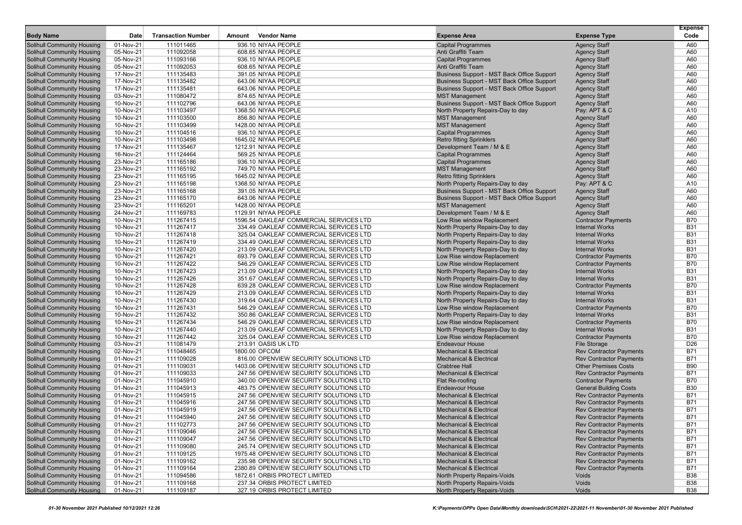|                                                                        |                        |                           |                                                                                   |                                                                  |                                                               | <b>Expense</b>           |
|------------------------------------------------------------------------|------------------------|---------------------------|-----------------------------------------------------------------------------------|------------------------------------------------------------------|---------------------------------------------------------------|--------------------------|
| <b>Body Name</b>                                                       | Date                   | <b>Transaction Number</b> | Vendor Name<br>Amount                                                             | <b>Expense Area</b>                                              | <b>Expense Type</b>                                           | Code                     |
| <b>Solihull Community Housing</b>                                      | 01-Nov-21              | 111011465                 | 936.10 NIYAA PEOPLE                                                               | <b>Capital Programmes</b>                                        | <b>Agency Staff</b>                                           | A60                      |
| <b>Solihull Community Housing</b>                                      | 05-Nov-21              | 111092058                 | 608.65 NIYAA PEOPLE                                                               | Anti Graffiti Team                                               | <b>Agency Staff</b>                                           | A60                      |
| <b>Solihull Community Housing</b>                                      | 05-Nov-21              | 111093166                 | 936.10 NIYAA PEOPLE                                                               | <b>Capital Programmes</b>                                        | <b>Agency Staff</b>                                           | A60                      |
| <b>Solihull Community Housing</b>                                      | 05-Nov-21              | 111092053                 | 608.65 NIYAA PEOPLE                                                               | Anti Graffiti Team                                               | <b>Agency Staff</b>                                           | A60                      |
| <b>Solihull Community Housing</b>                                      | 17-Nov-21              | 111135483                 | 391.05 NIYAA PEOPLE                                                               | Business Support - MST Back Office Support                       | <b>Agency Staff</b>                                           | A60                      |
| <b>Solihull Community Housing</b>                                      | 17-Nov-21              | 111135482                 | 643.06 NIYAA PEOPLE                                                               | Business Support - MST Back Office Support                       | <b>Agency Staff</b>                                           | A60                      |
| <b>Solihull Community Housing</b>                                      | 17-Nov-21              | 111135481                 | 643.06 NIYAA PEOPLE                                                               | Business Support - MST Back Office Support                       | <b>Agency Staff</b>                                           | A60                      |
| <b>Solihull Community Housing</b>                                      | 03-Nov-21              | 111080472                 | 874.65 NIYAA PEOPLE                                                               | <b>MST Management</b>                                            | <b>Agency Staff</b>                                           | A60                      |
| <b>Solihull Community Housing</b>                                      | 10-Nov-21              | 111102796                 | 643.06 NIYAA PEOPLE                                                               | Business Support - MST Back Office Support                       | <b>Agency Staff</b>                                           | A60                      |
| <b>Solihull Community Housing</b>                                      | 10-Nov-21              | 111103497                 | 1368.50 NIYAA PEOPLE                                                              | North Property Repairs-Day to day                                | Pay: APT & C                                                  | A10                      |
| <b>Solihull Community Housing</b>                                      | 10-Nov-21              | 111103500                 | 856.80 NIYAA PEOPLE                                                               | <b>MST Management</b>                                            | <b>Agency Staff</b>                                           | A60                      |
| <b>Solihull Community Housing</b>                                      | 10-Nov-21              | 111103499                 | 1428.00 NIYAA PEOPLE                                                              | <b>MST Management</b>                                            | <b>Agency Staff</b>                                           | A60                      |
| Solihull Community Housing                                             | 10-Nov-21              | 111104516                 | 936.10 NIYAA PEOPLE                                                               | <b>Capital Programmes</b>                                        | <b>Agency Staff</b>                                           | A60                      |
| <b>Solihull Community Housing</b>                                      | 10-Nov-21              | 111103498                 | 1645.02 NIYAA PEOPLE                                                              | <b>Retro fitting Sprinklers</b>                                  | <b>Agency Staff</b>                                           | A60                      |
| <b>Solihull Community Housing</b>                                      | 17-Nov-21              | 111135467                 | 1212.91 NIYAA PEOPLE                                                              | Development Team / M & E                                         | <b>Agency Staff</b>                                           | A60                      |
| <b>Solihull Community Housing</b>                                      | 16-Nov-21              | 111124464                 | 569.25 NIYAA PEOPLE                                                               | <b>Capital Programmes</b>                                        | <b>Agency Staff</b>                                           | A60                      |
| <b>Solihull Community Housing</b>                                      | 23-Nov-21              | 111165186                 | 936.10 NIYAA PEOPLE                                                               | <b>Capital Programmes</b>                                        | <b>Agency Staff</b>                                           | A60                      |
| <b>Solihull Community Housing</b>                                      | 23-Nov-21              | 111165192                 | 749.70 NIYAA PEOPLE                                                               | <b>MST Management</b>                                            | <b>Agency Staff</b>                                           | A60                      |
| <b>Solihull Community Housing</b>                                      | 23-Nov-21              | 111165195                 | 1645.02 NIYAA PEOPLE                                                              | <b>Retro fitting Sprinklers</b>                                  | <b>Agency Staff</b>                                           | A60                      |
| <b>Solihull Community Housing</b>                                      | 23-Nov-21              | 111165198                 | 1368.50 NIYAA PEOPLE                                                              | North Property Repairs-Day to day                                | Pay: APT & C                                                  | A10                      |
| <b>Solihull Community Housing</b>                                      | 23-Nov-21              | 111165168                 | 391.05 NIYAA PEOPLE                                                               | Business Support - MST Back Office Support                       | <b>Agency Staff</b>                                           | A60                      |
| <b>Solihull Community Housing</b>                                      | 23-Nov-21              | 111165170                 | 643.06 NIYAA PEOPLE                                                               | Business Support - MST Back Office Support                       | <b>Agency Staff</b>                                           | A60                      |
| <b>Solihull Community Housing</b>                                      | 23-Nov-21              | 111165201                 | 1428.00 NIYAA PEOPLE                                                              | <b>MST Management</b>                                            | <b>Agency Staff</b>                                           | A60                      |
| <b>Solihull Community Housing</b>                                      | 24-Nov-21              | 111169783                 | 1129.91 NIYAA PEOPLE                                                              | Development Team / M & E                                         | <b>Agency Staff</b>                                           | A60                      |
| <b>Solihull Community Housing</b>                                      | 10-Nov-21              | 111267415                 | 1596.54 OAKLEAF COMMERCIAL SERVICES LTD                                           | Low Rise window Replacement                                      | <b>Contractor Payments</b>                                    | <b>B70</b>               |
| <b>Solihull Community Housing</b>                                      | 10-Nov-21              | 111267417                 | 334.49 OAKLEAF COMMERCIAL SERVICES LTD                                            | North Property Repairs-Day to day                                | <b>Internal Works</b>                                         | <b>B31</b>               |
| <b>Solihull Community Housing</b>                                      | 10-Nov-21              | 111267418                 | 325.04 OAKLEAF COMMERCIAL SERVICES LTD                                            | North Property Repairs-Day to day                                | <b>Internal Works</b>                                         | <b>B31</b>               |
| <b>Solihull Community Housing</b>                                      | 10-Nov-21              | 111267419                 | 334.49 OAKLEAF COMMERCIAL SERVICES LTD                                            | North Property Repairs-Day to day                                | <b>Internal Works</b>                                         | <b>B31</b>               |
| <b>Solihull Community Housing</b>                                      | 10-Nov-21              | 111267420                 | 213.09 OAKLEAF COMMERCIAL SERVICES LTD                                            | North Property Repairs-Day to day                                | <b>Internal Works</b>                                         | <b>B31</b>               |
| <b>Solihull Community Housing</b>                                      | 10-Nov-21              | 111267421                 | 693.79 OAKLEAF COMMERCIAL SERVICES LTD                                            | Low Rise window Replacement                                      | <b>Contractor Payments</b>                                    | <b>B70</b>               |
| <b>Solihull Community Housing</b>                                      | 10-Nov-21              | 111267422                 | 546.29 OAKLEAF COMMERCIAL SERVICES LTD                                            | Low Rise window Replacement                                      | <b>Contractor Payments</b>                                    | <b>B70</b>               |
| <b>Solihull Community Housing</b>                                      | 10-Nov-21              | 111267423                 | 213.09 OAKLEAF COMMERCIAL SERVICES LTD                                            | North Property Repairs-Day to day                                | <b>Internal Works</b>                                         | <b>B31</b>               |
| <b>Solihull Community Housing</b>                                      | 10-Nov-21              | 111267426                 | 351.67 OAKLEAF COMMERCIAL SERVICES LTD                                            | North Property Repairs-Day to day                                | <b>Internal Works</b>                                         | <b>B31</b>               |
| <b>Solihull Community Housing</b>                                      | 10-Nov-21              | 111267428                 | 639.28 OAKLEAF COMMERCIAL SERVICES LTD                                            | Low Rise window Replacement                                      | <b>Contractor Payments</b>                                    | <b>B70</b>               |
| <b>Solihull Community Housing</b>                                      | 10-Nov-21              | 111267429                 | 213.09 OAKLEAF COMMERCIAL SERVICES LTD                                            | North Property Repairs-Day to day                                | <b>Internal Works</b>                                         | <b>B31</b>               |
| <b>Solihull Community Housing</b>                                      | 10-Nov-21              | 111267430                 | 319.64 OAKLEAF COMMERCIAL SERVICES LTD                                            | North Property Repairs-Day to day                                | <b>Internal Works</b>                                         | <b>B31</b>               |
| <b>Solihull Community Housing</b>                                      | 10-Nov-21              | 111267431                 | 546.29 OAKLEAF COMMERCIAL SERVICES LTD                                            | Low Rise window Replacement                                      | <b>Contractor Payments</b>                                    | <b>B70</b>               |
| <b>Solihull Community Housing</b>                                      | 10-Nov-21              | 111267432                 | 350.86 OAKLEAF COMMERCIAL SERVICES LTD                                            | North Property Repairs-Day to day                                | <b>Internal Works</b>                                         | <b>B31</b>               |
| <b>Solihull Community Housing</b>                                      | 10-Nov-21              | 111267434                 | 546.29 OAKLEAF COMMERCIAL SERVICES LTD                                            | Low Rise window Replacement                                      | <b>Contractor Payments</b>                                    | <b>B70</b>               |
| <b>Solihull Community Housing</b>                                      | 10-Nov-21              | 111267440                 | 213.09 OAKLEAF COMMERCIAL SERVICES LTD                                            |                                                                  | <b>Internal Works</b>                                         | <b>B31</b>               |
| <b>Solihull Community Housing</b>                                      | 10-Nov-21              | 111267442                 | 325.04 OAKLEAF COMMERCIAL SERVICES LTD                                            | North Property Repairs-Day to day<br>Low Rise window Replacement |                                                               | <b>B70</b>               |
| <b>Solihull Community Housing</b>                                      | 03-Nov-21              | 111081479                 | 213.91 OASIS UK LTD                                                               | <b>Endeavour House</b>                                           | <b>Contractor Payments</b><br><b>File Storage</b>             | D <sub>26</sub>          |
| <b>Solihull Community Housing</b>                                      | 02-Nov-21              | 111048465                 | 1800.00 OFCOM                                                                     | <b>Mechanical &amp; Electrical</b>                               |                                                               | <b>B71</b>               |
|                                                                        |                        |                           |                                                                                   |                                                                  | <b>Rev Contractor Payments</b>                                |                          |
| <b>Solihull Community Housing</b><br><b>Solihull Community Housing</b> | 01-Nov-21<br>01-Nov-21 | 111109028<br>111109031    | 816.00 OPENVIEW SECURITY SOLUTIONS LTD<br>1403.06 OPENVIEW SECURITY SOLUTIONS LTD | <b>Mechanical &amp; Electrical</b><br><b>Crabtree Hall</b>       | <b>Rev Contractor Payments</b><br><b>Other Premises Costs</b> | <b>B71</b><br><b>B90</b> |
|                                                                        |                        |                           |                                                                                   |                                                                  |                                                               | <b>B71</b>               |
| <b>Solihull Community Housing</b><br>Solihull Community Housing        | 01-Nov-21<br>01-Nov-21 | 111109033<br>111045910    | 247.56 OPENVIEW SECURITY SOLUTIONS LTD<br>340.00 OPENVIEW SECURITY SOLUTIONS LTD  | <b>Mechanical &amp; Electrical</b><br>Flat Re-roofing            | <b>Rev Contractor Payments</b><br><b>Contractor Payments</b>  | <b>B70</b>               |
| <b>Solihull Community Housing</b>                                      |                        |                           |                                                                                   |                                                                  |                                                               | <b>B30</b>               |
| <b>Solihull Community Housing</b>                                      | 01-Nov-21              | 111045913                 | 483.75 OPENVIEW SECURITY SOLUTIONS LTD                                            | <b>Endeavour House</b>                                           | <b>General Building Costs</b>                                 |                          |
|                                                                        | 01-Nov-21              | 111045915                 | 247.56 OPENVIEW SECURITY SOLUTIONS LTD                                            | <b>Mechanical &amp; Electrical</b>                               | <b>Rev Contractor Payments</b>                                | <b>B71</b>               |
| <b>Solihull Community Housing</b>                                      | 01-Nov-21              | 111045916                 | 247.56 OPENVIEW SECURITY SOLUTIONS LTD                                            | <b>Mechanical &amp; Electrical</b>                               | <b>Rev Contractor Payments</b>                                | <b>B71</b>               |
| <b>Solihull Community Housing</b>                                      | 01-Nov-21              | 111045919                 | 247.56 OPENVIEW SECURITY SOLUTIONS LTD                                            | <b>Mechanical &amp; Electrical</b>                               | <b>Rev Contractor Payments</b>                                | <b>B71</b>               |
| <b>Solihull Community Housing</b>                                      | 01-Nov-21              | 111045940                 | 247.56 OPENVIEW SECURITY SOLUTIONS LTD                                            | <b>Mechanical &amp; Electrical</b>                               | <b>Rev Contractor Payments</b>                                | <b>B71</b>               |
| Solihull Community Housing                                             | 01-Nov-21              | 111102773                 | 247.56 OPENVIEW SECURITY SOLUTIONS LTD                                            | <b>Mechanical &amp; Electrical</b>                               | <b>Rev Contractor Payments</b>                                | <b>B71</b>               |
| <b>Solihull Community Housing</b>                                      | 01-Nov-21              | 111109046                 | 247.56 OPENVIEW SECURITY SOLUTIONS LTD                                            | <b>Mechanical &amp; Electrical</b>                               | <b>Rev Contractor Payments</b>                                | <b>B71</b>               |
| <b>Solihull Community Housing</b>                                      | 01-Nov-21              | 111109047                 | 247.56 OPENVIEW SECURITY SOLUTIONS LTD                                            | <b>Mechanical &amp; Electrical</b>                               | <b>Rev Contractor Payments</b>                                | <b>B71</b>               |
| <b>Solihull Community Housing</b>                                      | 01-Nov-21              | 111109080                 | 245.74 OPENVIEW SECURITY SOLUTIONS LTD                                            | <b>Mechanical &amp; Electrical</b>                               | <b>Rev Contractor Payments</b>                                | <b>B71</b>               |
| Solihull Community Housing                                             | 01-Nov-21              | 111109125                 | 1975.48 OPENVIEW SECURITY SOLUTIONS LTD                                           | <b>Mechanical &amp; Electrical</b>                               | <b>Rev Contractor Payments</b>                                | <b>B71</b>               |
| Solihull Community Housing                                             | 01-Nov-21              | 111109162                 | 235.98 OPENVIEW SECURITY SOLUTIONS LTD                                            | <b>Mechanical &amp; Electrical</b>                               | <b>Rev Contractor Payments</b>                                | <b>B71</b>               |
| <b>Solihull Community Housing</b>                                      | 01-Nov-21              | 111109164                 | 2380.89 OPENVIEW SECURITY SOLUTIONS LTD                                           | <b>Mechanical &amp; Electrical</b>                               | <b>Rev Contractor Payments</b>                                | <b>B71</b>               |
| <b>Solihull Community Housing</b>                                      | 01-Nov-21              | 111094586                 | 1872.61 ORBIS PROTECT LIMITED                                                     | North Property Repairs-Voids                                     | Voids                                                         | <b>B38</b>               |
| <b>Solihull Community Housing</b>                                      | 01-Nov-21              | 111109168                 | 237.34 ORBIS PROTECT LIMITED                                                      | North Property Repairs-Voids                                     | Voids                                                         | <b>B38</b>               |
| <b>Solihull Community Housing</b>                                      | 01-Nov-21              | 111109187                 | 327.19 ORBIS PROTECT LIMITED                                                      | North Property Repairs-Voids                                     | Voids                                                         | <b>B38</b>               |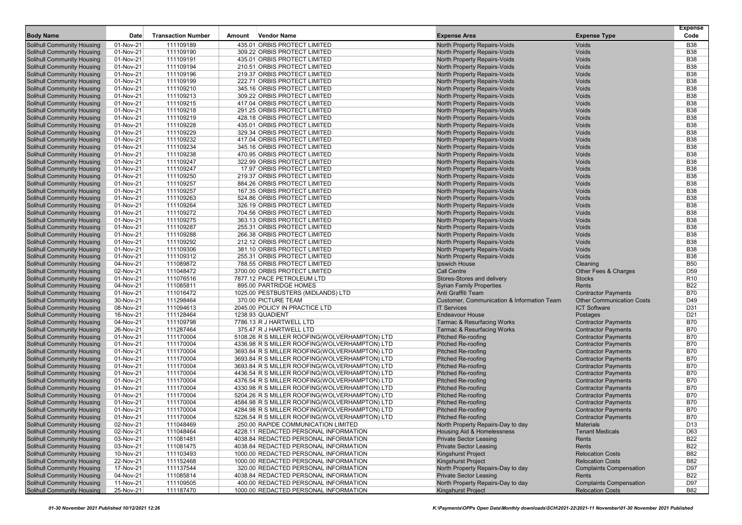|                                                                        |                        |                           |        |                                                              |                                                                     |                                        | <b>Expense</b>           |
|------------------------------------------------------------------------|------------------------|---------------------------|--------|--------------------------------------------------------------|---------------------------------------------------------------------|----------------------------------------|--------------------------|
| <b>Body Name</b>                                                       | Date                   | <b>Transaction Number</b> | Amount | <b>Vendor Name</b>                                           | <b>Expense Area</b>                                                 | <b>Expense Type</b>                    | Code                     |
| Solihull Community Housing                                             | 01-Nov-21              | 111109189                 |        | 435.01 ORBIS PROTECT LIMITED                                 | North Property Repairs-Voids                                        | Voids                                  | <b>B38</b>               |
| <b>Solihull Community Housing</b>                                      | 01-Nov-21              | 111109190                 |        | 309.22 ORBIS PROTECT LIMITED                                 | North Property Repairs-Voids                                        | Voids                                  | <b>B38</b>               |
| <b>Solihull Community Housing</b>                                      | 01-Nov-21              | 111109191                 |        | 435.01 ORBIS PROTECT LIMITED                                 | <b>North Property Repairs-Voids</b>                                 | Voids                                  | <b>B38</b>               |
| <b>Solihull Community Housing</b>                                      | 01-Nov-21              | 111109194<br>111109196    |        | 210.51 ORBIS PROTECT LIMITED<br>219.37 ORBIS PROTECT LIMITED | North Property Repairs-Voids<br><b>North Property Repairs-Voids</b> | Voids<br>Voids                         | <b>B38</b><br><b>B38</b> |
| <b>Solihull Community Housing</b><br>Solihull Community Housing        | 01-Nov-21<br>01-Nov-21 | 111109199                 |        |                                                              |                                                                     | Voids                                  | <b>B38</b>               |
| <b>Solihull Community Housing</b>                                      | 01-Nov-21              | 111109210                 |        | 222.71 ORBIS PROTECT LIMITED<br>345.16 ORBIS PROTECT LIMITED | North Property Repairs-Voids<br>North Property Repairs-Voids        | Voids                                  | <b>B38</b>               |
| <b>Solihull Community Housing</b>                                      | 01-Nov-21              | 111109213                 |        | 309.22 ORBIS PROTECT LIMITED                                 | <b>North Property Repairs-Voids</b>                                 | Voids                                  | <b>B38</b>               |
| <b>Solihull Community Housing</b>                                      | 01-Nov-21              | 111109215                 |        | 417.04 ORBIS PROTECT LIMITED                                 | North Property Repairs-Voids                                        | Voids                                  | <b>B38</b>               |
| <b>Solihull Community Housing</b>                                      | 01-Nov-21              | 111109218                 |        | 291.25 ORBIS PROTECT LIMITED                                 | <b>North Property Repairs-Voids</b>                                 | Voids                                  | <b>B38</b>               |
| Solihull Community Housing                                             | 01-Nov-21              | 111109219                 |        | 428.18 ORBIS PROTECT LIMITED                                 | <b>North Property Repairs-Voids</b>                                 | Voids                                  | <b>B38</b>               |
| <b>Solihull Community Housing</b>                                      | 01-Nov-21              | 111109228                 |        | 435.01 ORBIS PROTECT LIMITED                                 | <b>North Property Repairs-Voids</b>                                 | Voids                                  | <b>B38</b>               |
| <b>Solihull Community Housing</b>                                      | 01-Nov-21              | 111109229                 |        | 329.34 ORBIS PROTECT LIMITED                                 | <b>North Property Repairs-Voids</b>                                 | Voids                                  | <b>B38</b>               |
| <b>Solihull Community Housing</b>                                      | 01-Nov-21              | 111109232                 |        | 417.04 ORBIS PROTECT LIMITED                                 | <b>North Property Repairs-Voids</b>                                 | Voids                                  | <b>B38</b>               |
| <b>Solihull Community Housing</b>                                      | 01-Nov-21              | 111109234                 |        | 345.16 ORBIS PROTECT LIMITED                                 | North Property Repairs-Voids                                        | Voids                                  | <b>B38</b>               |
| <b>Solihull Community Housing</b>                                      | 01-Nov-21              | 111109238                 |        | 470.95 ORBIS PROTECT LIMITED                                 | North Property Repairs-Voids                                        | Voids                                  | <b>B38</b>               |
| <b>Solihull Community Housing</b>                                      | 01-Nov-21              | 111109247                 |        | 322.99 ORBIS PROTECT LIMITED                                 | North Property Repairs-Voids                                        | Voids                                  | <b>B38</b>               |
| <b>Solihull Community Housing</b>                                      | 01-Nov-21              | 111109247                 |        | 17.97 ORBIS PROTECT LIMITED                                  | <b>North Property Repairs-Voids</b>                                 | Voids                                  | <b>B38</b>               |
| Solihull Community Housing                                             | 01-Nov-21              | 111109250                 |        | 219.37 ORBIS PROTECT LIMITED                                 | North Property Repairs-Voids                                        | Voids                                  | <b>B38</b>               |
| <b>Solihull Community Housing</b>                                      | 01-Nov-21              | 111109257                 |        | 884.26 ORBIS PROTECT LIMITED                                 | North Property Repairs-Voids                                        | Voids                                  | <b>B38</b>               |
| <b>Solihull Community Housing</b>                                      | 01-Nov-21              | 111109257                 |        | 167.35 ORBIS PROTECT LIMITED                                 | <b>North Property Repairs-Voids</b>                                 | Voids                                  | <b>B38</b>               |
| <b>Solihull Community Housing</b>                                      | 01-Nov-21              | 111109263                 |        | 524.86 ORBIS PROTECT LIMITED                                 | <b>North Property Repairs-Voids</b>                                 | Voids                                  | <b>B38</b>               |
| <b>Solihull Community Housing</b>                                      | 01-Nov-21              | 111109264                 |        | 326.19 ORBIS PROTECT LIMITED                                 | North Property Repairs-Voids                                        | Voids                                  | <b>B38</b>               |
| <b>Solihull Community Housing</b>                                      | 01-Nov-21              | 111109272                 |        | 704.56 ORBIS PROTECT LIMITED                                 | <b>North Property Repairs-Voids</b>                                 | Voids                                  | <b>B38</b>               |
| <b>Solihull Community Housing</b>                                      | 01-Nov-21              | 111109275                 |        | 363.13 ORBIS PROTECT LIMITED                                 | North Property Repairs-Voids                                        | Voids                                  | <b>B38</b>               |
| <b>Solihull Community Housing</b>                                      | 01-Nov-21              | 111109287                 |        | 255.31 ORBIS PROTECT LIMITED                                 | <b>North Property Repairs-Voids</b>                                 | Voids                                  | <b>B38</b>               |
| <b>Solihull Community Housing</b>                                      | 01-Nov-21              | 111109288                 |        | 266.38 ORBIS PROTECT LIMITED                                 | North Property Repairs-Voids                                        | Voids                                  | <b>B38</b>               |
| <b>Solihull Community Housing</b>                                      | 01-Nov-21              | 111109292                 |        | 212.12 ORBIS PROTECT LIMITED                                 | North Property Repairs-Voids                                        | Voids                                  | <b>B38</b>               |
| <b>Solihull Community Housing</b>                                      | 01-Nov-21              | 111109306                 |        | 381.10 ORBIS PROTECT LIMITED                                 | North Property Repairs-Voids                                        | Voids                                  | <b>B38</b>               |
| <b>Solihull Community Housing</b>                                      | 01-Nov-21              | 111109312                 |        | 255.31 ORBIS PROTECT LIMITED                                 | North Property Repairs-Voids                                        | Voids                                  | <b>B38</b>               |
| <b>Solihull Community Housing</b>                                      | 04-Nov-21              | 111089872                 |        | 788.55 ORBIS PROTECT LIMITED                                 | Ipswich House                                                       | Cleaning                               | <b>B50</b>               |
| <b>Solihull Community Housing</b>                                      | 02-Nov-21              | 111048472                 |        | 3700.00 ORBIS PROTECT LIMITED                                | <b>Call Centre</b>                                                  | Other Fees & Charges                   | D <sub>59</sub>          |
| <b>Solihull Community Housing</b>                                      | 01-Nov-21              | 111076516                 |        | 7877.12 PACE PETROLEUM LTD                                   | Stores-Stores and delivery                                          | <b>Stocks</b>                          | R <sub>10</sub>          |
| <b>Solihull Community Housing</b>                                      | 04-Nov-21              | 111085811                 |        | 895.00 PARTRIDGE HOMES                                       | <b>Syrian Family Properties</b>                                     | Rents                                  | <b>B22</b>               |
| <b>Solihull Community Housing</b>                                      | 01-Nov-21              | 111016472                 |        | 1025.00 PESTBUSTERS (MIDLANDS) LTD                           | Anti Graffiti Team                                                  | <b>Contractor Payments</b>             | <b>B70</b>               |
| <b>Solihull Community Housing</b>                                      | 30-Nov-21<br>08-Nov-21 | 111298464                 |        | 370.00 PICTURE TEAM                                          | Customer, Communication & Information Team                          | <b>Other Communication Costs</b>       | D49                      |
| <b>Solihull Community Housing</b>                                      | 16-Nov-21              | 111094613<br>111128464    |        | 2045.00 POLICY IN PRACTICE LTD                               | <b>IT Services</b><br><b>Endeavour House</b>                        | <b>ICT Software</b>                    | D31<br>D <sub>21</sub>   |
| <b>Solihull Community Housing</b><br><b>Solihull Community Housing</b> | 04-Nov-21              | 111109798                 |        | 1238.93 QUADIENT<br>7786.13 R J HARTWELL LTD                 | Tarmac & Resurfacing Works                                          | Postages<br><b>Contractor Payments</b> | <b>B70</b>               |
| <b>Solihull Community Housing</b>                                      | 26-Nov-21              | 111287464                 |        | 375.47 R J HARTWELL LTD                                      | <b>Tarmac &amp; Resurfacing Works</b>                               | <b>Contractor Payments</b>             | <b>B70</b>               |
| <b>Solihull Community Housing</b>                                      | 01-Nov-21              | 111170004                 |        | 5108.26 R S MILLER ROOFING(WOLVERHAMPTON) LTD                | <b>Pitched Re-roofing</b>                                           | <b>Contractor Payments</b>             | <b>B70</b>               |
| <b>Solihull Community Housing</b>                                      | 01-Nov-21              | 111170004                 |        | 4336.98 R S MILLER ROOFING(WOLVERHAMPTON) LTD                | <b>Pitched Re-roofing</b>                                           | <b>Contractor Payments</b>             | <b>B70</b>               |
| <b>Solihull Community Housing</b>                                      | 01-Nov-21              | 111170004                 |        | 3693.84 R S MILLER ROOFING(WOLVERHAMPTON) LTD                | <b>Pitched Re-roofing</b>                                           | <b>Contractor Payments</b>             | <b>B70</b>               |
| <b>Solihull Community Housing</b>                                      | 01-Nov-21              | 111170004                 |        | 3693.84 R S MILLER ROOFING(WOLVERHAMPTON) LTD                | <b>Pitched Re-roofing</b>                                           | <b>Contractor Payments</b>             | <b>B70</b>               |
| <b>Solihull Community Housing</b>                                      | 01-Nov-21              | 111170004                 |        | 3693.84 R S MILLER ROOFING(WOLVERHAMPTON) LTD                | <b>Pitched Re-roofing</b>                                           | <b>Contractor Payments</b>             | <b>B70</b>               |
| <b>Solihull Community Housing</b>                                      | 01-Nov-21              | 111170004                 |        | 4436.54 R S MILLER ROOFING(WOLVERHAMPTON) LTD                | <b>Pitched Re-roofing</b>                                           | <b>Contractor Payments</b>             | <b>B70</b>               |
| <b>Solihull Community Housing</b>                                      | 01-Nov-21              | 111170004                 |        | 4376.54 R S MILLER ROOFING(WOLVERHAMPTON) LTD                | <b>Pitched Re-roofing</b>                                           | <b>Contractor Payments</b>             | <b>B70</b>               |
| <b>Solihull Community Housing</b>                                      | 01-Nov-21              | 111170004                 |        | 4330.98 R S MILLER ROOFING(WOLVERHAMPTON) LTD                | <b>Pitched Re-roofing</b>                                           | <b>Contractor Payments</b>             | <b>B70</b>               |
| <b>Solihull Community Housing</b>                                      | 01-Nov-21              | 111170004                 |        | 5204.26 R S MILLER ROOFING(WOLVERHAMPTON) LTD                | <b>Pitched Re-roofing</b>                                           | <b>Contractor Payments</b>             | <b>B70</b>               |
| Solihull Community Housing                                             | 01-Nov-21              | 111170004                 |        | 4584.98 R S MILLER ROOFING(WOLVERHAMPTON) LTD                | <b>Pitched Re-roofing</b>                                           | <b>Contractor Payments</b>             | <b>B70</b>               |
| <b>Solihull Community Housing</b>                                      | 01-Nov-21              | 111170004                 |        | 4284.98 R S MILLER ROOFING(WOLVERHAMPTON) LTD                | <b>Pitched Re-roofing</b>                                           | <b>Contractor Payments</b>             | <b>B70</b>               |
| <b>Solihull Community Housing</b>                                      | 01-Nov-21              | 111170004                 |        | 5226.54 R S MILLER ROOFING(WOLVERHAMPTON) LTD                | <b>Pitched Re-roofing</b>                                           | <b>Contractor Payments</b>             | <b>B70</b>               |
| <b>Solihull Community Housing</b>                                      | 02-Nov-21              | 111048469                 |        | 250.00 RAPIDE COMMUNICATION LIMITED                          | North Property Repairs-Day to day                                   | <b>Materials</b>                       | D <sub>13</sub>          |
| <b>Solihull Community Housing</b>                                      | 02-Nov-21              | 111048464                 |        | 4228.11 REDACTED PERSONAL INFORMATION                        | Housing Aid & Homelessness                                          | <b>Tenant Medicals</b>                 | D63                      |
| <b>Solihull Community Housing</b>                                      | 03-Nov-21              | 111081481                 |        | 4038.84 REDACTED PERSONAL INFORMATION                        | <b>Private Sector Leasing</b>                                       | Rents                                  | <b>B22</b>               |
| Solihull Community Housing                                             | 03-Nov-21              | 111081475                 |        | 4038.84 REDACTED PERSONAL INFORMATION                        | <b>Private Sector Leasing</b>                                       | Rents                                  | <b>B22</b>               |
| <b>Solihull Community Housing</b>                                      | 10-Nov-21              | 111103493                 |        | 1000.00 REDACTED PERSONAL INFORMATION                        | <b>Kingshurst Project</b>                                           | <b>Relocation Costs</b>                | <b>B82</b>               |
| <b>Solihull Community Housing</b>                                      | 22-Nov-21              | 111152468                 |        | 1000.00 REDACTED PERSONAL INFORMATION                        | Kingshurst Project                                                  | <b>Relocation Costs</b>                | <b>B82</b>               |
| <b>Solihull Community Housing</b>                                      | 17-Nov-21              | 111137544                 |        | 320.00 REDACTED PERSONAL INFORMATION                         | North Property Repairs-Day to day                                   | <b>Complaints Compensation</b>         | D97                      |
| <b>Solihull Community Housing</b>                                      | 04-Nov-21              | 111085814                 |        | 4038.84 REDACTED PERSONAL INFORMATION                        | <b>Private Sector Leasing</b>                                       | Rents                                  | <b>B22</b>               |
| <b>Solihull Community Housing</b>                                      | 11-Nov-21              | 111109505                 |        | 400.00 REDACTED PERSONAL INFORMATION                         | North Property Repairs-Day to day                                   | <b>Complaints Compensation</b>         | D97                      |
| <b>Solihull Community Housing</b>                                      | 25-Nov-21              | 111187470                 |        | 1000.00 REDACTED PERSONAL INFORMATION                        | <b>Kingshurst Project</b>                                           | <b>Relocation Costs</b>                | <b>B82</b>               |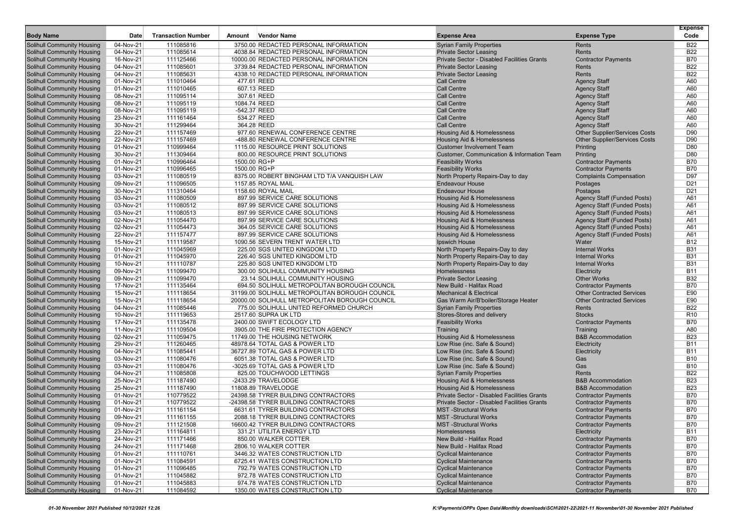| <b>Body Name</b>                                                       | Date                   | <b>Transaction Number</b> | Amount                       | <b>Vendor Name</b>                                             | <b>Expense Area</b>                                           | <b>Expense Type</b>                                      | <b>Expense</b><br>Code   |
|------------------------------------------------------------------------|------------------------|---------------------------|------------------------------|----------------------------------------------------------------|---------------------------------------------------------------|----------------------------------------------------------|--------------------------|
| Solihull Community Housing                                             | 04-Nov-21              | 111085816                 |                              | 3750.00 REDACTED PERSONAL INFORMATION                          | <b>Syrian Family Properties</b>                               | Rents                                                    | <b>B22</b>               |
| <b>Solihull Community Housing</b>                                      | 04-Nov-21              | 111085614                 |                              | 4038.84 REDACTED PERSONAL INFORMATION                          | <b>Private Sector Leasing</b>                                 | Rents                                                    | <b>B22</b>               |
| <b>Solihull Community Housing</b>                                      | 16-Nov-21              | 111125466                 |                              | 10000.00 REDACTED PERSONAL INFORMATION                         | Private Sector - Disabled Facilities Grants                   | <b>Contractor Payments</b>                               | <b>B70</b>               |
| Solihull Community Housing                                             | 04-Nov-21              | 111085601                 |                              | 3739.84 REDACTED PERSONAL INFORMATION                          | <b>Private Sector Leasing</b>                                 | Rents                                                    | <b>B22</b>               |
| <b>Solihull Community Housing</b>                                      | 04-Nov-21              | 111085631                 |                              | 4338.10 REDACTED PERSONAL INFORMATION                          | <b>Private Sector Leasing</b>                                 | Rents                                                    | <b>B22</b>               |
| <b>Solihull Community Housing</b>                                      | 01-Nov-21              | 111010464                 |                              | 477.61 REED                                                    | <b>Call Centre</b>                                            | <b>Agency Staff</b>                                      | A60                      |
| <b>Solihull Community Housing</b>                                      | 01-Nov-21              | 111010465                 |                              | 607.13 REED                                                    | <b>Call Centre</b>                                            | <b>Agency Staff</b>                                      | A60                      |
| <b>Solihull Community Housing</b>                                      | 08-Nov-21              | 111095114                 |                              | 307.61 REED                                                    | <b>Call Centre</b>                                            | <b>Agency Staff</b>                                      | A60                      |
| <b>Solihull Community Housing</b>                                      | 08-Nov-21              | 111095119                 | 1084.74 REED                 |                                                                | <b>Call Centre</b>                                            | <b>Agency Staff</b>                                      | A60                      |
| <b>Solihull Community Housing</b>                                      | 08-Nov-21              | 111095119                 | -542.37 REED                 |                                                                | <b>Call Centre</b>                                            | <b>Agency Staff</b>                                      | A60                      |
| <b>Solihull Community Housing</b>                                      | 23-Nov-21              | 111161464                 |                              | 534.27 REED                                                    | <b>Call Centre</b>                                            | <b>Agency Staff</b>                                      | A60                      |
| <b>Solihull Community Housing</b>                                      | 30-Nov-21              | 111299464                 |                              | 364.28 REED                                                    | <b>Call Centre</b>                                            | <b>Agency Staff</b>                                      | A60                      |
| <b>Solihull Community Housing</b>                                      | 22-Nov-21              | 111157469                 |                              | 977.60 RENEWAL CONFERENCE CENTRE                               | Housing Aid & Homelessness                                    | <b>Other Supplier/Services Costs</b>                     | D90                      |
| <b>Solihull Community Housing</b>                                      | 22-Nov-21              | 111157469                 |                              | -488.80 RENEWAL CONFERENCE CENTRE                              | Housing Aid & Homelessness                                    | <b>Other Supplier/Services Costs</b>                     | D90                      |
| <b>Solihull Community Housing</b>                                      | 01-Nov-21              | 110999464                 |                              | 1115.00 RESOURCE PRINT SOLUTIONS                               | <b>Customer Involvement Team</b>                              | Printing                                                 | D80                      |
| Solihull Community Housing                                             | 30-Nov-21              | 111309464                 |                              | 800.00 RESOURCE PRINT SOLUTIONS                                | Customer, Communication & Information Team                    | Printing                                                 | D80<br><b>B70</b>        |
| <b>Solihull Community Housing</b><br><b>Solihull Community Housing</b> | 01-Nov-21<br>01-Nov-21 | 110996464<br>110996465    | 1500.00 RG+P<br>1500.00 RG+P |                                                                | <b>Feasibility Works</b><br><b>Feasibility Works</b>          | <b>Contractor Payments</b><br><b>Contractor Payments</b> | <b>B70</b>               |
| <b>Solihull Community Housing</b>                                      | 03-Nov-21              | 111080519                 |                              | 8375.00 ROBERT BINGHAM LTD T/A VANQUISH LAW                    | North Property Repairs-Day to day                             | <b>Complaints Compensation</b>                           | D97                      |
| <b>Solihull Community Housing</b>                                      | 09-Nov-21              | 111096505                 |                              | 1157.85 ROYAL MAIL                                             | <b>Endeavour House</b>                                        | Postages                                                 | D <sub>21</sub>          |
| <b>Solihull Community Housing</b>                                      | 30-Nov-21              | 111310464                 |                              | 1158.60 ROYAL MAIL                                             | <b>Endeavour House</b>                                        | Postages                                                 | D <sub>21</sub>          |
| <b>Solihull Community Housing</b>                                      | 03-Nov-21              | 111080509                 |                              | 897.99 SERVICE CARE SOLUTIONS                                  | Housing Aid & Homelessness                                    | Agency Staff (Funded Posts)                              | A61                      |
| <b>Solihull Community Housing</b>                                      | 03-Nov-21              | 111080512                 |                              | 897.99 SERVICE CARE SOLUTIONS                                  | Housing Aid & Homelessness                                    | <b>Agency Staff (Funded Posts)</b>                       | A61                      |
| <b>Solihull Community Housing</b>                                      | 03-Nov-21              | 111080513                 |                              | 897.99 SERVICE CARE SOLUTIONS                                  | <b>Housing Aid &amp; Homelessness</b>                         | Agency Staff (Funded Posts)                              | A61                      |
| Solihull Community Housing                                             | 02-Nov-21              | 111054470                 |                              | 897.99 SERVICE CARE SOLUTIONS                                  | Housing Aid & Homelessness                                    | <b>Agency Staff (Funded Posts)</b>                       | A61                      |
| <b>Solihull Community Housing</b>                                      | 02-Nov-21              | 111054473                 |                              | 364.05 SERVICE CARE SOLUTIONS                                  | Housing Aid & Homelessness                                    | <b>Agency Staff (Funded Posts)</b>                       | A61                      |
| <b>Solihull Community Housing</b>                                      | 22-Nov-21              | 111157477                 |                              | 897.99 SERVICE CARE SOLUTIONS                                  | Housing Aid & Homelessness                                    | Agency Staff (Funded Posts)                              | A61                      |
| <b>Solihull Community Housing</b>                                      | 15-Nov-21              | 111119587                 |                              | 1090.56 SEVERN TRENT WATER LTD                                 | Ipswich House                                                 | Water                                                    | <b>B12</b>               |
| <b>Solihull Community Housing</b>                                      | 01-Nov-21              | 111045969                 |                              | 225.00 SGS UNITED KINGDOM LTD                                  | North Property Repairs-Day to day                             | <b>Internal Works</b>                                    | <b>B31</b>               |
| <b>Solihull Community Housing</b>                                      | 01-Nov-21              | 111045970                 |                              | 226.40 SGS UNITED KINGDOM LTD                                  | North Property Repairs-Day to day                             | <b>Internal Works</b>                                    | <b>B31</b>               |
| <b>Solihull Community Housing</b>                                      | 10-Nov-21              | 111110787                 |                              | 225.80 SGS UNITED KINGDOM LTD                                  | North Property Repairs-Day to day                             | <b>Internal Works</b>                                    | <b>B31</b>               |
| <b>Solihull Community Housing</b>                                      | 09-Nov-21              | 111099470                 |                              | 300.00 SOLIHULL COMMUNITY HOUSING                              | Homelessness                                                  | Electricity                                              | <b>B11</b>               |
| Solihull Community Housing                                             | 09-Nov-21              | 111099470                 |                              | 23.14 SOLIHULL COMMUNITY HOUSING                               | <b>Private Sector Leasing</b>                                 | <b>Other Works</b>                                       | <b>B32</b>               |
| <b>Solihull Community Housing</b>                                      | 17-Nov-21              | 111135464                 |                              | 694.50 SOLIHULL METROPOLITAN BOROUGH COUNCIL                   | New Build - Halifax Road                                      | <b>Contractor Payments</b>                               | <b>B70</b>               |
| <b>Solihull Community Housing</b>                                      | 15-Nov-21              | 111118654                 |                              | 31199.00 SOLIHULL METROPOLITAN BOROUGH COUNCIL                 | <b>Mechanical &amp; Electrical</b>                            | <b>Other Contracted Services</b>                         | E90                      |
| <b>Solihull Community Housing</b>                                      | 15-Nov-21              | 111118654                 |                              | 20000.00 SOLIHULL METROPOLITAN BOROUGH COUNCIL                 | Gas Warm Air/B'boiler/Storage Heater                          | <b>Other Contracted Services</b>                         | E90<br><b>B22</b>        |
| <b>Solihull Community Housing</b><br><b>Solihull Community Housing</b> | 04-Nov-21<br>10-Nov-21 | 111085446<br>111119653    |                              | 775.00 SOLIHULL UNITED REFORMED CHURCH<br>2517.60 SUPRA UK LTD | <b>Syrian Family Properties</b><br>Stores-Stores and delivery | Rents<br><b>Stocks</b>                                   | R <sub>10</sub>          |
| Solihull Community Housing                                             | 17-Nov-21              | 111135478                 |                              | 2400.00 SWIFT ECOLOGY LTD                                      | <b>Feasibility Works</b>                                      | <b>Contractor Payments</b>                               | <b>B70</b>               |
| <b>Solihull Community Housing</b>                                      | 11-Nov-21              | 111109504                 |                              | 3905.00 THE FIRE PROTECTION AGENCY                             | Training                                                      | Training                                                 | A80                      |
| <b>Solihull Community Housing</b>                                      | 02-Nov-21              | 111059475                 |                              | 11749.00 THE HOUSING NETWORK                                   | Housing Aid & Homelessness                                    | <b>B&amp;B Accommodation</b>                             | <b>B23</b>               |
| <b>Solihull Community Housing</b>                                      | 29-Nov-21              | 111260465                 |                              | 48978.64 TOTAL GAS & POWER LTD                                 | Low Rise (inc. Safe & Sound)                                  | Electricity                                              | <b>B11</b>               |
| <b>Solihull Community Housing</b>                                      | 04-Nov-21              | 111085441                 |                              | 36727.89 TOTAL GAS & POWER LTD                                 | Low Rise (inc. Safe & Sound)                                  | Electricity                                              | <b>B11</b>               |
| <b>Solihull Community Housing</b>                                      | 03-Nov-21              | 111080476                 |                              | 6051.38 TOTAL GAS & POWER LTD                                  | Low Rise (inc. Safe & Sound)                                  | Gas                                                      | <b>B10</b>               |
| <b>Solihull Community Housing</b>                                      | 03-Nov-21              | 111080476                 |                              | -3025.69 TOTAL GAS & POWER LTD                                 | Low Rise (inc. Safe & Sound)                                  | Gas                                                      | <b>B10</b>               |
| Solihull Community Housing                                             | 04-Nov-21              | 111085808                 |                              | 825.00 TOUCHWOOD LETTINGS                                      | <b>Syrian Family Properties</b>                               | <b>Rents</b>                                             | <b>B22</b>               |
| <b>Solihull Community Housing</b>                                      | 25-Nov-21              | 111187490                 |                              | -2433.29 TRAVELODGE                                            | Housing Aid & Homelessness                                    | <b>B&amp;B Accommodation</b>                             | <b>B23</b>               |
| <b>Solihull Community Housing</b>                                      | 25-Nov-21              | 111187490                 |                              | 11808.89 TRAVELODGE                                            | Housing Aid & Homelessness                                    | <b>B&amp;B Accommodation</b>                             | <b>B23</b>               |
| <b>Solihull Community Housing</b>                                      | 01-Nov-21              | 110779522                 |                              | 24398.58 TYRER BUILDING CONTRACTORS                            | Private Sector - Disabled Facilities Grants                   | <b>Contractor Payments</b>                               | <b>B70</b>               |
| Solihull Community Housing                                             | 01-Nov-21              | 110779522                 |                              | -24398.58 TYRER BUILDING CONTRACTORS                           | Private Sector - Disabled Facilities Grants                   | <b>Contractor Payments</b>                               | <b>B70</b>               |
| Solihull Community Housing                                             | 01-Nov-21              | 111161154                 |                              | 6631.61 TYRER BUILDING CONTRACTORS                             | <b>MST</b> -Structural Works                                  | <b>Contractor Payments</b>                               | <b>B70</b>               |
| Solihull Community Housing                                             | 09-Nov-21              | 111161155                 |                              | 2088.18 TYRER BUILDING CONTRACTORS                             | <b>MST</b> -Structural Works                                  | <b>Contractor Payments</b>                               | <b>B70</b>               |
| Solihull Community Housing                                             | 09-Nov-21              | 111121508                 |                              | 16600.42 TYRER BUILDING CONTRACTORS                            | <b>MST</b> -Structural Works                                  | <b>Contractor Payments</b>                               | <b>B70</b>               |
| <b>Solihull Community Housing</b>                                      | 23-Nov-21              | 111164811                 |                              | 331.21 UTILITA ENERGY LTD<br>850.00 WALKER COTTER              | Homelessness                                                  | Electricity                                              | <b>B11</b>               |
| <b>Solihull Community Housing</b><br><b>Solihull Community Housing</b> | 24-Nov-21<br>24-Nov-21 | 111171466<br>111171468    |                              | 2806.10 WALKER COTTER                                          | New Build - Halifax Road<br>New Build - Halifax Road          | <b>Contractor Payments</b><br><b>Contractor Payments</b> | <b>B70</b><br><b>B70</b> |
| Solihull Community Housing                                             | 01-Nov-21              | 111110761                 |                              | 3446.32 WATES CONSTRUCTION LTD                                 | <b>Cyclical Maintenance</b>                                   | <b>Contractor Payments</b>                               | <b>B70</b>               |
| Solihull Community Housing                                             | 01-Nov-21              | 111084591                 |                              | 6725.41 WATES CONSTRUCTION LTD                                 | <b>Cyclical Maintenance</b>                                   | <b>Contractor Payments</b>                               | <b>B70</b>               |
| Solihull Community Housing                                             | 01-Nov-21              | 111096485                 |                              | 792.79 WATES CONSTRUCTION LTD                                  | <b>Cyclical Maintenance</b>                                   | <b>Contractor Payments</b>                               | <b>B70</b>               |
| Solihull Community Housing                                             | 01-Nov-21              | 111045882                 |                              | 972.78 WATES CONSTRUCTION LTD                                  | <b>Cyclical Maintenance</b>                                   | <b>Contractor Payments</b>                               | <b>B70</b>               |
| Solihull Community Housing                                             | 01-Nov-21              | 111045883                 |                              | 974.78 WATES CONSTRUCTION LTD                                  | <b>Cyclical Maintenance</b>                                   | <b>Contractor Payments</b>                               | <b>B70</b>               |
| Solihull Community Housing                                             | 01-Nov-21              | 111084592                 |                              | 1350.00 WATES CONSTRUCTION LTD                                 | <b>Cyclical Maintenance</b>                                   | <b>Contractor Payments</b>                               | <b>B70</b>               |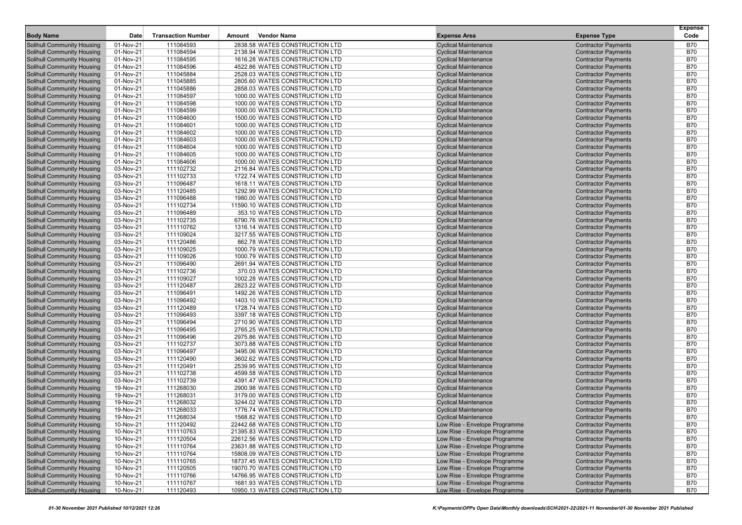|                                                                        |                        |                           |        |                                                                    |                                                                |                                                          | <b>Expense</b>           |
|------------------------------------------------------------------------|------------------------|---------------------------|--------|--------------------------------------------------------------------|----------------------------------------------------------------|----------------------------------------------------------|--------------------------|
| <b>Body Name</b>                                                       | Date                   | <b>Transaction Number</b> | Amount | <b>Vendor Name</b>                                                 | <b>Expense Area</b>                                            | <b>Expense Type</b>                                      | Code                     |
| Solihull Community Housing                                             | 01-Nov-21              | 111084593                 |        | 2838.58 WATES CONSTRUCTION LTD                                     | <b>Cyclical Maintenance</b>                                    | <b>Contractor Payments</b>                               | <b>B70</b>               |
| <b>Solihull Community Housing</b>                                      | 01-Nov-21              | 111084594                 |        | 2138.94 WATES CONSTRUCTION LTD                                     | <b>Cyclical Maintenance</b>                                    | <b>Contractor Payments</b>                               | <b>B70</b>               |
| <b>Solihull Community Housing</b>                                      | 01-Nov-21              | 111084595                 |        | 1616.28 WATES CONSTRUCTION LTD                                     | <b>Cyclical Maintenance</b>                                    | <b>Contractor Payments</b>                               | <b>B70</b>               |
| <b>Solihull Community Housing</b>                                      | 01-Nov-21              | 111084596                 |        | 4522.86 WATES CONSTRUCTION LTD                                     | <b>Cyclical Maintenance</b>                                    | <b>Contractor Payments</b>                               | <b>B70</b>               |
| <b>Solihull Community Housing</b>                                      | 01-Nov-21              | 111045884                 |        | 2528.03 WATES CONSTRUCTION LTD                                     | <b>Cyclical Maintenance</b>                                    | <b>Contractor Payments</b>                               | <b>B70</b>               |
| <b>Solihull Community Housing</b>                                      | 01-Nov-21              | 111045885                 |        | 2805.60 WATES CONSTRUCTION LTD                                     | <b>Cyclical Maintenance</b>                                    | <b>Contractor Payments</b>                               | <b>B70</b>               |
| <b>Solihull Community Housing</b>                                      | 01-Nov-21              | 111045886                 |        | 2858.03 WATES CONSTRUCTION LTD                                     | <b>Cyclical Maintenance</b>                                    | <b>Contractor Payments</b>                               | <b>B70</b>               |
| <b>Solihull Community Housing</b>                                      | 01-Nov-21              | 111084597                 |        | 1000.00 WATES CONSTRUCTION LTD                                     | <b>Cyclical Maintenance</b>                                    | <b>Contractor Payments</b>                               | <b>B70</b>               |
| <b>Solihull Community Housing</b>                                      | 01-Nov-21              | 111084598                 |        | 1000.00 WATES CONSTRUCTION LTD                                     | <b>Cyclical Maintenance</b>                                    | <b>Contractor Payments</b>                               | <b>B70</b>               |
| <b>Solihull Community Housing</b>                                      | 01-Nov-21              | 111084599                 |        | 1000.00 WATES CONSTRUCTION LTD                                     | <b>Cyclical Maintenance</b>                                    | <b>Contractor Payments</b>                               | <b>B70</b>               |
| <b>Solihull Community Housing</b>                                      | $01-Nov-21$            | 111084600                 |        | 1500.00 WATES CONSTRUCTION LTD                                     | <b>Cyclical Maintenance</b>                                    | <b>Contractor Payments</b>                               | <b>B70</b>               |
| Solihull Community Housing                                             | 01-Nov-21              | 111084601                 |        | 1000.00 WATES CONSTRUCTION LTD                                     | <b>Cyclical Maintenance</b>                                    | <b>Contractor Payments</b>                               | <b>B70</b>               |
| <b>Solihull Community Housing</b>                                      | 01-Nov-21              | 111084602                 |        | 1000.00 WATES CONSTRUCTION LTD                                     | <b>Cyclical Maintenance</b>                                    | <b>Contractor Payments</b>                               | <b>B70</b>               |
| Solihull Community Housing                                             | 01-Nov-21              | 111084603                 |        | 1000.00 WATES CONSTRUCTION LTD                                     | <b>Cyclical Maintenance</b>                                    | <b>Contractor Payments</b>                               | <b>B70</b>               |
| <b>Solihull Community Housing</b>                                      | 01-Nov-21              | 111084604                 |        | 1000.00 WATES CONSTRUCTION LTD                                     | <b>Cyclical Maintenance</b>                                    | <b>Contractor Payments</b>                               | <b>B70</b>               |
| <b>Solihull Community Housing</b>                                      | 01-Nov-21              | 111084605                 |        | 1000.00 WATES CONSTRUCTION LTD                                     | <b>Cyclical Maintenance</b>                                    | <b>Contractor Payments</b>                               | <b>B70</b>               |
| <b>Solihull Community Housing</b>                                      | 01-Nov-21              | 111084606                 |        | 1000.00 WATES CONSTRUCTION LTD                                     | <b>Cyclical Maintenance</b>                                    | <b>Contractor Payments</b>                               | <b>B70</b>               |
| <b>Solihull Community Housing</b>                                      | 03-Nov-21              | 111102732                 |        | 2116.84 WATES CONSTRUCTION LTD                                     | <b>Cyclical Maintenance</b>                                    | <b>Contractor Payments</b>                               | <b>B70</b>               |
| <b>Solihull Community Housing</b>                                      | 03-Nov-21              | 111102733                 |        | 1722.74 WATES CONSTRUCTION LTD                                     | <b>Cyclical Maintenance</b>                                    | <b>Contractor Payments</b>                               | <b>B70</b>               |
| <b>Solihull Community Housing</b>                                      | 03-Nov-21              | 111096487                 |        | 1618.11 WATES CONSTRUCTION LTD                                     | <b>Cyclical Maintenance</b>                                    | <b>Contractor Payments</b>                               | <b>B70</b><br><b>B70</b> |
| <b>Solihull Community Housing</b>                                      | 03-Nov-21<br>03-Nov-21 | 111120485                 |        | 1292.99 WATES CONSTRUCTION LTD<br>1980.00 WATES CONSTRUCTION LTD   | <b>Cyclical Maintenance</b><br><b>Cyclical Maintenance</b>     | <b>Contractor Payments</b>                               | <b>B70</b>               |
| <b>Solihull Community Housing</b><br><b>Solihull Community Housing</b> | 03-Nov-21              | 111096488<br>111102734    |        | 11590.10 WATES CONSTRUCTION LTD                                    | <b>Cyclical Maintenance</b>                                    | <b>Contractor Payments</b><br><b>Contractor Payments</b> | <b>B70</b>               |
| <b>Solihull Community Housing</b>                                      | 03-Nov-21              | 111096489                 |        | 353.10 WATES CONSTRUCTION LTD                                      | <b>Cyclical Maintenance</b>                                    |                                                          | <b>B70</b>               |
| <b>Solihull Community Housing</b>                                      | 03-Nov-21              | 111102735                 |        | 6790.76 WATES CONSTRUCTION LTD                                     | <b>Cyclical Maintenance</b>                                    | <b>Contractor Payments</b><br><b>Contractor Payments</b> | <b>B70</b>               |
| Solihull Community Housing                                             | 03-Nov-21              | 111110762                 |        | 1316.14 WATES CONSTRUCTION LTD                                     | <b>Cyclical Maintenance</b>                                    | <b>Contractor Payments</b>                               | <b>B70</b>               |
| <b>Solihull Community Housing</b>                                      | 03-Nov-21              | 111109024                 |        | 3217.55 WATES CONSTRUCTION LTD                                     | <b>Cyclical Maintenance</b>                                    | <b>Contractor Payments</b>                               | <b>B70</b>               |
| <b>Solihull Community Housing</b>                                      | 03-Nov-21              | 111120486                 |        | 862.78 WATES CONSTRUCTION LTD                                      | <b>Cyclical Maintenance</b>                                    | <b>Contractor Payments</b>                               | <b>B70</b>               |
| <b>Solihull Community Housing</b>                                      | 03-Nov-21              | 111109025                 |        | 1000.79 WATES CONSTRUCTION LTD                                     | <b>Cyclical Maintenance</b>                                    | <b>Contractor Payments</b>                               | <b>B70</b>               |
| <b>Solihull Community Housing</b>                                      | 03-Nov-21              | 111109026                 |        | 1000.79 WATES CONSTRUCTION LTD                                     | <b>Cyclical Maintenance</b>                                    | <b>Contractor Payments</b>                               | <b>B70</b>               |
| <b>Solihull Community Housing</b>                                      | 03-Nov-21              | 111096490                 |        | 2691.94 WATES CONSTRUCTION LTD                                     | <b>Cyclical Maintenance</b>                                    | <b>Contractor Payments</b>                               | <b>B70</b>               |
| <b>Solihull Community Housing</b>                                      | 03-Nov-21              | 111102736                 |        | 370.03 WATES CONSTRUCTION LTD                                      | <b>Cyclical Maintenance</b>                                    | <b>Contractor Payments</b>                               | <b>B70</b>               |
| <b>Solihull Community Housing</b>                                      | 03-Nov-21              | 111109027                 |        | 1002.28 WATES CONSTRUCTION LTD                                     | <b>Cyclical Maintenance</b>                                    | <b>Contractor Payments</b>                               | <b>B70</b>               |
| <b>Solihull Community Housing</b>                                      | 03-Nov-21              | 111120487                 |        | 2823.22 WATES CONSTRUCTION LTD                                     | <b>Cyclical Maintenance</b>                                    | <b>Contractor Payments</b>                               | <b>B70</b>               |
| Solihull Community Housing                                             | 03-Nov-21              | 111096491                 |        | 1492.26 WATES CONSTRUCTION LTD                                     | <b>Cyclical Maintenance</b>                                    | <b>Contractor Payments</b>                               | <b>B70</b>               |
| <b>Solihull Community Housing</b>                                      | 03-Nov-21              | 111096492                 |        | 1403.10 WATES CONSTRUCTION LTD                                     | <b>Cyclical Maintenance</b>                                    | <b>Contractor Payments</b>                               | <b>B70</b>               |
| <b>Solihull Community Housing</b>                                      | 03-Nov-21              | 111120489                 |        | 1728.74 WATES CONSTRUCTION LTD                                     | <b>Cyclical Maintenance</b>                                    | <b>Contractor Payments</b>                               | <b>B70</b>               |
| <b>Solihull Community Housing</b>                                      | 03-Nov-21              | 111096493                 |        | 3397.18 WATES CONSTRUCTION LTD                                     | <b>Cyclical Maintenance</b>                                    | <b>Contractor Payments</b>                               | <b>B70</b>               |
| <b>Solihull Community Housing</b>                                      | 03-Nov-21              | 111096494                 |        | 2710.90 WATES CONSTRUCTION LTD                                     | <b>Cyclical Maintenance</b>                                    | <b>Contractor Payments</b>                               | <b>B70</b>               |
| <b>Solihull Community Housing</b>                                      | 03-Nov-21              | 111096495                 |        | 2765.25 WATES CONSTRUCTION LTD                                     | <b>Cyclical Maintenance</b>                                    | <b>Contractor Payments</b>                               | <b>B70</b>               |
| <b>Solihull Community Housing</b>                                      | 03-Nov-21              | 111096496                 |        | 2975.86 WATES CONSTRUCTION LTD                                     | <b>Cyclical Maintenance</b>                                    | <b>Contractor Payments</b>                               | <b>B70</b>               |
| <b>Solihull Community Housing</b>                                      | 03-Nov-21              | 111102737                 |        | 3073.88 WATES CONSTRUCTION LTD                                     | <b>Cyclical Maintenance</b>                                    | <b>Contractor Payments</b>                               | <b>B70</b>               |
| <b>Solihull Community Housing</b>                                      | 03-Nov-21              | 111096497                 |        | 3495.06 WATES CONSTRUCTION LTD                                     | <b>Cyclical Maintenance</b>                                    | <b>Contractor Payments</b>                               | <b>B70</b>               |
| <b>Solihull Community Housing</b>                                      | 03-Nov-21              | 111120490                 |        | 3602.62 WATES CONSTRUCTION LTD                                     | <b>Cyclical Maintenance</b>                                    | <b>Contractor Payments</b>                               | <b>B70</b>               |
| <b>Solihull Community Housing</b>                                      | 03-Nov-21              | 111120491                 |        | 2539.95 WATES CONSTRUCTION LTD                                     | <b>Cyclical Maintenance</b>                                    | <b>Contractor Payments</b>                               | <b>B70</b>               |
| <b>Solihull Community Housing</b>                                      | 03-Nov-21              | 111102738                 |        | 4599.58 WATES CONSTRUCTION LTD                                     | <b>Cyclical Maintenance</b>                                    | <b>Contractor Payments</b>                               | <b>B70</b>               |
| <b>Solihull Community Housing</b>                                      | 03-Nov-21              | 111102739                 |        | 4391.47 WATES CONSTRUCTION LTD                                     | <b>Cyclical Maintenance</b>                                    | <b>Contractor Payments</b>                               | <b>B70</b>               |
| <b>Solihull Community Housing</b>                                      | 19-Nov-21              | 111268030                 |        | 2900.98 WATES CONSTRUCTION LTD                                     | <b>Cyclical Maintenance</b>                                    | <b>Contractor Payments</b>                               | <b>B70</b>               |
| <b>Solihull Community Housing</b>                                      | 19-Nov-21              | 111268031                 |        | 3179.00 WATES CONSTRUCTION LTD                                     | <b>Cyclical Maintenance</b>                                    | <b>Contractor Payments</b>                               | <b>B70</b>               |
| <b>Solihull Community Housing</b>                                      | 19-Nov-21              | 111268032                 |        | 3244.02 WATES CONSTRUCTION LTD                                     | <b>Cyclical Maintenance</b>                                    | <b>Contractor Payments</b>                               | <b>B70</b>               |
| <b>Solihull Community Housing</b>                                      | 19-Nov-21              | 111268033                 |        | 1776.74 WATES CONSTRUCTION LTD                                     | <b>Cyclical Maintenance</b>                                    | <b>Contractor Payments</b>                               | <b>B70</b>               |
| <b>Solihull Community Housing</b>                                      | 19-Nov-21              | 111268034                 |        | 1568.82 WATES CONSTRUCTION LTD                                     | <b>Cyclical Maintenance</b>                                    | <b>Contractor Payments</b>                               | <b>B70</b>               |
| <b>Solihull Community Housing</b><br><b>Solihull Community Housing</b> | 10-Nov-21              | 111120492                 |        | 22442.68 WATES CONSTRUCTION LTD                                    | Low Rise - Envelope Programme<br>Low Rise - Envelope Programme | <b>Contractor Payments</b><br><b>Contractor Payments</b> | <b>B70</b><br><b>B70</b> |
| <b>Solihull Community Housing</b>                                      | 10-Nov-21              | 111110763                 |        | 21395.83 WATES CONSTRUCTION LTD                                    |                                                                |                                                          |                          |
| <b>Solihull Community Housing</b>                                      | 10-Nov-21<br>10-Nov-21 | 111120504<br>111110764    |        | 22612.56 WATES CONSTRUCTION LTD<br>23631.88 WATES CONSTRUCTION LTD | Low Rise - Envelope Programme<br>Low Rise - Envelope Programme | <b>Contractor Payments</b><br><b>Contractor Payments</b> | <b>B70</b><br><b>B70</b> |
| <b>Solihull Community Housing</b>                                      | 10-Nov-21              | 111110764                 |        | 15808.09 WATES CONSTRUCTION LTD                                    | Low Rise - Envelope Programme                                  | <b>Contractor Payments</b>                               | <b>B70</b>               |
| <b>Solihull Community Housing</b>                                      | 10-Nov-21              | 111110765                 |        | 18737.45 WATES CONSTRUCTION LTD                                    | Low Rise - Envelope Programme                                  | <b>Contractor Payments</b>                               | <b>B70</b>               |
| <b>Solihull Community Housing</b>                                      | 10-Nov-21              | 111120505                 |        | 19070.70 WATES CONSTRUCTION LTD                                    | Low Rise - Envelope Programme                                  | <b>Contractor Payments</b>                               | <b>B70</b>               |
| <b>Solihull Community Housing</b>                                      | 10-Nov-21              | 111110766                 |        | 14766.95 WATES CONSTRUCTION LTD                                    | Low Rise - Envelope Programme                                  | <b>Contractor Payments</b>                               | <b>B70</b>               |
| <b>Solihull Community Housing</b>                                      | 10-Nov-21              | 111110767                 |        | 1681.93 WATES CONSTRUCTION LTD                                     | Low Rise - Envelope Programme                                  | <b>Contractor Payments</b>                               | <b>B70</b>               |
| <b>Solihull Community Housing</b>                                      | 10-Nov-21              | 111120493                 |        | 10950.13 WATES CONSTRUCTION LTD                                    | Low Rise - Envelope Programme                                  | <b>Contractor Payments</b>                               | <b>B70</b>               |